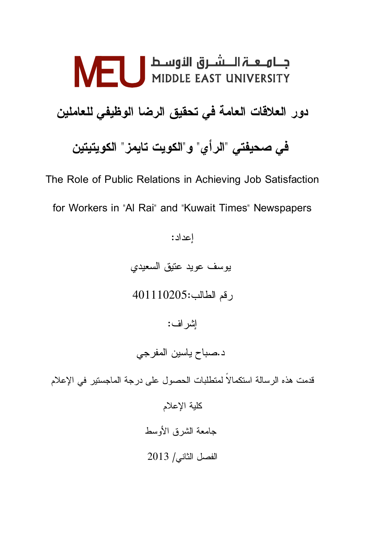# دور العلاقات العامة في تحقيق الرضا الوظيفي للعاملين في صحيفتي "الرأي" و"الكويت تايمز" الكويتيتين

The Role of Public Relations in Achieving Job Satisfaction for Workers in "Al Rai" and "Kuwait Times" Newspapers

إعداد: بوسف عويد عنيق السعيدي رقم الطالب:401110205 إشراف: د.صباح ياسين المفرجي قدمت هذه الرسالة استكمالاً لمتطلبات الحصول على درجة الماجستير في الإعلام كلية الإعلام جامعة الشرق الأوسط الفصل الثاني / 2013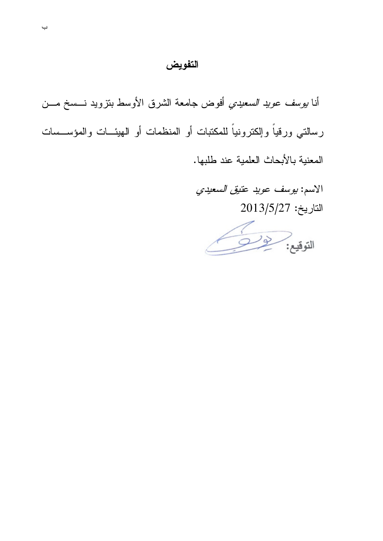## التفويض

أنا *بوسف عويد السعيدي* أفوض جامعة الشرق الأوسط بنزويد نـــسخ مـــن رسالتي ورقياً وإلكترونياً للمكتبات أو المنظمات أو الهيئـــات والمؤســـسات المعنية بالأبحاث العلمية عند طلبها.

> الاسم: بوسف عويد عتيق السعيدي  $2013/5/27$  التاريخ:

التوفيع: من المناسب المسلم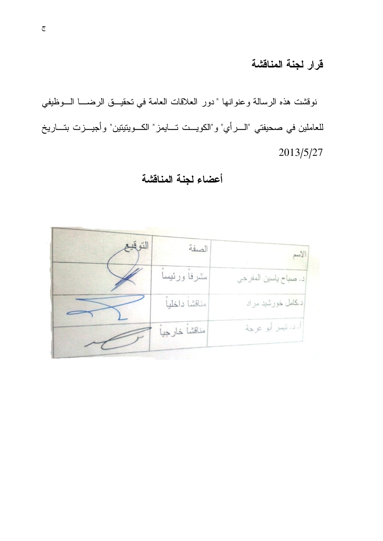# قرار لجنة المناقشة

نوقشت هذه الرسالة وعنوانها "دور العلاقات العامة في تحقيــق الرضــــا الـــوظيفي للعاملين في صحيفتي "الــــرأي" و"الكويـــت تــــايمز" الكـــويتيتين" وأجيـــزت بتــــاريخ 2013/5/27

# أعضاء لجنة المناقشة

| التو قيع | الصفة           | الأسم                  |
|----------|-----------------|------------------------|
|          | مشرفأ ورئيسا    | د. صباح ياسين المفر جي |
|          | مناقشاً داخلياً | د کامل خورشید مراد     |
|          | رمناقشا خارجيا  | ا. د. نيسر ابو عرجة    |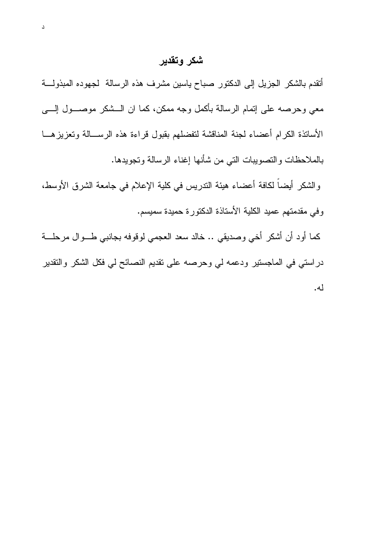#### شكر وتقدير

أتقدم بالشكر الجزيل إلى الدكتور صباح ياسين مشرف هذه الرسالة لجهوده المبذولة معي وحرصه على إنمام الرسالة بأكمل وجه ممكن، كما ان الـــشكر موصــــول إلـــــي الأساتذة الكرام أعضاء لجنة المناقشة لتفضلهم بقبول قراءة هذه الرســالة وتعزيزهـــا بالملاحظات والنصويبات التي من شأنها إغناء الرسالة وتجويدها.

والشكر أيضاً لكافة أعضاء هيئة الندريس في كلية الإعلام في جامعة الشرق الأوسط، وفي مقدمتهم عميد الكلية الأستاذة الدكتورة حميدة سميسم.

كما أود أن أشكر أخي وصديقي .. خالد سعد العجمي لوقوفه بجانبي طـــوال مرحلــــة در استي في الماجستير ودعمه لي وحرصه على تقديم النصائح لي فكل الشكر والنقدير له.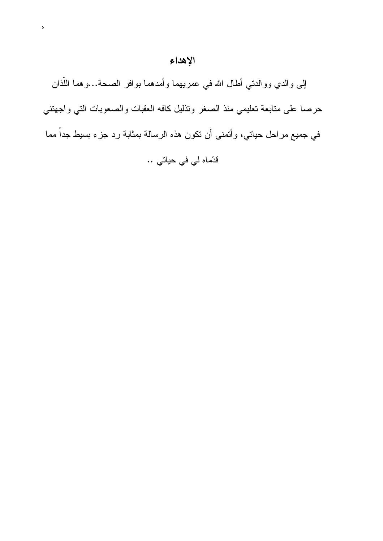## الإهداء

 $\circ$ 

إلى والدي ووالدتي أطال الله في عمريهما وأمدهما بوافر الصحة...وهما اللُّذان حرصا على متابعة نعليمي منذ الصغر ونذليل كافه العقبات والصعوبات التي واجهتني في جميع مراحل حياتي، وأتمنى أن تكون هذه الرسالة بمثابة رد جزء بسيط جداً مما قدّماه لي في حياتي ..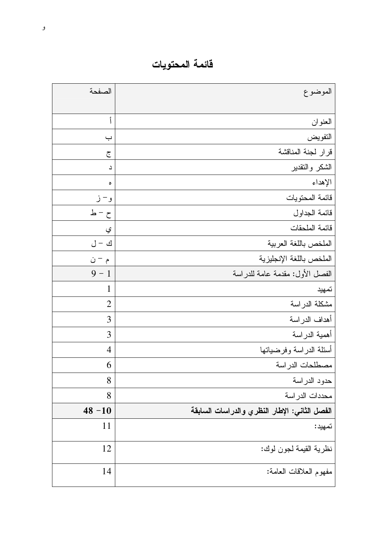فائمة المحتويات

| الصفحة                | الموضوع                                       |
|-----------------------|-----------------------------------------------|
|                       |                                               |
| أ                     | العنوان                                       |
| ب                     | التفويض                                       |
| ج                     | قرار لجنة المناقشة                            |
| د                     | الشكر والنقدير                                |
| ٥                     | الإهداء                                       |
| و – ز                 | قائمة المحتويات                               |
| $\Delta$ – ط          | قائمة الجداول                                 |
| ي                     | فائمة الملحقات                                |
| $\bigcup - \biguplus$ | الملخص باللغة العربية                         |
| م – ن                 | الملخص باللغة الإنجليزية                      |
| $9 - 1$               | الفصل الأول: مقدمة عامة للدراسة               |
| $\mathbf 1$           | تمهيد                                         |
| $\overline{2}$        | مشكلة الدراسة                                 |
| 3                     | أهداف الدراسة                                 |
| 3                     | أهمية الدراسة                                 |
| $\overline{4}$        | أسئلة الدراسة وفرضياتها                       |
| 6                     | مصطلحات الدراسة                               |
| 8                     | حدود الدراسة                                  |
| 8                     | محددات الدر اسة                               |
| $48 - 10$             | الفصل الثاني: الإطار النظري والدراسات السابقة |
| 11                    | تمهيد:                                        |
| 12                    | نظرية القيمة لجون لوك:                        |
| 14                    | مفهوم العلاقات العامة:                        |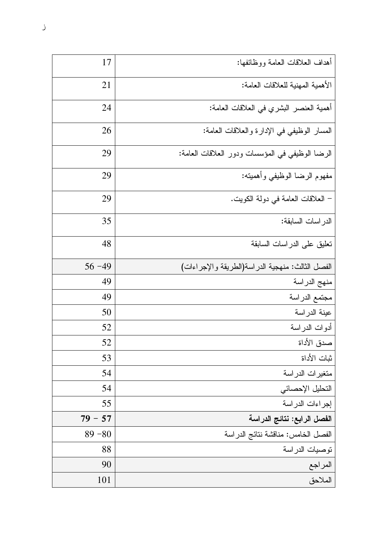| أهداف العلاقات العامة ووظائفها:                  | 17        |
|--------------------------------------------------|-----------|
| الأهمية المهنية للعلاقات العامة:                 | 21        |
| أهمية العنصر البشري في العلاقات العامة:          | 24        |
| المسار الوظيفي في الإدارة والعلاقات العامة:      | 26        |
| الرضا الوظيفي في المؤسسات ودور العلاقات العامة:  | 29        |
| مفهوم الرضا الوظيفي وأهميته:                     | 29        |
| – العلاقات العامة في دولة الكويت.                | 29        |
| الدر اسات السابقة:                               | 35        |
| تعليق على الدراسات السابقة                       | 48        |
| الفصل الثالث: منهجية الدراسة(الطريقة والإجراءات) | $56 - 49$ |
| منهج الدراسة                                     | 49        |
| مجتمع الدراسة                                    | 49        |
| عينة الدراسة                                     | 50        |
| أدوات الدراسة                                    | 52        |
| صدق الأداة                                       | 52        |
| ثبات الأداة                                      | 53        |
| متغيرات الدراسة                                  | 54        |
| التحليل الإحصائي                                 | 54        |
| إجراءات الدراسة                                  | 55        |
| الفصل الرابع: نتائج الدراسة                      | $79 - 57$ |
| الفصل الخامس: مناقشة نتائج الدراسة               | $89 - 80$ |
| نوصيات الدراسة                                   | 88        |
| المراجع                                          | 90        |
| الملاحق                                          | 101       |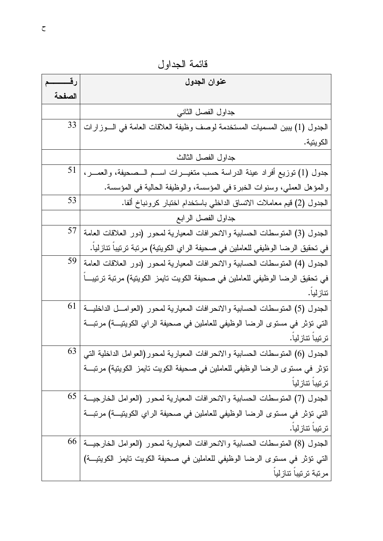|        | عنوان الجدول                                                                      |
|--------|-----------------------------------------------------------------------------------|
| الصفحة |                                                                                   |
|        | جداول الفصل الثانبي                                                               |
| 33     | الجدول (1) يبين المسميات المستخدمة لوصف وظيفة العلاقات العامة في السوز ارات       |
|        | الكويتية.                                                                         |
|        | جداول الفصل الثالث                                                                |
| 51     | جدول (1) نوزيع أفراد عينة الدراسة حسب متغيـــرات اســـم الـــصـحيفة، والعمـــر،   |
|        | والمؤهل العملي، وسنوات الخبرة في المؤسسة، والوظيفة الحالية في المؤسسة.            |
| 53     | الجدول (2) قيم معاملات الاتساق الداخلي باستخدام اختبار كرونباخ ألفا.              |
|        | جداول الفصل الرابع                                                                |
| 57     | الجدول (3) المتوسطات الحسابية والانحرافات المعيارية لمحور (دور العلاقات العامة    |
|        | في تحقيق الرضا الوظيفي للعاملين في صحيفة الراي الكويتية) مرتبة ترتيبا تتازليا.    |
| 59     | الجدول (4) المنوسطات الحسابية والانحرافات المعيارية لمحور (دور العلاقات العامة    |
|        | في تحقيق الرضا الوظيفي للعاملين في صحيفة الكويت تايمز الكويتية) مرتبة ترتيبـــا   |
|        | تنازليا.                                                                          |
| 61     | الجدول (5) المتوسطات الحسابية والانحرافات المعيارية لمحور (العوامـــل الداخليـــة |
|        | التي تؤثِّر في مستوى الرضا الوظيفي للعاملين في صحيفة الراي الكويتيــة) مرتبـــة   |
|        | ترتيبا تتازليا.                                                                   |
| 63     | الجدول (6) المتوسطات الحسابية والانحرافات المعيارية لمحور(العوامل الداخلية التي   |
|        | تؤثِّر في مستوى الرضا الوظيفي للعاملين في صحيفة الكويت تايمز الكويتية) مرتبـــة   |
|        | ترتيبا تتازليا                                                                    |
| 65     | الجدول (7) المتوسطات الحسابية والانحرافات المعيارية لمحور (العوامل الخارجيـــة    |
|        | التي تؤثِّر في مستوى الرضا الوظيفي للعاملين في صحيفة الراي الكويتيــة) مرتبـــة   |
|        | ترتيبا تتازليا.                                                                   |
| 66     | الجدول (8) المتوسطات الحسابية والانحرافات المعيارية لمحور (العوامل الخارجيـــة    |
|        | التي تؤثِّر في مستوى الرضا الوظيفي للعاملين في صحيفة الكويت تايمز الكويتيــة)     |
|        | مرتبة ترتيبا تتازليا                                                              |

قائمة الجداول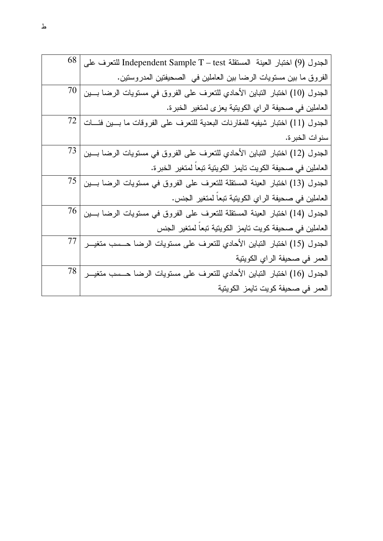| 68   | الجدول (9) اختبار العينة المستقلة Independent Sample T – test للتعرف على     |
|------|------------------------------------------------------------------------------|
|      | الفروق ما بين مستويات الرضا بين العاملين في الصحيفتين المدروستين.            |
| 70   | الجدول (10) اختبار النباين الأحادي للتعرف على الفروق في مستويات الرضا بسين   |
|      | العاملين في صحيفة الراي الكويتية يعزى لمتغير الخبرة.                         |
| 72   | الجدول (11) اختبار شيفيه للمقارنات البعدية للتعرف على الفروقات ما بسين فئسات |
|      | سنوات الخبرة.                                                                |
| 73   | الجدول (12) اختبار النباين الأحادي للتعرف على الفروق في مستويات الرضا بسين   |
|      | العاملين في صحيفة الكويت نايمز الكويتية نبعاً لمتغير الخبرة.                 |
| 75   | الجدول (13) اختبار العينة المستقلة للتعرف على الفروق في مستويات الرضا بين    |
|      | العاملين في صحيفة الراي الكويتية نبعاً لمتغير الجنس.                         |
| 76   | الجدول (14) اختبار العينة المستقلة للتعرف على الفروق في مستويات الرضا بسين   |
|      | العاملين في صحيفة كويت تايمز الكويتية تبعاً لمتغير الجنس                     |
| 77   | الجدول (15) اختبار النباين الأحادي للتعرف على مستويات الرضا حــسب متغيـــر   |
|      | العمر في صحيفة الراي الكويتية                                                |
| 78 I | الجدول (16) اختبار النباين الأحادي للتعرف على مستويات الرضا حــسب متغيـــر   |
|      | العمر في صحيفة كويت تايمز الكويتية                                           |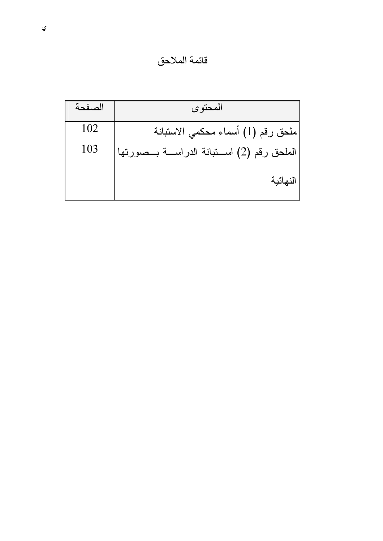قائمة الملاحق

| حنفحة | المحتوى                                         |
|-------|-------------------------------------------------|
| 102   | ملحق رقم (1) أسماء محكمي الاستبانة              |
| 103   | الملحق رقم (2) اســـتبانة الدراســـة بـــصورتها |
|       | النهائية                                        |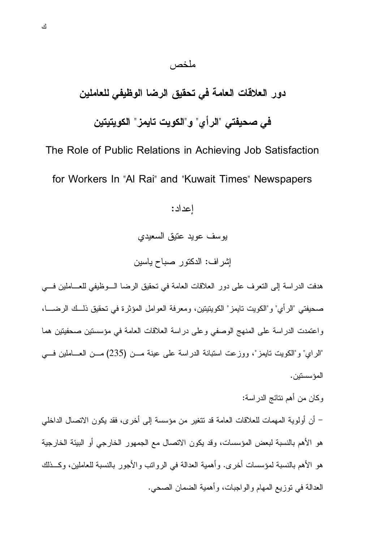# دور العلاقات العامة في تحقيق الرضا الوظيفي للعاملين

ملخص

في صحيفتي "الرأي" و"الكويت تايمز" الكويتيتين

The Role of Public Relations in Achieving Job Satisfaction for Workers In "Al Rai" and "Kuwait Times" Newspapers

اعداد:

يوسف عويد عتيق السعيدي

إشراف: الدكتور صباح ياسين

هدفت الدراسة إلى النعرف على دور العلاقات العامة في تحقيق الرضا الـوظيفي للعـــاملين فـــي صحيفتي "الرأي" و"الكويت تايمز" الكويتيتين، ومعرفة العوامل المؤثرة في تحقيق ذلــك الرضـــا، واعتمدت الدراسة على المنهج الوصفي وعلى دراسة العلاقات العامة في مؤسستين صحفيتين هما "الراي" و"الكويت نايمز"، ووزعت استبانة الدراسة على عينة مـن (235) مـن العــاملين فـــى المؤسستين.

وكان من أهم نتائج الدر اسة: – أن أولوية المهمات للعلاقات العامة قد نتغير من مؤسسة إلى أخرى، فقد يكون الاتصال الداخلي هو الأهم بالنسبة لبعض المؤسسات، وقد يكون الاتصال مع الجمهور الخارجي أو البيئة الخارجية هو الأهم بالنسبة لمؤسسات أخرى. وأهمية العدالة في الروانب والأجور بالنسبة للعاملين، وكــذلك العدالة في توزيع المهام و الواجبات، و أهمية الضمان الصحي.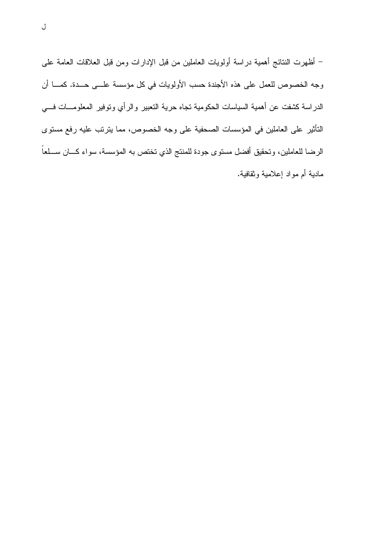– أظهرت النتائج أهمية دراسة أولويات العاملين من قبل الإدارات ومن قبل العلاقات العامة على وجه الخصوص للعمل على هذه الأجندة حسب الأولويات في كل مؤسسة علـــى حــدة. كمـــا أن الدراسة كشفت عن أهمية السياسات الحكومية تجاه حرية التعبير والرأي وتوفير المعلومـــات فــــي التأثير على العاملين في المؤسسات الصحفية على وجه الخصوص، مما يتربِّب عليه رفع مستوى الرضا للعاملين، وتحقيق أفضل مستوى جودة للمنتج الذي تختص به المؤسسة، سواء كـــان ســـلعاً مادية أم مواد إعلامية وثقافية.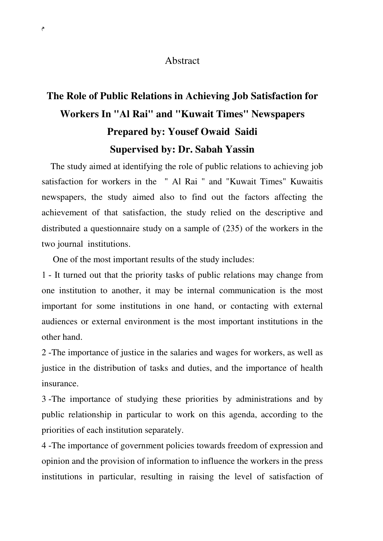#### Abstract

# **The Role of Public Relations in Achieving Job Satisfaction for Workers In "Al Rai" and "Kuwait Times" Newspapers Prepared by**: **Yousef Owaid Saidi Supervised by: Dr. Sabah Yassin**

 The study aimed at identifying the role of public relations to achieving job satisfaction for workers in the " Al Rai " and "Kuwait Times" Kuwaitis newspapers, the study aimed also to find out the factors affecting the achievement of that satisfaction, the study relied on the descriptive and distributed a questionnaire study on a sample of (235) of the workers in the two journal institutions.

One of the most important results of the study includes:

1 - It turned out that the priority tasks of public relations may change from one institution to another, it may be internal communication is the most important for some institutions in one hand, or contacting with external audiences or external environment is the most important institutions in the other hand.

2 - The importance of justice in the salaries and wages for workers, as well as justice in the distribution of tasks and duties, and the importance of health insurance.

3 - The importance of studying these priorities by administrations and by public relationship in particular to work on this agenda, according to the priorities of each institution separately.

4 - The importance of government policies towards freedom of expression and opinion and the provision of information to influence the workers in the press institutions in particular, resulting in raising the level of satisfaction of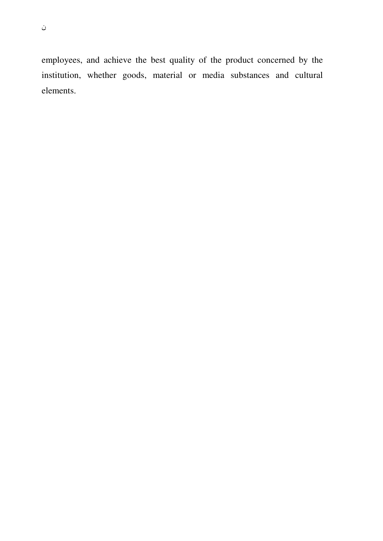ن

employees, and achieve the best quality of the product concerned by the institution, whether goods, material or media substances and cultural elements.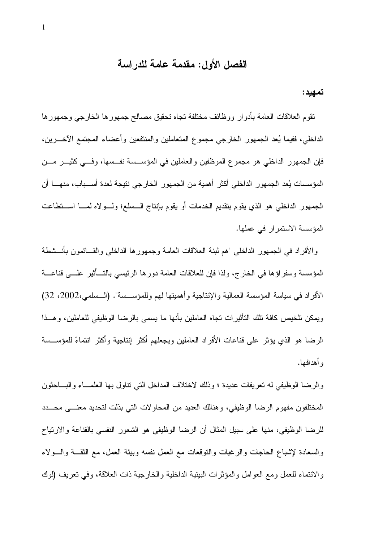### الفصل الأول: مقدمة عامة للدراسة

تمهيد:

نقوم العلاقات العامة بأدوار ووظائف مختلفة تجاه تحقيق مصالح جمهورها الخارجي وجمهورها الداخلي، ففيما يُعد الجمهور الخارجي مجموع المتعاملين والمنتفعين وأعضاء المجتمع الآخـــرين، فإن الجمهور الداخلي هو مجموع الموظفين والعاملين في المؤسسة نفسها، وفسى كثيـــر مـــن المؤسسات يُعد الجمهور الداخلي أكثر أهمية من الجمهور الخارجي نتيجة لعدة أســـباب، منهــــا أن الجمهور الداخلي هو الذي يقوم بتقديم الخدمات أو يقوم بإنتاج السسلع؛ ولـــولاه لمــــا اســـتطاعت المؤسسة الاستمر ار في عملها.

والأفراد في الجمهور الداخلي "هم لبنة العلاقات العامة وجمهورها الداخلي والقـــائمون بأنـــشطة المؤسسة وسفراؤها في الخارج، ولذا فإن للعلاقات العامة دورها الرئيسي بالتسأثير علـــي قناعـــة الأفراد في سياسة المؤسسة العمالية والإنتاجية وأهميتها لهم وللمؤســسة". (الــسلمي،2002، 32) ويمكن نلخيص كافة نلك التأثيرات نجاه العاملين بأنها ما يسمى بالرضا الوظيفي للعاملين، وهــذا الرضا هو الذي يؤثر على قناعات الأفراد العاملين ويجعلهم أكثر إنتاجية وأكثر انتماءً للمؤســسة و أهدافها.

والرضا الوظيفي له نعريفات عديدة ؛ وذلك لاختلاف المداخل التي نتاول بها العلمــاء والبـــاحثون المختلفون مفهوم الرضا الوظيفي، وهنالك العديد من المحاولات التبي بذلت لتحديد معنسي محسدد للرضا الوظيفي، منها على سبيل المثال أن الرضا الوظيفي هو الشعور النفسي بالقناعة والارتياح والسعادة لإشباع الحاجات والرغبات والنوقعات مع العمل نفسه وبيئة العمل، مع النقـــة والـــولاء والانتماء للعمل ومع العوامل والمؤثرات البيئية الداخلية والخارجية ذات العلاقة، وفي تعريف (لوك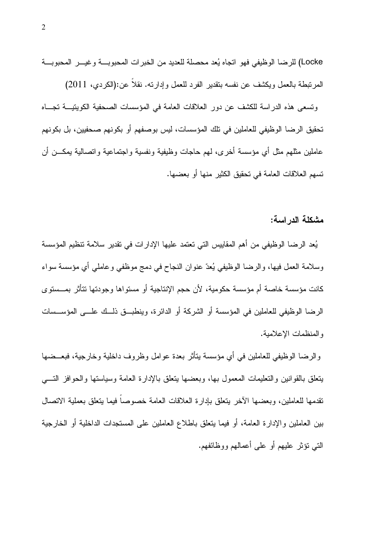Locke) للرضا الوظيفي فهو اتجاه يُعد محصلة للعديد من الخبرات المحبوبة وغيــر المحبوبــة المرتبطة بالعمل ويكشف عن نفسه بتقدير الفرد للعمل وإدارته. نقلا عن:(الكردي، 2011) ونسعى هذه الدراسة للكشف عن دور العلاقات العامة في المؤسسات الصحفية الكوينيــــة تجــــاه تحقيق الرضا الوظيفي للعاملين في تلك المؤسسات، ليس بوصفهم أو بكونهم صحفيين، بل بكونهم

عاملين مثلهم مثل أي مؤسسة أخرى، لمهم حاجات وظيفية ونفسية واجتماعية واتصالية بمكـــن أن

تسهم العلاقات العامة في تحقيق الكثير منها أو بعضها.

#### مشكلة الدر اسة:

يُعد الرضا الوظيفي من أهم المقاييس التي تعتمد عليها الإدارات في تقدير سلامة تنظيم المؤسسة وسلامة العمل فيها، والرضا الوظيفي يُعدّ عنوان النجاح في دمج موظفي وعاملي أي مؤسسة سواء كانت مؤسسة خاصة أم مؤسسة حكومية، لأن حجم الإنتاجية أو مستواها وجودتها نتأثر بمــستوى الرضا الوظيفي للعاملين في المؤسسة أو الشركة أو الدائرة، وينطبــق ذلــك علـــي المؤســسات والمنظمات الاعلامبة.

والرضا الوظيفي للعاملين في أي مؤسسة يتأثر بعدة عوامل وظروف داخلية وخارجية، فبعــضها بنعلق بالقوانين والنعليمات المعمول بها، وبعضها ينعلق بالإدارة العامة وسياستها والحوافز النسبي تقدمها للعاملين، وبعضها الآخر يتعلق بإدارة العلاقات العامة خصوصاً فيما يتعلق بعملية الاتصال بين العاملين والإدارة العامة، أو فيما يتعلق باطلاع العاملين على المستجدات الداخلية أو الخارجية التبي نؤثر عليهم أو علي أعمالهم ووظائفهم.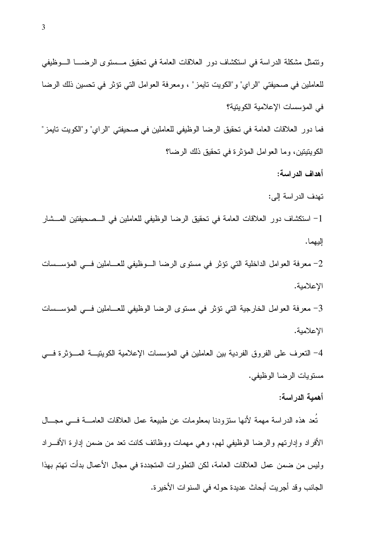ونتمثَّل مشكلة الدراسة في استكشاف دور العلاقات العامة في نحقيق مـــستوى الرضــــا الــــوظيفي للعاملين في صحيفتي "الراي" و"الكويت تايمز" ، ومعرفة العوامل التي تؤثر في تحسين ذلك الرضا في المؤسسات الإعلامية الكويتية؟ فما دور العلاقات العامة في تحقيق الرضا الوظيفي للعاملين في صحيفتي "الراي" و "الكويت تايمز " الكو بِتيتين، وما العوامل المؤثر ة في تحقيق ذلك الرضا؟ أهداف الدر اسة: تهدف الدر اسة إلى: 1 - استكشاف دور العلاقات العامة في تحقيق الرضا الوظيفي للعاملين في الــصحيفتين المـــشار اليهما. معرفة العوامل الداخلية التي تؤثر في مستوى الرضا الــوظيفي للعـــاملين فـــي المؤســسات -, الإعلامية. حرفة العوامل الخارجية التي تؤثر في مستوى الرضا الوظيفي للعـــاملين فـــي المؤســـسات –, الإعلامية. 4– النعرف على الفروق الفردية بين العاملين في المؤسسات الإعلامية الكويتيـــة المـــؤثرة فـــي

مسنوبات الرضا الوظبفي.

#### أهمبة الدر اسة:

تُعد هذه الدر اسة مهمة لأنها ستزوِّدنا بمعلومات عن طبيعة عمل العلاقات العامــــة فــــى مجـــال الأفراد وإدارتهم والرضا الوظيفي لهم، وهي مهمات ووظائف كانت نعد من ضمن إدارة الأفــــراد وليس من ضمن عمل العلاقات العامة، لكن النطور ات المنجددة في مجال الأعمال بدأت نهتم بهذا الجانب وقد أجريت أبحاث عديدة حوله في السنوات الأخير ة.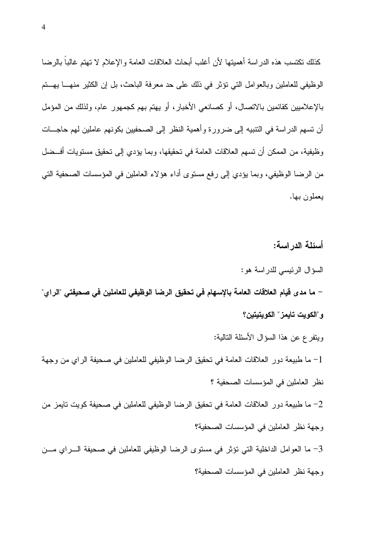كذلك نكتسب هذه الدراسة أهميتها لأن أغلب أبحاث العلاقات العامة والإعلام لا تهتم غالباً بالرضا الوظيفي للعاملين وبالعوامل التي نؤثر في ذلك على حد معرفة الباحث، بل إن الكثير منهـــا بـهـــتم بالإعلاميين كقائمين بالاتصال، أو كصانعي الأخبار، أو يهتم بهم كجمهور عام، ولذلك من المؤمل أن تسهم الدر اسة في النتبيه إلى ضرور ة و أهمية النظر إلى الصحفيين بكو نهم عاملين لهم حاجـــات و ظيفية، من الممكن أن تسهم العلاقات العامة في تحقيقها، و بما يؤدي إلى تحقيق مستويات أفـــضل من الرضا الوظيفي، وبما يؤدي إلى رفع مستوى أداء هؤلاء العاملين في المؤسسات الصحفية التي يعملون بها.

أسئلة الدراسة:

السؤال الرئيسي للدراسة هو:

– ما مدى قيام العلاقات العامة بالإسهام في تحقيق الرضا الوظيفي للعاملين في صحيفتي "الراي" و"الكويت تايمز" الكويتيتين؟

ويتفرع عن هذا السؤال الأسئلة التالية:

1– ما طبيعة دور العلاقات العامة في تحقيق الرضا الوظيفي للعاملين في صحيفة الراي من وجهة نظر العاملين في المؤسسات الصحفية ؟

ما طبيعة دور العلاقات العامة في تحقيق الرضا الوظيفي للعاملين في صحيفة كويت تايمز من  $-2$ وجهة نظر العاملين في المؤسسات الصحفية؟ 3- ما العوامل الداخلية التي نؤثر في مستوى الرضا الوظيفي للعاملين في صحيفة السراي مسن

وجهة نظر العاملين في المؤسسات الصحفية؟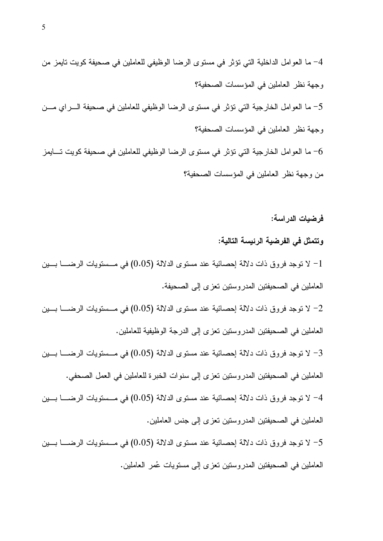<C [C'0, L'-O GB'K? @F <'IC0(I\* @B'`-\*" 0c4\*" -,)C @F 4U], @,\*" G'Il"!\*" JC"-(\*" 0C u4 G'BK?\*" L0))]C\*" @F <'IC0(\*" 4`T G\_A- <YC &"4Y\*" GB'K? @F <'IC0(I\* @B'`-\*" 0c4\*" -,)C @F 4U], @,\*" G'A40l\*" JC"-(\*" 0C u5 G'BK?\*" L0))]C\*" @F <'IC0(\*" 4`T G\_A- [C'0Y, L'-O GB'K? @F <'IC0(I\* @B'`-\*" 0c4\*" -,)C @F 4U], @,\*" G'A40l\*" JC"-(\*" 0C u6 G'BK?\*" L0))]C\*" @F <'IC0(\*" 4`T G\_A- <C

#### فرضيات الدراسة:

وتتمثل فى الفرضية الرئيسة التالية: لا توجد فروق ذات دلالة إحصائية عند مستوى الدلالة (0.05) في مـــستويات الرضـــــا بـــين " العاملين في الصحيفتين المدروستين تعزى إلى الصحيفة. لا توجد فروق ذات دلالة إحصائية عند مستوى الدلالة (0.05) في مـــستويات الرضـــــا بــــين " العاملين في الصحيفتين المدروستين تعزى إلى الدرجة الوظيفية للعاملين. لا توجد فروق ذات دلالة إحصائية عند مستوى الدلالة (0.05) في مــستويات الرضــــا بـــين " العاملين في الصحيفتين المدروستين تعزى إلى سنوات الخبرة للعاملين في العمل الصحفي. لا توجد فروق ذات دلالة إحصائية عند مستوى الدلالة (0.05) في مــستويات الرضـــــا بــــين " العاملين في الصحيفتين المدروستين تعزى إلى جنس العاملين. لا توجد فروق ذات دلالة إحصائية عند مستوى الدلالة (0.05) في مـــستويات الرضـــــا بــــين " العاملين في الصحيفتين المدروستين تعزى إلى مستويات عُمر العاملين.

5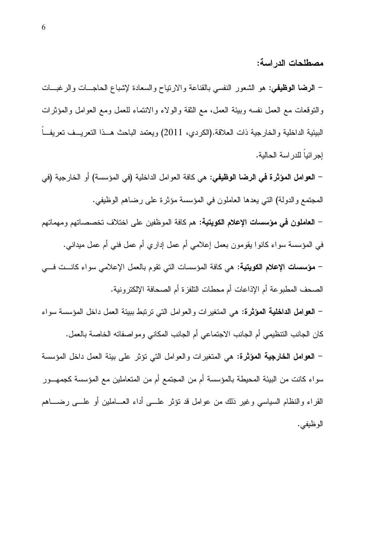مصطلحات الدر اسة:

– ا**لرضا الوظيفي:** هو الشعور النفسي بالقناعة والارتياح والسعادة لإشباع الحاجـــات والرغبـــات والنوفعات مع العمل نفسه وبيئة العمل، مع الثقة والولاء والانتماء للعمل ومع العوامل والمؤثرات البيئية الداخلية والخارجية ذات العلاقة.(الكردي، 2011) ويعتمد الباحث هــذا التعريــف تعريفــاً إجرائياً للدراسة الحالية.

– ا**لـعوامل المؤثرة فـي الرضـا الوظيفـي:** هي كـافـة الـعوامل الداخليـة (فـي المؤسسـة) أو الـخارـجيـة (فـي المجتمع والدولة) التي يعدها العاملون في المؤسسة مؤثرة على رضاهم الوظيفي.

– ا**لعاملون في مؤسسات الإعلام الكويتية:** هم كافة الموظفين على اختلاف تخصصاتهم ومهماتهم في المؤسسة سواء كانوا يقومون بعمل إعلامي أم عمل إداري أم عمل فني أم عمل ميداني. – مؤسسات الإعلام الكويتية: هي كافة المؤسسات التي تقوم بالعمل الإعلامي سواء كانــت فـــي الصحف المطبوعة أم الإذاعات أم محطات النلفزة أم الصحافة الإلكترونية.

– العوامل الداخلية المؤثرة: هي المتغيرات والعوامل التي ترتبط ببيئة العمل داخل المؤسسة سواء كان الجانب النتظيمي أم الجانب الاجتماعي أم الجانب المكاني ومواصفاته الخاصة بالعمل.

– العوامل الخارجية المؤثرة: هي المتغيرات والعوامل التي تؤثر على بيئة العمل داخل المؤسسة سواء كانت من البيئة المحيطة بالمؤسسة أم من المجتمع أم من المتعاملين مع المؤسسة كجمهــور القراء والنظام السياسي وغير ذلك من عوامل قد نؤثر علـــي أداء العـــاملين أو علـــي رضــــاهم الوظيفي.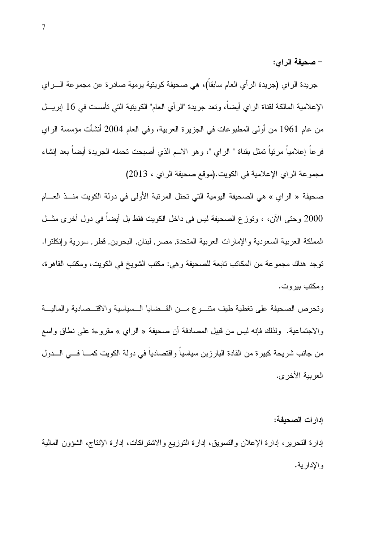– صحيفة الراي:

جريدة الراي (جريدة الرأي العام سابقاً)، هي صحيفة كويتية يومية صادرة عن مجموعة الــــراي الإعلامية المالكة لقناة الراي أيضاً، وتعد جريدة "الرأي العام" الكوينية التي تأسست في 16 إبريـــل من عام 1961 من أولى المطبوعات في الجزيرة العربية، وفي العام 2004 أنشأت مؤسسة الراي فر عاً إعلامياً مرئياً تمثِّل بقناة " الر اي "، و هو الاسم الذي أصبحت تحمله الجريدة أيضاً بعد إنشاء مجموعة الراي الإعلامية في الكويت.(موقع صحيفة الراي ، 2013)

صحيفة « الراي » هي الصحيفة اليومية التي تحتل المرتبة الأولى في دولة الكويت منـــذ العــــام 2000 وحتى الآن، ، وتوزع الصحيفة ليس في داخل الكويت فقط بل أيضاً في دول أخرى مثـــل المملكة العربية السعودية والإمارات العربية المتحدة, مصر, لبنان, البحرين, قطر, سورية وإنكلترا. توجد هناك مجموعة من المكاتب تابعة للصحيفة و هي: مكتب الشويخ في الكويت، ومكتب القاهر ة، و مکتب بیر و ت.

ونحرص الصحيفة على نغطية طيف متنسوع مسن القسضايا السسياسية والاقتسصادية والماليسة والاجتماعية. ولذلك فإنه ليس من قبيل المصادفة أن صحيفة « الراي » مقروءة على نطاق واسع من جانب شريحة كبيرة من القادة البارزين سياسياً واقتصادياً في دولة الكويت كمــــا فـــي الــــدول العربية الأخرى.

إدار ات الصحبفة:

إدارة النحرير ، إدارة الإعلان والنسويق، إدارة النوزيع والاشتراكات، إدارة الإنتاج، الشؤون المالية و الإدار بية.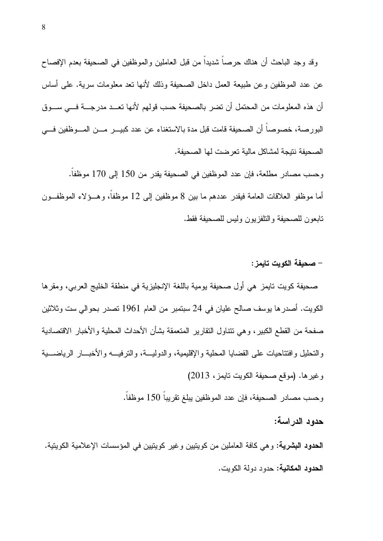وقد وجد الباحث أن هناك حرصاً شديداً من قبل العاملين والموظفين في الصحيفة بعدم الإفصاح عن عدد الموظفين وعن طبيعة العمل داخل الصحيفة وذلك لأنها نعد معلومات سرية. على أساس أن هذه المعلومات من المحتمل أن تضر بالصحيفة حسب قولهم لأنها تعــد مدرجـــة فـــي ســـوق البور صـة، خصوصـا أن الصـحيفة قامت قبل مدة بـالاستغناء عن عدد كبيـــر مـــن المـــوظفين فــــى الصحبفة نتبجة لمشاكل مالبة تعر ضت لها الصحبفة.

وحسب مصادر مطلعة، فإن عدد الموظفين في الصحيفة يقدر من 150 إلى 170 موظفاً. أما موظفو العلاقات العامة فيقدر عددهم ما بين 8 موظفين إلى 12 موظفاً، وهـــؤلاء الموظفـــون نابعون للصحيفة والنلفزيون وليس للصحيفة فقط.

#### – صحبفة الكويت تابمز :

صحيفة كويت تايمز هي أول صحيفة يومية باللغة الإنجليزية في منطقة الخليج العربي، ومقرها الكويت. أصدرها يوسف صـالح عليان في 24 سبتمبر من العام 1961 تصدر بـحوالـي ست وثلاثين صفحة من القطع الكبير ، و هي نتناول النقارير المنعمقة بشأن الأحداث المحلية والأخبار الاقتصادية والتحليل وافتتاحيات علىي القضايا المحلية والإقليمية، والدوليـــة، والترفيـــه والأخبـــار الرياضــــية وغير ها. (موقع صحبفة الكوبت تابمز ، 2013)

وحسب مصادر الصحيفة، فإن عدد الموظفين يبلغ تقريباً 150 موظفاً.

#### حدو د الدر اسة:

**الحدود البشرية:** و هي كافة العاملين من كويتيين و غير كويتيين في المؤسسات الإعلامية الكويتية. **الحدود المكانية:** حدود دولة الكوبت.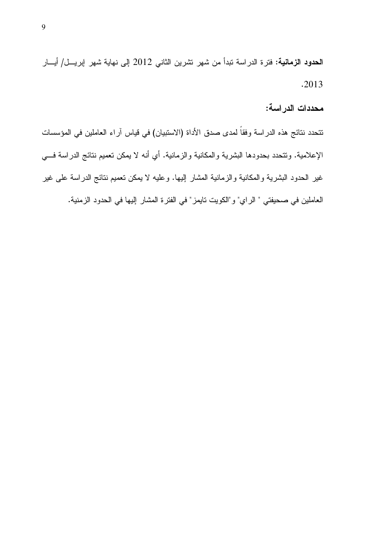الحدود الزمانية: فترة الدراسة تبدأ من شهر تشرين الثاني 2012 إلى نهاية شهر إبريـــل/ أيـــار  $.2013$ 

محددات الدر اسة:

نتحدد نتائج هذه الدراسة وفقاً لمدى صدق الأداة (الاستبيان) في قياس آراء العاملين في المؤسسات الإعلامية. وتتحدد بحدودها البشرية والمكانية والزمانية. أي أنه لا يمكن تعميم نتائج الدراسة فـــي غير الحدود البشرية والمكانية والزمانية المشار إليها. وعليه لا يمكن تعميم نتائج الدراسة على غير العاملين في صحيفتي " الراي" و"الكويت تايمز " في الفترة المشار إليها في الحدود الزمنية.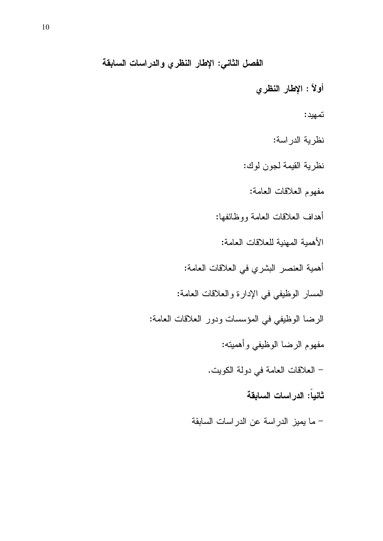الفصل الثاني: الإطار النظري والدراسات السابقة

أولاً : الإطار النظري

تمهيد:

نظرية الدراسة:

نظرية القيمة لجون لوك:

مفهوم العلاقات العامة:

أهداف العلاقات العامة ووظائفها:

الأهمية المهنية للعلاقات العامة:

أهمية العنصر البشري في العلاقات العامة:

المسار الوظيفي في الإدارة والعلاقات العامة:

الرضا الوظيفي في المؤسسات ودور العلاقات العامة:

مفهوم الرضا الوظيفي وأهميته:

– العلاقات العامة في دولة الكويت.

ثانياً: الدراسات السابقة

– ما يميز الدراسة عن الدراسات السابقة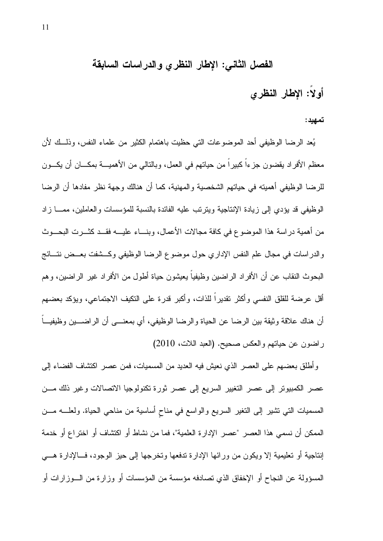## الفصل الثاني: الإطار النظري والدراسات السابقة

# أولاً: الإطار النظري

تمهيد:

يُعد الرضا الوظيفي أحد الموضوعات التي حظيت باهتمام الكثير من علماء النفس، وذلـــك لأن معظم الأفراد يقضون جزءاً كبيراً من حياتهم في العمل، وبالنالي من الأهميــــة بمكــــان أن يكــــون للرضا الوظيفي أهميته في حياتهم الشخصية والمهنية، كما أن هنالك وجهة نظر مفادها أن الرضا الوظيفي قد يؤدي إلى زيادة الإنتاجية ويترتب عليه الفائدة بالنسبة للمؤسسات والعاملين، ممـــا ز اد من أهمية دراسة هذا الموضوع في كافة مجالات الأعمال، وبنـــاء عليـــه فقـــد كثـــرت البحـــوث والدراسات في مجال علم النفس الإداري حول موضوع الرضا الوظيفي وكـــشفت بعـــض نتـــائج البحوث النقاب عن أن الأفراد الراضين وظيفياً يعيشون حياة أطول من الأفراد غير الراضين، وهم أقل عرضة للقلق النفسي وأكثر نقديراً للذات، وأكبر قدرة على التكيف الاجتماعي، ويؤكد بعضهم أن هناك علاقة وثيقة بين الرضا عن الحياة والرضا الوظيفي، أي بمعنـــي أن الراضــــين وظيفيـــاً راضون عن حياتهم والعكس صحيح. (العبد اللات، 2010)

وأطلق بعضهم على العصر الذي نعيش فيه العديد من المسميات، فمن عصر اكتشاف الفضاء إلى عصر الكمبيونر إلى عصر النغيير السريع إلى عصر ثورة نكنولوجيا الانصالات وغير ذلك مـــن المسميات التي نتثبير إلى التغير السريع والواسع في مناح أساسية من مناحي الحياة. ولعلـــه مـــن الممكن أن نسمى هذا العصر "عصر الإدارة العلمية"، فما من نشاط أو اكتشاف أو اختراع أو خدمة إنتاجية أو تعليمية إلا ويكون من ورائها الإدارة تدفعها وتخرجها إلى حيز الوجود، فــالإدارة هـــى المسؤولة عن النجاح أو الإخفاق الذي تصادفه مؤسسة من المؤسسات أو وزارة من الـــوزارات أو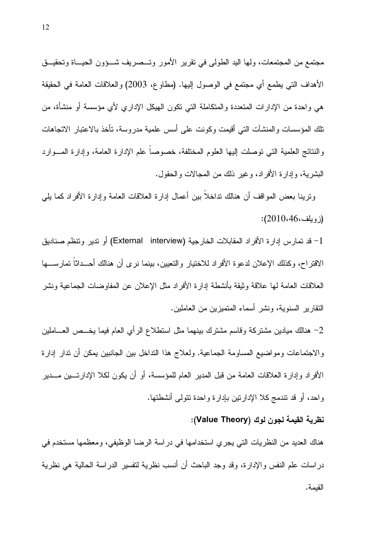مجتمع من المجتمعات، ولمها اليد الطولبي في نقرير الأمور وتـــصريف شـــؤون الـحيـــاة وتحقيـــق الأهداف التي يطمع أي مجتمع في الوصول إليها. (مطاوع، 2003) والعلاقات العامة في الحقيقة هي واحدة من الإدارات المتعددة والمتكاملة التبي تكون الـهيكل الإداري لأي مؤسسة أو منشأة، من تلك المؤسسات والمنشآت التبي أقيمت وكونت على أسس علمية مدروسة، تأخذ بالاعتبار الاتجاهات والنتائج العلمية التي توصلت إليها العلوم المختلفة، خصوصاً علم الإدار ة العامة، وإدار ة المسوار د البشرية، وإدارة الأفراد، وغير ذلك من المجالات والحقول.

وترينا بعض المواقف أن هنالك نداخلاً بين أعمال إدارة العلاقات العامة وإدارة الأفراد كما يلبي  $(2010.46)$ ز وبلف

1– قد تمارس إدارة الأفراد المقابلات الخارجية (External interview) أو تدير وتنظم صناديق الاقتراح، وكذلك الإعلان لدعوة الأفراد للاختيار والنعيين، بينما نرى أن هنالك أحــداثا تمارســـها العلاقات العامة لها علاقة وثيقة بأنشطة إدارة الأفراد مثل الإعلان عن المفاوضات الجماعية ونشر النقارير السنوية، ونشر أسماء المتميزين من العاملين.

2– هنالك ميادين مشتركة وقاسم مشترك ببنهما مثل استطلاع الرأي العام فيما يخـــص العــــاملين والاجتماعات ومواضيع المساومة الجماعية. ولعلاج هذا النداخل بين الجانبين يمكن أن ندار إدارة الأفر اد و إدار ة العلاقات العامة من قبل المدير العام للمؤسسة، أو أن يكون لكلا الإدار تـــين مـــدير واحد، أو قد نتدمج كلا الإدارنتين بإدارة واحدة نتولمي أنشطتها.

#### نظرية القيمة لجون لوك (Value Theory):

هناك العديد من النظريات التي يجري استخدامها في دراسة الرضا الوظيفي، ومعظمها مستخدم في دراسات علم النفس والإدارة، وقد وجد الباحث أن أنسب نظرية لنفسير الدراسة الحالية هي نظرية القيمة.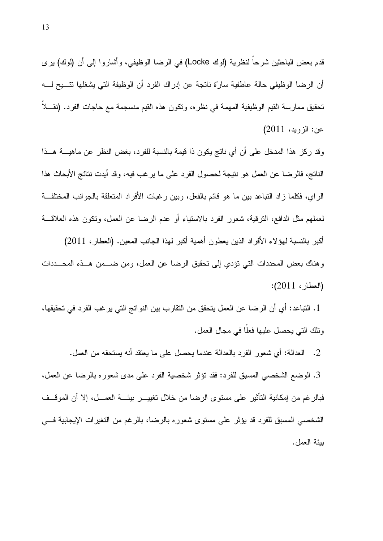قدم بعض الباحثين شرحاً لنظرية (لوك Locke) في الرضا الوظيفي، وأشاروا إلى أن (لوك) يرى أن الرضا الوظيفي حالة عاطفية سارّة ناتجة عن إدراك الفرد أن الوظيفة التي يشغلها تتـــيح لــــه تحقيق ممارسة القيم الوظيفية المهمة في نظره، ونكون هذه القيم منسجمة مع حاجات الفرد. (نقـــلا عن: الزويد، 2011)

وقد ركز هذا المدخل على أن أي ناتج يكون ذا قيمة بالنسبة للفرد، بغض النظر عن ماهيـــة هـــذا الناتج، فالرضا عن العمل هو نتيجة لحصول الفرد على ما يرغب فيه، وقد أيدت نتائج الأبحاث هذا الراي، فكلما زاد النباعد بين ما هو قائم بالفعل، وبين رغبات الأفراد المتعلقة بالجوانب المختلفة لعملهم مثل الدافع، النرقية، شعور الفرد بالاستياء أو عدم الرضا عن العمل، ونكون هذه العلاقـــة أكبر بالنسبة لهؤلاء الأفراد الذين يعطون أهمية أكبر لهذا الجانب المعين. (العطار، 2011) وهناك بعض المحددات التي نؤدي إلى تحقيق الرضا عن العمل، ومن ضـــمن هــذه المحـــددات (العطار، 2011):

1. التباعد: أي أن الرضا عن العمل يتحقق من التقارب بين النواتج التي يرغب الفرد في تحقيقها، ونلك التي يحصل عليها فعلًا في مجال العمل.

2. العدالة: أي شعور الفرد بالعدالة عندما يحصل على ما يعتقد أنه يستحقه من العمل. 3. الوضع الشخصبي المسبق للفرد: فقد نؤثر شخصية الفرد على مدى شعوره بالرضا عن العمل، فبالرغم من إمكانية التأثير على مستوى الرضا من خلال نغييــــر بيئــــة العمــــل، إلا أن الموقـــف الشخصبي المسبق للفرد قد يؤثر على مستوى شعوره بالرضا، بالرغم من التغيرات الإيجابية فسي بيئة العمل.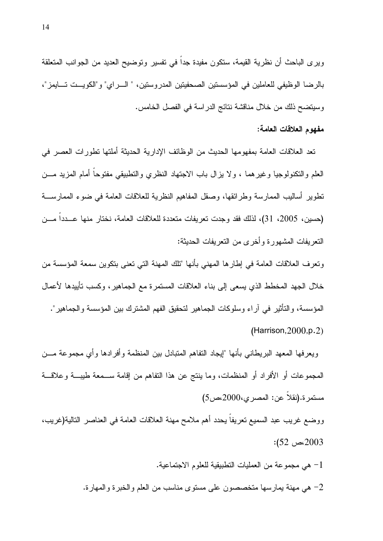ويرى الباحث أن نظرية القيمة، ستكون مفيدة جدا في نفسير ونوضيح العديد من الجوانب المتعلقة بالرضا الوظيفي للعاملين في المؤسستين الصحفيتين المدروستين، " السراي" و"الكويست تسايمز"، وسيتضح ذلك من خلال مناقشة نتائج الدراسة في الفصل الخامس.

#### مفهوم العلاقات العامة:

تعد العلاقات العامة بمفهومها الحديث من الوظائف الإدارية الحديثة أملتها نطورات العصر في العلم والنكنولوجيا وغيرهما ، ولا يزال باب الاجتهاد النظري والتطبيقي مفتوحاً أمام المزيد مـــن تطوير أساليب الممارسة وطرائقها، وصقل المفاهيم النظرية للعلاقات العامة في ضوء الممارســـة (حسين، 2005، 31)، لذلك فقد وجدت نعريفات متعددة للعلاقات العامة، نختار منها عـــددا مـــن النعريفات المشهورة وأخرى من النعريفات الحديثة:

ونعرف العلاقات العامة في إطار ها المهنى بأنها "تلك المهنة التي نعني بنكوين سمعة المؤسسة من خلال الجهد المخطط الذي يسعى إلى بناء العلاقات المستمرة مع الجماهير، وكسب تأييدها لأعمال المؤسسة، والتأثير في آراء وسلوكات الجماهير لتحقيق الفهم المشترك بين المؤسسة والجماهير".  $(Harrison, 2000, p.2)$ 

ويعرفها المعهد البريطاني بأنها "إيجاد النفاهم المنبادل بين المنظمة وأفرادها وأي مجموعة مـــن المجموعات أو الأفراد أو المنظمات، وما بنتج عن هذا النفاهم من إقامة ســـمعة طيبــــة وعلاقـــة مستمرة.(نقلا عن: المصرى،2000،ص5)

ووضع غريب عبد السميع نعريفا يحدد أهم ملامح مهنة العلاقات العامة في العناصر النالية(غريب، 2003،ص 52):

1- هي مجموعة من العمليات النطبيقية للعلوم الاجتماعية.

2– هي مهنة يمارسها متخصصون على مستوى مناسب من العلم والخبرة والمهارة.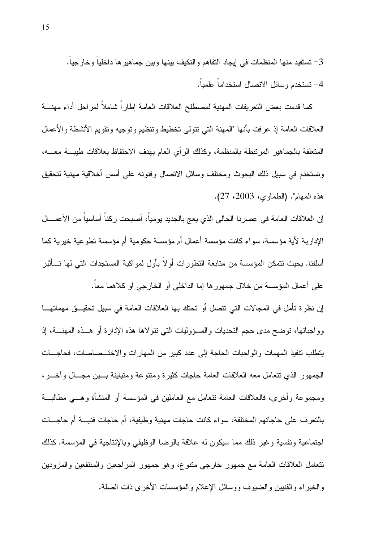تستفيد منها المنظمات في ايجاد التفاهم والتكيف بينها وبين جماهير ها داخلياً وخارجياً.  $-3$ 4- تستخدم وسائل الاتصال استخداماً علمياً.

كما قدمت بعض النعريفات المهنية لمصطلح العلاقات العامة إطاراً شاملاً لمراحل أداء مهنسة العلاقات العامة إذ عرفت بأنها "المهنة التي نتولى تخطيط ونتظيم ونوجيه ونقويم الأنشطة والأعمال المتعلقة بالجماهير المرتبطة بالمنظمة، وكذلك الرأى العام بهدف الاحتفاظ بعلاقات طبيسة معسه، وتستخدم في سبيل ذلك البحوث ومختلف وسائل الاتصال وفنونه على أسس أخلاقية مهنية لتحقيق هذه المهام". (الطماوي، 2003، 27).

إن العلاقات العامة في عصرنا الحالي الذي يعج بالجديد يومياً، أصبحت ركناً أساسياً من الأعمـــال الإدارية لأية مؤسسة، سواء كانت مؤسسة أعمال أم مؤسسة حكومية أم مؤسسة نطوعية خيرية كما أسلفنا. بحيث نتمكن المؤسسة من متابعة النطور ات أو لا بأول لمو اكبة المستجدات التي لها تـــأثير على أعمال المؤسسة من خلال جمهور ها إما الداخلي أو الخارجي أو كلاهما معاً.

إن نظر ة تأمل في المجالات التي تتصل أو تحتك بها العلاقات العامة في سبيل تحقيـــق مهماتهــــا وواجباتها، توضح مدى حجم النحديات والمسؤوليات النبي نتولاها هذه الإدارة أو هــذه المـهنـــة، إذ يتطلب نتفيذ المهمات والواجبات الحاجة إلى عدد كبير من المهارات والاختـــصاصات، فحاجـــات الجمهور الذي نتعامل معه العلاقات العامة حاجات كثير ة ومنتوعة ومتباينة بسين مجسال وأخسر ، ومجموعة وأخرى، فالعلاقات العامة نتعامل مع العاملين في المؤسسة أو المنشأة وهـــي مطالبـــة بالنعرف على حاجاتهم المختلفة، سواء كانت حاجات مهنية وظيفية، أم حاجات فنيسة أم حاجسات اجتماعية ونفسية وغير ذلك مما سيكون له علاقة بالرضا الوظيفي وبالإنتاجية في المؤسسة. كذلك نتعامل العلاقات العامة مع جمهور خارجي منتوع، وهو جمهور المراجعين والمنتفعين والمزودين والخبراء والفنيين والضبوف ووسائل الإعلام والمؤسسات الأخرى ذات الصلة.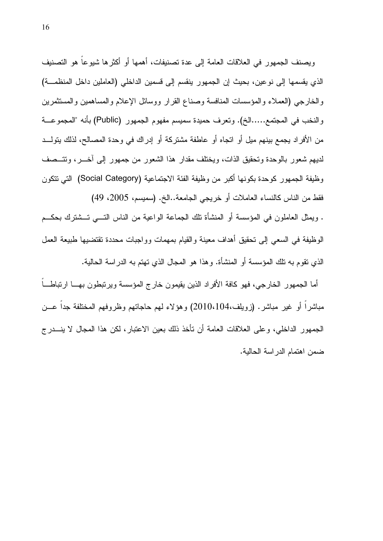ويصنف الجمهور في العلاقات العامة إلى عدة تصنيفات، أهمها أو أكثرها شيوعاً هو التصنيف الذي يقسمها إلى نوعين، بحيث إن الجمهور ينقسم إلى قسمين الداخلي (العاملين داخل المنظمة) والخارجي (العملاء والمؤسسات المنافسة وصناع القرار ووسائل الإعلام والمساهمين والمستثمرين والنخب في المجتمع.....الخ). وتعرف حميدة سميسم مفهوم الجمهور (Public) بأنه "المجموعـــة من الأفراد يجمع بينهم ميل أو اتجاه أو عاطفة مشتركة أو إدراك في وحدة المصالح، لذلك يتولــد لديهم شعور بالوحدة وتحقيق الذات، ويختلف مقدار هذا الشعور من جمهور إلى أخـــر، وتتـــصف وظيفة الجمهور كوحدة بكونها أكبر من وظيفة الفئة الاجتماعية (Social Category) التي تتكون فقط من الناس كالنساء العاملات أو خريجي الجامعة..الخ. (سميسم، 2005، 49) . ويمثِّل العاملون في المؤسسة أو المنشأة نلك الجماعة الواعية من الناس التـــي تـــشترك بحكـــم

الوظيفة في السعى إلى تحقيق أهداف معينة والقيام بمهمات وواجبات محددة تقتضيها طبيعة العمل الذي نقوم به نلك المؤسسة أو المنشأة. وهذا هو المجال الذي نهتم به الدراسة الحالية.

أما الجمهور الخارجي، فهو كافة الأفراد الذين يقيمون خارج المؤسسة ويرتبطون بهـــا ارتباطـــاً مباشراً أو غير مباشر. (زويلف،2010،104) وهؤلاء لهم حاجاتهم وظروفهم المختلفة جداً عـــن الجمهور الداخلي، وعلى العلاقات العامة أن تأخذ ذلك بعين الاعتبار، لكن هذا المجال لا ينـــدرج ضمن اهتمام الدراسة الحالية.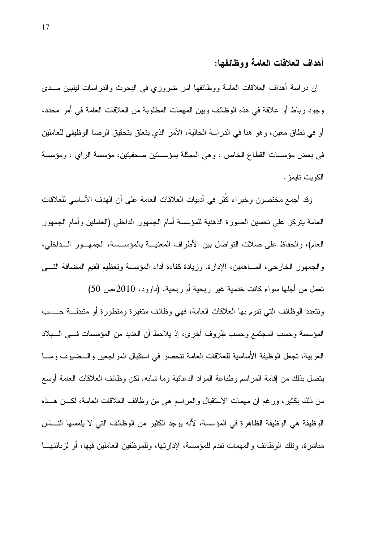#### أهداف العلاقات العامة ووظائفها:

إن در اسة أهداف العلاقات العامة ووظائفها أمر ضروري في البحوث والدر اسات ليتبين مـــدي وجود رباط أو علاقة في هذه الوظائف وبين المهمات المطلوبة من العلاقات العامة في أمر محدد، أو في نطاق معين، وهو هنا في الدراسة الحالية، الأمر الذي يتعلق بتحقيق الرضا الوظيفي للعاملين في بعض مؤسسات القطاع الخاص ، وهي الممثلة بمؤسستين صحفيتين، مؤسسة الراي ، ومؤسسة الكويت تايمز .

وقد أجمع مختصون وخبراء كُثر في أدبيات العلاقات العامة على أن الهدف الأساسي للعلاقات العامة بنزكز على نحسين الصورة الذهنية للمؤسسة أمام الجمهور الداخلي (العاملين وأمام الجمهور العام)، والحفاظ على صلات النواصل بين الأطراف المعنيـــة بالمؤســـسة، الجمهـــور الـــداخلي، والجمهور الخارجي، المساهمين، الإدارة. وزيادة كفاءة أداء المؤسسة وتعظيم القيم المضافة التسي تعمل من أجلها سواء كانت خدمية غير ربحية أم ربحية. (داوود، 2010،ص 50) ونتعدد الوظائف التبي نقوم بها العلاقات العامة، فهي وظائف منغيرة ومنطورة أو متبدلـــة حـــسب المؤسسة وحسب المجتمع وحسب ظروف أخرى، إذ يلاحظ أن العديد من المؤسسات فـــي الـــبلاد العربية، تجعل الوظيفة الأساسية للعلاقات العامة نتحصر في استقبال المراجعين والــضيوف ومـــا يتصل بذلك من إقامة المراسم وطباعة المواد الدعائية وما شابه. لكن وظائف العلاقات العامة أوسع من ذلك بكثير ، ورغم أن مهمات الاستقبال والمراسم هي من وظائف العلاقات العامة، لكـــن هـــذه الوظيفة هي الوظيفة الظاهرة في المؤسسة، لأنه يوجد الكثير من الوظائف التي لا يلمسها النساس مباشر ة، وتلك الوظائف والمهمات تقدم للمؤسسة، لإدار تها، وللموظفين العاملين فيها، أو لز بائنهـــا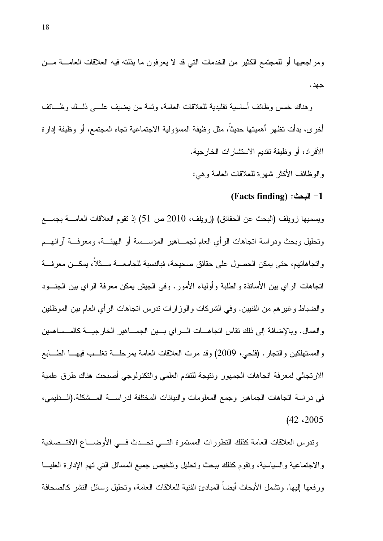ومراجعيها أو للمجتمع الكثير من الخدمات التي قد لا يعرفون ما بذلته فيه العلاقات العامــــة مــــن جهد .

وهناك خمس وظائف أساسبة نقلبدية للعلاقات العامة، وثمة من بضبف علـــي ذلـــك وظــــائف أُخرى، بدأت نظهر أهمينها حديثًا، مثل وظيفة المسؤولية الاجتماعية نجاه المجتمع، أو وظيفة إدارة الأفر اد، أو وظيفة نقديم الاستشار ات الخار جية.

و الوظائف الأكثر شهر ة للعلاقات العامة و هي:

#### 1- البحث: (Facts finding)

ويسميها زويلف (البحث عن الحقائق) (زويلف، 2010 ص 51) إذ نقوم العلاقات العامــــة بـجمــــع ونحليل وبحث ودراسة انجاهات الرأي العام لجمـــاهير المؤســـسة أو الهيئـــة، ومعرفـــة آرائهـــم و اتجاهاتهم، حتى بمكن الحصول على حقائق صحيحة، فبالنسبة للجامعـــة مـــثلا، بمكـــن معر فـــة اتجاهات الراي بين الأساتذة والطلبة وأولياء الأمور . وفي الجيش يمكن معرفة الراي بين الجنـــود والضباط وغير هم من الفنيين. وفي الشركات والوزارات ندرس انجاهات الرأي العام بين الموظفين والعمال. وبالإضافة إلى ذلك نقاس انجاهـــات الــــراي بــــين الـجمــــاهير الخارجيــــة كالمــــساهمين والمستهلكين والنجار . (فلحي، 2009) وقد مرت العلاقات العامة بمرحلــــة نغلـــب فيهــــا الطــــابـع الارتجالي لمعرفة اتجاهات الجمهور ونتيجة للتقدم العلمى والتكنولوجي أصبحت هناك طرق علمية في دراسة اتجاهات الجماهير وجمع المعلومات والبيانات المختلفة لدراســـة المـــشكلة.(الـــدليمي،  $(42, 2005)$ 

وندرس العلاقات العامة كذلك النطورات المستمرة التسي تحسدث فسي الأوضساع الاقتسصادية والاجتماعية والسياسية، وتقوم كذلك ببحث وتحليل وتلخيص جميع المسائل التبي تهم الإدارة العليسا ورفعها إليها. ونشمل الأبحاث أيضآ المبادئ الفنية للعلاقات العامة، ونحليل وسائل النشر كالصحافة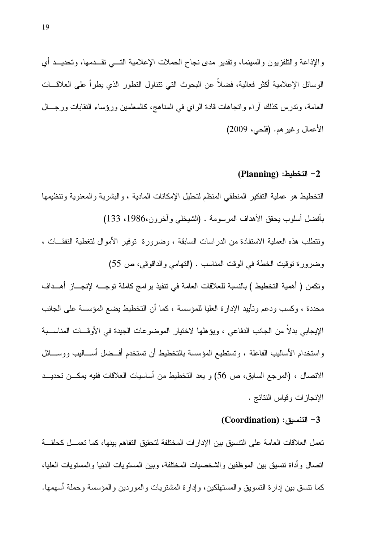والإذاعة والتلفزيون والسينما، ونقدير مدى نجاح الحملات الإعلامية التـــي نقـــدمها، وتحديـــد أي الوسائل الإعلامية أكثر فعالية، فضلا عن البحوث التي نتتاول النطور الذي يطرأ على العلاقـــات العامة، وندرس كذلك أراء وانجاهات قادة الراي في المناهج، كالمعلمين ورؤساء النقابات ورجـــال الأعمال وغيرهم. (فلحي، 2009)

 $(Planning):$ التخطيط:  $-2$ 

التخطيط هو عملية التفكير المنطقي المنظم لتحليل الإمكانات المادية ، والبشرية والمعنوية وتنظيمها بأفضل أسلوب يحقق الأهداف المرسومة . (الشيخلبي وآخرون،1986، 133) ونتطلب هذه العملية الاستفادة من الدراسات السابقة ، وضرورة توفير الأموال لتغطية النفقــات ، وضرورة نوفيت الخطة في الوقت المناسب . (التهامي والداقوقي، ص 55) ونكمن ( أهمية التخطيط ) بالنسبة للعلاقات العامة في نتفيذ بر امج كاملة نوجــــه لإنجــــاز أهــــداف محددة ، وكسب ودعم وتأييد الإدارة العليا للمؤسسة ، كما أن التخطيط يضع المؤسسة على الجانب الإيجابي بدلًا من الجانب الدفاعي ، ويؤهلها لاختيار الموضوعات الجيدة في الأوقـــات المناســـبة واستخدام الأساليب الفاعلة ، ونستطيع المؤسسة بالتخطيط أن تستخدم أفــضل أســـاليب ووســـائل الاتصال ، (المرجع السابق، ص 56) و يعد التخطيط من أساسيات العلاقات ففيه يمكــن تحديــد الإنجاز ات وقياس النتائج .

Coordination) : التنسيق (Coordination)

تعمل العلاقات العامة على التتسيق بين الإدارات المختلفة لتحقيق التفاهم بينها، كما تعمـــل كحلقـــة اتصال وأداة نتسيق بين الموظفين والشخصيات المختلفة، وبين المستويات الدنيا والمستويات العليا، كما نتسق بين إدار ة النسويق والمستهلكين، وإدار ة المشتريات والموردين والمؤسسة وحملة أسهمها.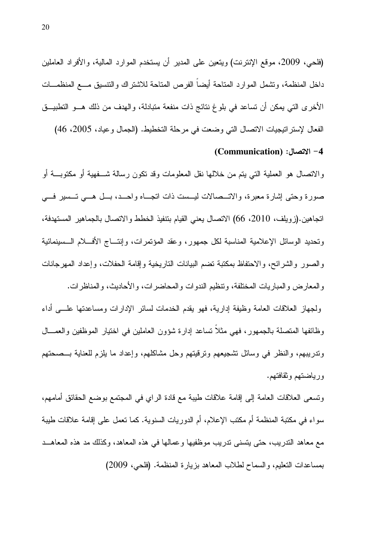(فلحي، 2009، موقع الإنترنت) ويتعين على المدير أن يستخدم الموارد المالية، والأفراد العاملين داخل المنظمة، ونشمل الموارد المتاحة أيضا الفرص المناحة للاشتراك والتتسبق مـــع المنظمـــات الأخرى التي يمكن أن تساعد في بلوغ نتائج ذات منفعة متبادلة، والهدف من ذلك هـــو التطبيـــق الفعال لإستر اتيجيات الاتصال التي وضعت في مرحلة التخطيط. (الجمال وعياد، 2005، 46)

Communication) : الاتصال $(-4)$ 

و الانصال هو العملية التي يتم من خلالها نقل المعلومات وقد نكون رسالة شـــفهية أو مكتوبـــة أو صورة وحتى إشارة معبرة، والاتـــصالات ليـــست ذات اتجـــاه واحـــد، بـــل هـــي تـــسير فـــي اتجاهين.(زويلف، 2010، 66) الاتصال يعني القيام بتنفيذ الخطط والاتصال بالجماهير المستهدفة، ونحديد الوسائل الإعلامية المناسبة لكل جمهور، وعقد المؤنمرات، وإنتـــاج الأفــــلام الــــسينمائية والصور والشرائح، والاحتفاظ بمكتبة تضم البيانات التاريخية وإقامة الحفلات، وإعداد المهرجانات والمعارض والمباريات المختلفة، ونتظيم الندوات والمحاضرات، والأحاديث، والمناظرات. ولجهاز العلاقات العامة وظيفة إدارية، فهو يقدم الخدمات لسائر الإدارات ومساعدتها علـــي أداء

وظائفها المنصلة بالجمهور، فهي مثلا نساعد إدارة شؤون العاملين في اختيار الموظفين والعمـــال وندريبهم، والنظر في وسائل تشجيعهم ونرقيتهم وحل مشاكلهم، وإعداد ما يلزم للعناية بـــصـحتهم ورباضتهم وثقافتهم.

ونسعى العلاقات العامة إلى إقامة علاقات طيبة مع قادة الراي في المجتمع بوضع الحقائق أمامهم، سواء في مكتبة المنظمة أم مكتب الإعلام، أم الدوريات السنوية. كما تعمل على إقامة علاقات طيبة مع معاهد الندريب، حتى يتسنى ندريب موظفيها وعمالها في هذه المعاهد، وكذلك مد هذه المعاهــد بمساعدات النعليم، والسماح لطلاب المعاهد بزيارة المنظمة. (فلحي، 2009)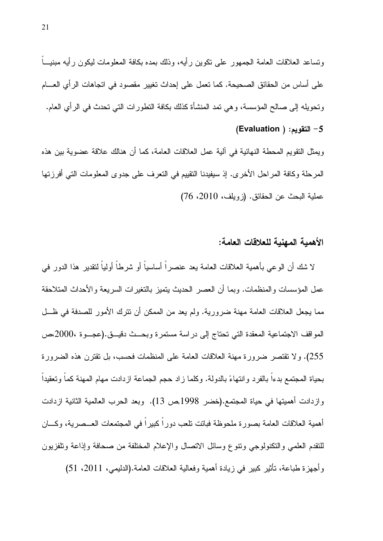ونساعد العلاقات العامة الجمهور على نكوين رأيه، وذلك بمده بكافة المعلومات ليكون رأيه مبنيـــاً على أساس من الحقائق الصحيحة. كما تعمل على إحداث تغيير مقصود في اتجاهات الرأي العــــام وتحويله إلى صـالح المؤسسة، وهي تمد المنشأة كذلك بكافة التطور ات التي تحدث في الرأى العام.

(Evaluation ) التقويم: (

و بمثل النقو بم المحطة النهائية في آلية عمل العلاقات العامة، كما أن هنالك علاقة عضو ية بين هذه المرحلة وكافة المراحل الأخرى. إذ سيفيدنا النقييم في النعرف على جدوى المعلومات التي أفرزتها عملية البحث عن الحقائق. (زويلف، 2010، 76)

#### الأهمية المهنية للعلاقات العامة:

لا شك أن الوعي بأهمية العلاقات العامة يعد عنصراً أساسياً أو شرطاً أولياً لنقدير هذا الدور في عمل المؤسسات والمنظمات. وبما أن العصر الحديث يتميز بالتغيرات السريعة والأحداث المتلاحقة مما يجعل العلاقات العامة مهنة ضرورية. ولم يعد من الممكن أن نترك الأمور للصدفة في ظـل المواقف الاجتماعية المعقدة التي تحتاج إلى دراسة مستمرة وبحــث دقيــق.(عجــوة ،2000مص 255). ولا نقتصر ضرورة مهنة العلاقات العامة على المنظمات فحسب، بل نقترن هذه الضرورة بحياة المجتمع بدءا بالفرد وانتهاءً بالدولة. وكلما زاد حجم الجماعة ازدادت مهام المهنة كما وتعقيدا وازدادت أهميتها في حياة المجتمع.(خضر 1998,ص 13). وبعد الحرب العالمية الثانية ازدادت أهمية العلاقات العامة بصورة ملحوظة فباتت نلعب دوراً كبيراً في المجتمعات العــصرية، وكـــان للنقدم العلمي والنكنولوجي وننوع وسائل الانصال والإعلام المختلفة من صحافة وإذاعة ونلفزيون وأجهزة طباعة، تأثير كبير في زيادة أهمية وفعالية العلاقات العامة.(الدليمي، 2011، 51)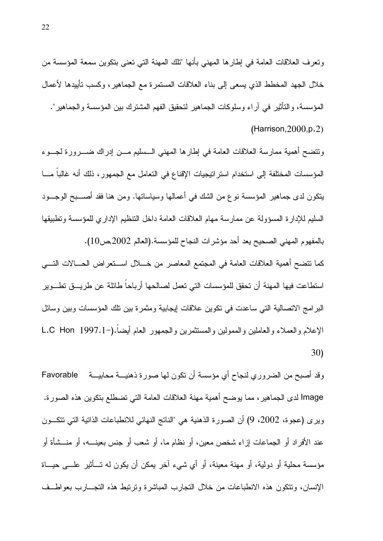ونعرف العلاقات العامة في إطارها المهني بأنها "تلك المهنة التي نعني بتكوين سمعة المؤسسة من خلال الجهد المخطط الذي يسعى إلى بناء العلاقات المستمرة مع الجماهير ، وكسب تأييدها لأعمال المؤسسة، والتأثير في آراء وسلوكات الجماهير لتحقيق الفهم المشترك بين المؤسسة والجماهير".  $(Harrison, 2000, p.2)$ 

ونتضح أهمية ممارسة العلاقات العامة في إطارها المهني السسليم مـــن إدراك ضــــرورة لـجـــوء المؤسسات المختلفة إلى استخدام استراتيجيات الإقناع في التعامل مع الجمهور ، ذلك أنه غالبا مـــا يتكون لدى جماهير المؤسسة نوع من الشك في أعمالها وسياساتها. ومن هنا فقد أصــــبح الوجـــود السليم للإدارة المسؤولة عن ممارسة مهام العلاقات العامة داخل التنظيم الإداري للمؤسسة وتطبيقها بالمفهوم المهنى الصحيح يعد أحد مؤشرات النجاح للمؤسسة.(العالم 2002,ص10).

كما نتضح أهمية العلاقات العامة في المجتمع المعاصر من خــــلال اســــتعر اض الحــــالات التــــي استطاعت فيها المهنة أن تحقق للمؤسسات التي تعمل لصالحها أرباحا طائلة عن طريـــق تطـــوير البرامج الاتصالية التي ساعدت في نكوين علاقات إيجابية ومثمرة بين نلك المؤسسات وبين وسائل الإعلام والعملاء والعاملين والممولين والمستثمرين والجمهور العام أيضاً.(−1.1-L.C Hon 1997 30)

وقد أصبح من الضروري لنجاح أي مؤسسة أن نكون لها صورة ذهنيـــة محابيـــة Favorable Image لدى الجماهير ، مما يوضح أهمية مهنة العلاقات العامة التي تضطلع بتكوين هذه الصورة. ويرى (عجوة، 2002، 9) أن الصورة الذهنية هي "الناتج النهائي للانطباعات الذانية التي نتكـــون عند الأفراد أو الجماعات إزاء شخص معين، أو نظام ما، أو شعب أو جنس بعينــــه، أو منـــشأة أو مؤسسة محلية أو دولية، أو مهنة معينة، أو أي شيء آخر يمكن أن يكون له تـــأثير علــــى حيـــاة الإنسان، ونتكون هذه الانطباعات من خلال النجارب المباشرة ونرنبط هذه النجسارب بعواطف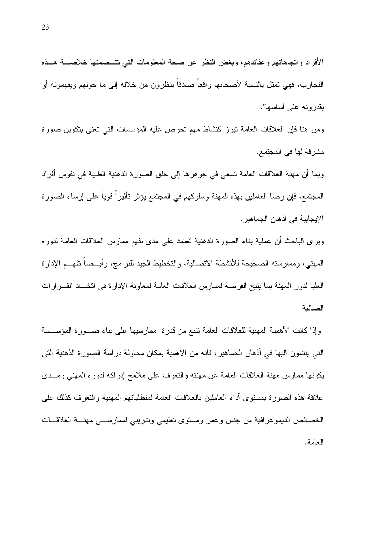ومن هنا فإن العلاقات العامة نبرز كنشاط مهم نحرص عليه المؤسسات التي نعني بنكوين صورة مشر قة لها في المجتمع.

وبما أن مهنة العلاقات العامة تسعى في جوهرها إلى خلق الصورة الذهنية الطيبة في نفوس أفراد المجتمع، فإن رضـا الـعاملين بـهذه المـهنـة وسلوكـهم فـي المـجتمـع يؤثر تـأثيراً قوياً علـي إرساء الصـورة الإيجابية في أذهان الجماهير .

وبرى الباحث أن عملية بناء الصورة الذهنية نعتمد على مدى نفهم ممارس العلاقات العامة لدوره المهنى، وممارسته الصحيحة للأنشطة الاتصالية، والتخطيط الجيد للبرامج، وأيــضا تفهــم الإدارة العليا لدور المهنة بما يتيح الفرصة لممارس العلاقات العامة لمعاونة الإدارة في اتخــاذ القـــرارات الصائنة

وإذا كانت الأهمية المهنية للعلاقات العامة نتبع من قدرة ً ممارسيها على بناء صــورة المؤســسة التي ينتمون إليها في أذهان الجماهير، فإنه من الأهمية بمكان محاولة دراسة الصورة الذهنية التي يكونها ممارس مهنة العلاقات العامة عن مهنته والتعرف على ملامح إدراكه لدوره المهنى ومــدى علاقة هذه الصورة بمستوى أداء العاملين بالعلاقات العامة لمتطلباتهم المهنية والتعرف كذلك على الخصائص الديموغرافية من جنس وعمر ومستوى تعليمي وندريبي لممارسى مهنسة العلاقسات العامة.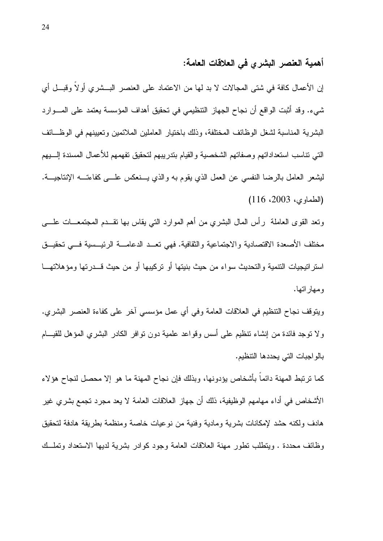### أهمية العنصر البشرى في العلاقات العامة:

إن الأعمال كافة في شتى المجالات لا بد لها من الاعتماد على العنصر البـــشرى أو لا وقبـــل أي شيء. وقد أثبت الواقع أن نجاح الجهاز التنظيمي في تحقيق أهداف المؤسسة يعتمد على المـــوارد البشرية المناسبة لشغل الوظائف المختلفة، وذلك باختيار العاملين الملائمين وتعيينهم في الوظـــائف النبي نناسب استعداداتهم وصفاتهم الشخصية والقيام بندريبهم لنحقيق نفهمهم للأعمال المسندة إلـــبهم ليشعر العامل بالرضا النفسي عن العمل الذي يقوم به والذي يـــنعكس علــــي كفاءتــــه الإنتاجيـــة. (الطماوى، 2003، 116)

ونعد القوى العاملة رأس المال البشرى من أهم الموارد التي بقاس بها نقــدم المجتمعـــات علــــي مختلف الأصعدة الاقتصادية والاجتماعية والثقافية. فهي نعــد الدعامـــة الرئيـــسية فـــي تحقيـــق استراتيجيات التتمية والتحديث سواء من حيث بنيتها أو تركيبها أو من حيث قـــدرتها ومؤهلاتهـــا و مـهـار انـهـا.

ويتوقف نجاح التنظيم في العلاقات العامة وفي أي عمل مؤسسي اخر على كفاءة العنصر البشري. ولا نوجد فائدة من إنشاء نتظيم على أسس وقواعد علمية دون نوافر الكادر البشرى المؤهل للقيـــام بالواجبات التي يحددها التتظيم.

كما نرتبط المهنة دائماً بأشخاص يؤدونها، وبذلك فإن نجاح المهنة ما هو إلا محصل لنجاح هؤلاء الأشخاص في أداء مهامهم الوظيفية، ذلك أن جهاز العلاقات العامة لا يعد مجرد تجمع بشري غير هادف ولكنه حشد لإمكانات بشرية ومادية وفنية من نوعيات خاصة ومنظمة بطريقة هادفة لتحقيق وظائف محددة . ويتطلب نطور ٍ مهنة العلاقات العامة وجود كوادر بشرية لديها الاستعداد ونملَّــك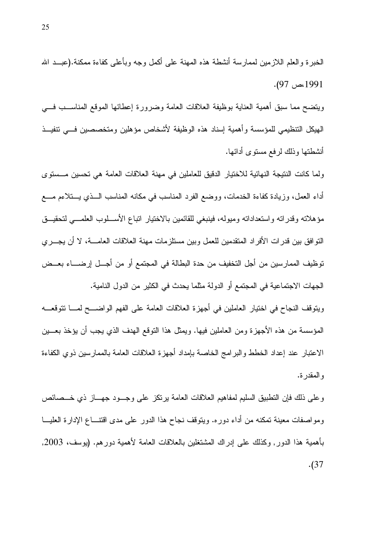وينضح مما سبق أهمية العناية بوظيفة العلاقات العامة وضرورة إعطائها الموقع المناســب فـــي الهيكل التنظيمي للمؤسسة وأهمية إسناد هذه الوظيفة لأشخاص مؤهلين ومتخصصين فسى تتفيــذ أنشطتها وذلك لرفع مستوى أدائها.

ولما كانت النتيجة النهائية للاختيار الدقيق للعاملين في مهنة العلاقات العامة هي تحسين مــستوى أداء العمل، وزيادة كفاءة الخدمات، ووضع الفرد المناسب في مكانه المناسب الــذي يـــتلاءم مــــع مؤهلاته وقدراته واستعداداته ومبوله، فينبغي للقائمين بالاختيار اتباع الأســـلوب العلمـــي لتحقيـــق النَّوافق بين قدرات الأفراد المنقدمين للعمل وبين مستلزمات مهنة العلاقات العامــــة، لا أن يجـــري توظيف الممارسين من أجل التخفيف من حدة البطالة في المجتمع أو من أجـــل إرضـــــاء بعـــض الجهات الاجتماعية في المجتمع أو الدولة مثلما يحدث في الكثير من الدول النامية.

ويتوقف النجاح في اختيار العاملين في أجهزة العلاقات العامة على الفهم الواضـــح لمـــا نتوقعـــه المؤسسة من هذه الأجهزة ومن العاملين فيها. ويمثل هذا النوقع الهدف الذي يجب أن يؤخذ بعـــين الاعتبار عند إعداد الخطط والبرامج الخاصة بإمداد أجهزة العلاقات العامة بالممارسين ذوي الكفاءة و المقدر ة.

وعلى ذلك فإن النطبيق السليم لمفاهيم العلاقات العامة برنكز على وجـــود جهـــاز ذي خـــصـائص ومواصفات معينة تمكنه من أداء دوره. ويتوقف نجاح هذا الدور على مدى اقتنـــاع الإدارة العليـــا بأهمية هذا الدور٬ وكذلك على إدراك المشتغلين بالعلاقات العامة لأهمية دورهم. (يوسف، 2003,  $(37)$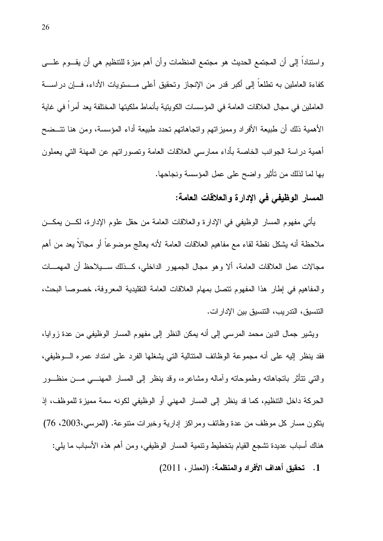واسنتاداً إلى أن المجتمع الحديث هو مجتمع المنظمات وأن أهم ميزة للنتظيم هي أن يقـــوم علــــي كفاءة العاملين به نطلعا إلى أكبر قدر من الإنجاز ونحقيق أعلى مـــستويات الأداء، فــــإن دراســــة العاملين في مجال العلاقات العامة في المؤسسات الكويتية بأنماط ملكيتها المختلفة يعد أمراً في غاية الأهمية ذلك أن طبيعة الأفراد ومميزاتهم واتجاهاتهم تحدد طبيعة أداء المؤسسة، ومن هنا تتــضح أهمية دراسة الجوانب الخاصة بأداء ممارسي العلاقات العامة وتصوراتهم عن المهنة التي يعملون بها لما لذلك من تأثير واضح على عمل المؤسسة ونجاحها.

### المسار الوظيفي في الإدارة والعلاقات العامة:

يأتي مفهوم المسار الوظيفي في الإدارة والعلاقات العامة من حقل علوم الإدارة، لكـــن يمكـــن ملاحظة أنه بِشكل نقطة لقاء مع مفاهيم العلاقات العامة لأنه بعالج موضوعاً أو مجالاً بعد من أهم مجالات عمل العلاقات العامة، ألا وهو مجال الجمهور الداخلي، كــذلك ســبلاحظ أن المهمـــات و المفاهيم في إطار هذا المفهوم نتصل بمهام العلاقات العامة التقليدية المعروفة، خصوصا البحث، التنسيق، التدريب، التنسيق بين الإدارات.

ويشير جمال الدين محمد المرسي إلى أنه يمكن النظر إلى مفهوم المسار الوظيفي من عدة زوايا، فقد ينظر إليه على أنه مجموعة الوظائف المتتالية التي يشغلها الفرد على امتداد عمره الـــوظيفي، والتبي نتأثر بانجاهانه وطموحانه وأماله ومشاعره، وقد بنظر إلى المسار المهنسي مـــن منظـــور الحركة داخل التنظيم، كما قد ينظر إلى المسار المهنى أو الوظيفي لكونه سمة مميزة للموظف، إذ يتكون مسار كل موظف من عدة وظائف ومراكز إدارية وخبرات منتوعة. (المرسى،2003، 76) هناك أسباب عديدة تشجع القيام بتخطيط وتتمية المسار الوظيفي، ومن أهم هذه الأسباب ما يلي:

1. تحقيق أهداف الأفراد والمنظمة: (العطار ، 2011)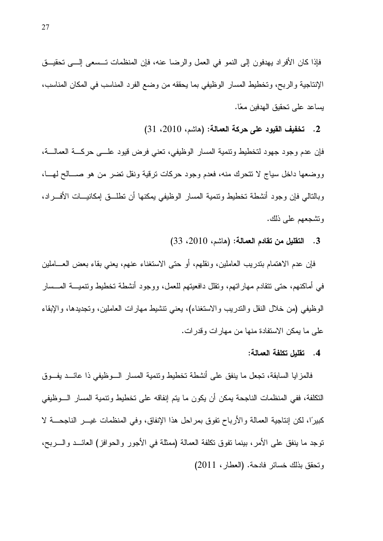فإذا كان الأفراد بهدفون إلى النمو في العمل والرضا عنه، فإن المنظمات تـــسعى إلــــي تحقيـــق الإنتاجية والربح، وتخطيط المسار الوظيفي بما يحققه من وضع الفرد المناسب في المكان المناسب، يساعد على تحقيق الهدفين معًا.

2. تخفيف القيود على حركة العمالة: (هاشم، 2010، 31)

فإن عدم وجود جهود لتخطيط ونتمية المسار الوظيفي، نعني فرض فيود علـــي حركــــة العمالــــة، ووضعها داخل سياج لا نتحرك منه، فعدم وجود حركات نرقية ونقل نضر من هو صـــالح لهـــا، وبالنالي فإن وجود أنشطة نخطيط ونتمية المسار الوظيفي يمكنها أن نطلـــق إمكانيــــات الأفــــراد، وتشجعهم على ذلك.

3. التقليل من تقادم العمالة: (هاشم، 2010، 33)

فإن عدم الاهتمام بندريب العاملين، ونقلهم، أو حتى الاستغناء عنهم، يعني بقاء بعض العـــاملين في أماكنهم، حتى نتقادم مهاراتهم، ونقلل دافعيتهم للعمل، ووجود أنشطة تخطيط ونتميـــة المـــسار الوظيفي (من خلال النقل والندريب والاستغناء)، يعني نتشيط مهارات العاملين، ونجديدها، والإبقاء علمي ما يمكن الاستفادة منها من مهارات وقدرات.

#### 4. تقلبل تكلفة العمالة:

فالمزايا السابقة، تجعل ما ينفق على أنشطة تخطيط وتنمية المسار الـــوظيفي ذا عائـــد يفـــوق النكلفة، ففي المنظمات الناجحة يمكن أن يكون ما يتم إنفاقه على تخطيط ونتمية المسار السوظيفي كبيرًا، لكن إنتاجية العمالة والأرباح تفوق بمراحل هذا الإنفاق، وفي المنظمات غيـــر الناجحـــة لا توجد ما ينفق على الأمر، بينما تفوق تكلفة العمالة (ممثلة في الأجور والحوافز) العائـــد والــــربح، وتحقق بذلك خسائر فادحة. (العطار، 2011)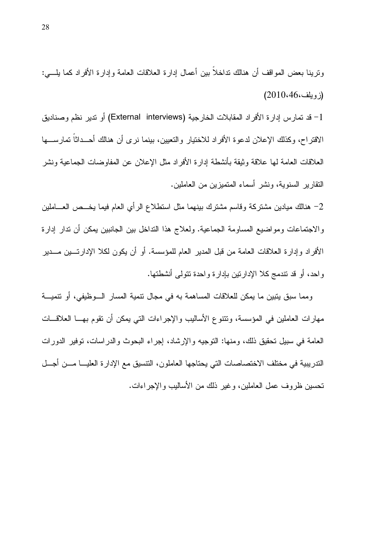ونرينا بعض المواقف أن هنالك نداخلاً بين أعمال إدارة العلاقات العامة وإدارة الأفراد كما يلـــي:  $(2010.46, 46)$ 

1- قد تمارس إدارة الأفراد المقابلات الخارجية (External interviews) أو ندير نظم وصناديق الاقتراح، وكذلك الإعلان لدعوة الأفراد للاختيار والتعيين، بينما نرى أن هنالك أحــداثاً تمارســـها العلاقات العامة لها علاقة وثيقة بأنشطة إدارة الأفراد مثل الإعلان عن المفاوضات الجماعية ونشر النقارير السنوية، ونشر أسماء المنميزين من العاملين.

2– هنالك ميادين مشتركة وقاسم مشترك ببنهما مثل استطلاع الرأى العام فيما بخـــص العــــاملين والاجتماعات ومواضيع المساومة الجماعية. ولعلاج هذا النداخل بين الجانبين يمكن أن ندار إدارة الأفراد وإدارة العلاقات العامة من قبل المدير العام للمؤسسة. أو أن يكون لكلا الإدارتـــين مـــدير واحد، أو قد نتدمج كلا الإدارنين بإدارة واحدة نتولمي أنشطتها.

ومما سبق يتبين ما يمكن للعلاقات المساهمة به في مجال نتمية المسار الـوظيفي، أو نتميــة مهارات العاملين في المؤسسة، ونتنوع الأساليب والإجراءات التي يمكن أن نقوم بهـــا العلاقـــات العامة في سبيل تحقيق ذلك، ومنها: التوجيه والإرشاد، إجراء البحوث والدراسات، توفير الدورات الندريبية في مختلف الاختصاصات التي يحتاجها العاملون، النتسيق مع الإدارة العليـــا مـــن أجـــل تحسين ظروف عمل العاملين، وغير ذلك من الأساليب والإجراءات.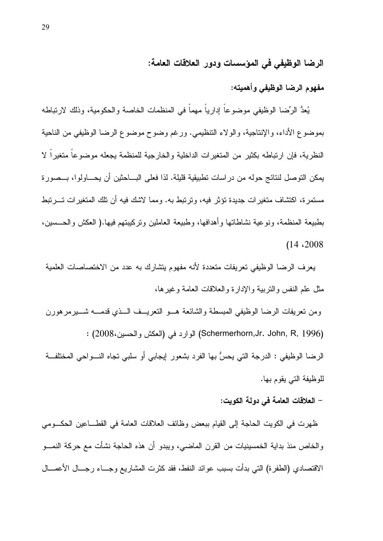الرضا الوظيفي في المؤسسات ودور العلاقات العامة:

مفهوم الرضا الوظيفي وأهمبته:

يُعدُّ الرِّضا الوظيفي موضوعاً إدارياً مهماً في المنظمات الخاصة والحكومية، وذلك لارتباطه بموضوع الأداء، والإنتاجية، والولاء التنظيمي. ورغم وضوح موضوع الرضا الوظيفي من الناحية النظرية، فإن ارتباطه بكثير من المتغيرات الداخلية والخارجية للمنظمة يجعله موضوعاً متغيراً لا يمكن التوصل لنتائج حوله من در اسات تطبيقية قليلة. لذا فعلى البـــاحثين أن يحــــاولوا، بـــصورة مستمرة، اكتشاف متغيرات جديدة نؤثر فيه، وترتبط به. ومما لاشك فيه أن نلك المتغيرات تـــرتبط بطبيعة المنظمة، ونوعية نشاطاتها وأهدافها، وطبيعة العاملين ونركيبتهم فيها.( العكش والحـــسين،  $(14.2008$ 

يعرف الرضا الوظيفي تعريفات متعددة لأنه مفهوم يتشارك به عدد من الاختصاصات العلمية مثل علم النفس والنرببية والإدارة والعلاقات العامة وغيرها،

ومن نعريفات الرضا الوظيفي المبسطة والشائعة هـــو النعريـــف الـــذي قدمــــه شــــيرمرهورن (Schermerhorn,Jr. John, R, 1996) الوارد في (العكش والحسين،2008) :

الرضا الوظيفي : الدرجة التي يحسُّ بها الفرد بشعور إيجابي أو سلبي نجاه النـــواحي المختلفـــة للوظيفة التي يقوم بها.

– العلاقات العامة في دولة الكويت:

ظهرت في الكويت الحاجة إلى القيام ببعض وظائف العلاقات العامة في القطـــاعين الحكـــومي والخاص منذ بداية الخمسينيات من القرن الماضي، ويبدو أن هذه الحاجة نشأت مع حركة النمـــو الاقتصادي (الطفرة) التي بدأت بسبب عوائد النفط، فقد كثرت المشاريع وجـــاء رجـــال الأعمــــال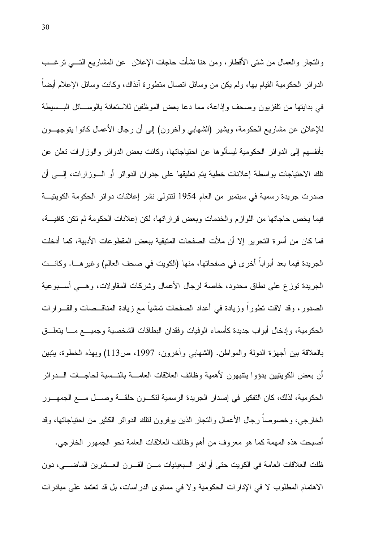والنجار والعمال من شتبي الأقطار، ومن هنا نشأت حاجات الإعلان عن المشاريع التسبي نرغـــب الدوائر الحكومية القيام بها، ولم يكن من وسائل اتصال متطورة انذاك، وكانت وسائل الإعلام أيضاً في بدايتها من تلفزيون وصحف وإذاعة، مما دعا بعض الموظفين للاستعانة بالوســـائل البـــسيطة للإعلان عن مشاريع الحكومة، ويشير (الشهابي وأخرون) إلى أن رجال الأعمال كانوا بنوجهـــون بأنفسهم إلى الدوائر الحكومية ليسألو ها عن احتياجاتها، وكانت بعض الدوائر والوز ار ات تعلن عن تلك الاحتياجات بواسطة إعلانات خطية يتم تعليقها على جدران الدوائر أو الــوزارات، إلـــي أن صدرت جريدة رسمية في سبتمبر من العام 1954 لنتولى نشر إعلانات دوائر الحكومة الكويتيــة فيما يخص حاجاتها من اللوازم والخدمات وبعض قراراتها، لكن إعلانات الحكومة لم نكن كافية، فما كان من أسرة التحرير ۖ إلا أن ملأت الصفحات المتبقية ببعض المقطوعات الأدبية، كما أدخلت الجريدة فيما بعد أبوابا أخرى في صفحاتها، منها (الكويت في صحف العالم) وغيرهـــا. وكانـــت الجريدة نوزع على نطاق محدود، خاصة لرجال الأعمال وشركات المقاولات، وهـــي أســـبوعية الصدور، وقد لاقت نطوراً وزيادة في أعداد الصفحات نمشياً مع زيادة المناقــصـات والقـــرارات الحكومية، وإدخال أبو اب جديدة كأسماء الوفيات وفقدان البطاقات الشخصية وجميسع مسا يتعلسق بالعلاقة بين أجهزة الدولة والمواطن. (الشهابي وأخرون، 1997، ص113) وبهذه الخطوة، يتبين أن بعض الكوينيين بدؤوا يتنبهون لأهمية وظائف العلاقات العامــــة بالنـــسبة لحاجـــات الــــدوائر الحكومية، لذلك، كان التفكير في إصدار الجريدة الرسمية لتكـون حلقـة وصـل مـع الجمهـور الخارجي، وخصوصا رجال الأعمال والنجار الذين يوفرون لنلك الدوائر الكثير من احتياجاتها، وقد أصبحت هذه المهمة كما هو معروف من أهم وظائف العلاقات العامة نحو الجمهور الخارجي. ظلت العلاقات العامة في الكويت حتى أواخر السبعينيات مـــن القــــرن العـــشرين الماضــــي، دون الاهتمام المطلوب لا في الإدارات الحكومية و لا في مستوى الدر اسات، بل قد تعتمد على مبادرات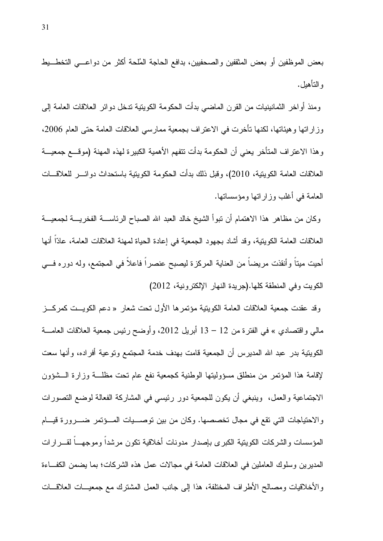بعض الموظفين أو بعض المثقفين والصحفيين، بدافع الحاجة المُلحة أكثر من دواعـــي التخطـــيط و التأهيل.

ومنذ أواخر الثمانينيات من القرن الماضي بدأت الحكومة الكويتية تدخل دوائر العلاقات العامة إلى وز إراتها و هيئاتها، لكنها تأخرت في الاعتر اف بجمعية ممارسي العلاقات العامة حتى العام 2006، و هذا الاعتر اف المتأخر يعني أن الحكومة بدأت نتفهم الأهمية الكبير ة لهذه المهنة (مو قــــع جمعيـــة العلاقات العامة الكويتية، 2010)، وقبل ذلك بدأت الحكومة الكويتية باستحداث دوائـــر للعلاقـــات العامة في أغلب وزاراتها ومؤسساتها.

وكان من مظاهر هذا الاهتمام أن نبوأ الشيخ خالد العبد الله الصباح الرئاســــة الفخريــــة لـجمعيــــة العلاقات العامة الكويتية، وقد أشاد بجهود الجمعية في إعادة الحياة لمهنة العلاقات العامة، عادًا أنها أُحيِت مينا وأنقذت مريضا من العناية المركزة ليصبح عنصرا فاعلا في المجتمع، وله دوره فسي الكويت وفي المنطقة كلها. (جريدة النهار الإلكترونية، 2012)

وقد عقدت جمعية العلاقات العامة الكويتية مؤتمرها الأول تحت شعار « دعم الكويــت كمركـــز مالي واقتصادي » في الفترة من 12 – 13 أبريل 2012، وأوضح رئيس جمعية العلاقات العامـــة الكويتية بدر عبد الله المديرس أن الجمعية قامت بهدف خدمة المجتمع وتوعية أفراده، وأنها سعت لإقامة هذا المؤتمر من منطلق مسؤوليتها الوطنية كجمعية نفع عام تحت مظلـــة وزارة الـــشؤون الاجتماعية والعمل، وينبغي أن يكون للجمعية دور رئيسي في المشاركة الفعالة لوضع التصورات والاحتياجات التي تقع في مجال تخصصها. وكان من بين توصـــيات المـــؤتمر ضــــرورة قيــــام المؤسسات والشركات الكوينية الكبرى بإصدار مدونات أخلاقية نكون مرشدا وموجهـــا لقـــرارات المديرين وسلوك العاملين في العلاقات العامة في مجالات عمل هذه الشركات؛ بما يضمن الكفاءة و الأخلاقيات ومصالح الأطراف المختلفة، هذا إلى جانب العمل المشترك مع جمعيـــات العلاقـــات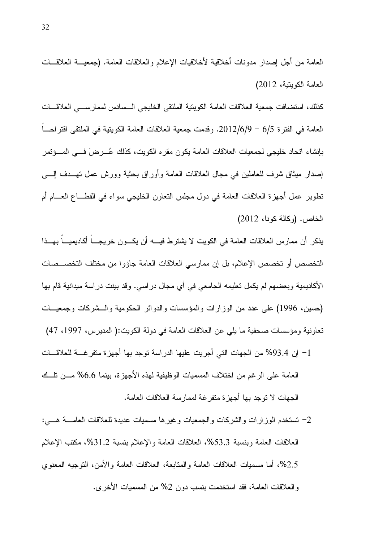العامة من أجل إصدار مدونات أخلاقية لأخلاقيات الإعلام والعلاقات العامة. (جمعيـــة العلاقـــات العامة الكويتية، 2012) كذلك، استضافت جمعية العلاقات العامة الكويتية الملتقى الخليجي السسادس لممارســـي العلاقـــات

العامة في الفتر ة 6/5 – 2012/6/9. وقدمت جمعية العلاقات العامة الكويتية في الملتقى اقتر احسا بإنشاء اتحاد خليجي لجمعيات العلاقات العامة يكون مقر ه الكويت، كذلك عُـــر ضَ فـــي المــــؤتمر إصدار ميثاق شرف للعاملين في مجال العلاقات العامة وأوراق بحثية وورش عمل تهبدف إليبي نطوير عمل أجهزة العلاقات العامة في دول مجلس النعاون الخليجي سواء في القطـــاع العــــام أم الخاص. (وكالة كونا، 2012)

يذكر أن ممارس العلاقات العامة في الكويت لا يشترط فيــــه أن يكـــون خريجــــا أكاديميـــاً بهـــذا التخصص أو تخصص الإعلام، بل إن ممارسي العلاقات العامة جاؤوا من مختلف التخصـــصات الأكاديمية وبعضهم لم يكمل تعليمه الجامعي في أي مجال در اسي. وقد بينت در اسة ميدانية قام بها (حسين، 1996) على عدد من الوزارات والمؤسسات والدوائر الحكومية والـــشركات وجمعيـــات تعاونية ومؤسسات صحفية ما يلي عن العلاقات العامة في دولة الكويت:( المديرس، 1997، 47)

- 1– إن 93.4% من الجهات التي أجريت عليها الدراسة توجد بها أجهزة متفرغـــة للعلاقـــات العامة على الر غم من اختلاف المسميات الوظيفية لهذه الأجهز ة، بينما 6.6% مـــن تلـــك الجهات لا توجد بها أجهزة متفرغة لممارسة العلاقات العامة.
- 2– تستخدم الوزارات والشركات والجمعيات وغيرها مسميات عديدة للعلاقات العامــــة هــــي: العلاقات العامة وبنسبة 53.3%، العلاقات العامة والإعلام بنسبة 31.2%، مكتب الإعلام 2.5%، أما مسميات العلاقات العامة والمنابعة، العلاقات العامة والأمن، النوجيه المعنوى و العلاقات العامة، فقد استخدمت بنسب دون 2% من المسميات الأخر ي.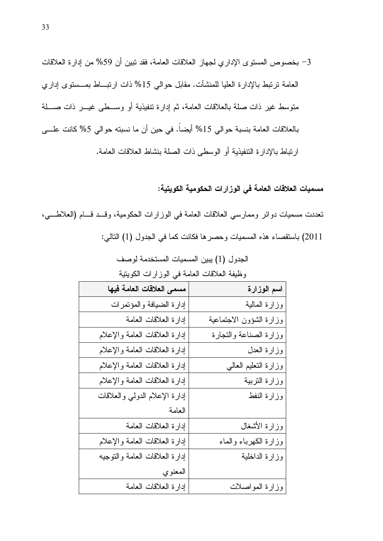3- بخصوص المستوى الإداري لجهاز العلاقات العامة، فقد تبين أن 59% من إدارة العلاقات العامة نرتبط بالإدارة العليا للمنشأت. مقابل حوالي 15% ذات ارتبــاط بمـــستوى إداري متوسط غير ذات صلة بالعلاقات العامة، ثم إدارة تنفيذية أو وســطى غيـــر ذات صــــلة بالعلاقات العامة بنسبة حوالي 15% أيضاً. في حين أن ما نسبته حوالي 5% كانت علـــي ار تباط بالإدار ة التنفيذية أو الوسطى ذات الصلة بنشاط العلاقات العامة.

مسميات العلاقات العامة في الوزارات الحكومية الكويتية:

تعددت مسميات دوائر وممارسي العلاقات العامة في الوزارات الحكومية، وقــد قــام (العلاطـــي، 2011) باستقصاء هذه المسميات وحصرها فكانت كما في الجدول (1) التالي:

| انعامہ نبی انور ارات اندویتیہ<br>و صبعہ العارفات |                         |  |  |
|--------------------------------------------------|-------------------------|--|--|
| مسمى العلاقات العامة فيها                        | اسم الوزارة             |  |  |
| إدارة الضبافة والمؤتمرات                         | وزارة المالية           |  |  |
| إدارة العلاقات العامة                            | وزارة الشؤون الاجتماعية |  |  |
| إدارة العلاقات العامة والإعلام                   | وزارة الصناعة والتجارة  |  |  |
| إدارة العلاقات العامة والإعلام                   | وزارة العدل             |  |  |
| إدارة العلاقات العامة والإعلام                   | وزارة النعليم العالي    |  |  |
| إدارة العلاقات العامة والإعلام                   | وزارة التربية           |  |  |
| إدارة الإعلام الدولمي والعلاقات                  | وزارة النفط             |  |  |
| العامة                                           |                         |  |  |
| إدارة العلاقات العامة                            | وزارة الأشغال           |  |  |
| إدارة العلاقات العامة والإعلام                   | وزارة الكهرباء والماء   |  |  |
| إدارة العلاقات العامة والنوجيه                   | وزارة الداخلية          |  |  |
| المعنوي                                          |                         |  |  |
| إدارة العلاقات العامة                            | وزارة المواصلات         |  |  |

الجدول (1) يبين المسميات المستخدمة لوصف طردفة المرحون المصارفية بالمرز ارادين الكمردزرة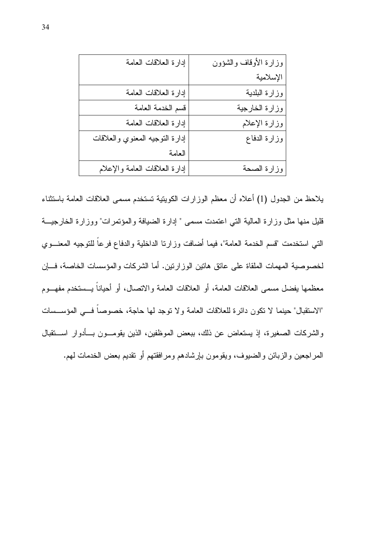| إدارة العلاقات العامة           | وزارة الأوقاف والشؤون |
|---------------------------------|-----------------------|
|                                 | الإسلامية             |
| إدارة العلاقات العامة           | وزارة البلدية         |
| فسم الخدمة العامة               | وزارة الخارجية        |
| إدارة العلاقات العامة           | وزارة الإعلام         |
| إدارة النوجيه المعنوي والعلاقات | وزارة الدفاع          |
| العامة                          |                       |
| إدارة العلاقات العامة والإعلام  | وزارة الصحة           |

يلاحظ من الجدول (1) أعلاه أن معظم الوزارات الكوينية تستخدم مسمى العلاقات العامة باستثناء قليل منها مثل وزارة المالية التي اعتمدت مسمى " إدارة الضبافة والمؤتمرات" ووزارة الخارجيــة النبي استخدمت "قسم الخدمة العامة"، فيما أضافت وزارنا الداخلية والدفاع فرعاً للتوجيه المعنـــوي لخصوصية المهمات الملقاة على عاتق هاتين الوزارنين. أما الشركات والمؤسسات الخاصة، فـــإن معظمها بفضل مسمى العلاقات العامة، أو العلاقات العامة والانصال، أو أحياناً يــستخدم مفهــوم "الاستقبال" حينما لا نكون دائرة للعلاقات العامة ولا نوجد لها حاجة، خصوصاً فـــي المؤســسات والشركات الصغيرة، إذ يستعاض عن ذلك، ببعض الموظفين، الذين يقومـــون بـــأدوار اســـنقبال المراجعين والزبائن والضيوف، ويقومون بإرشادهم ومرافقتهم أو نقديم بعض الخدمات لمهم.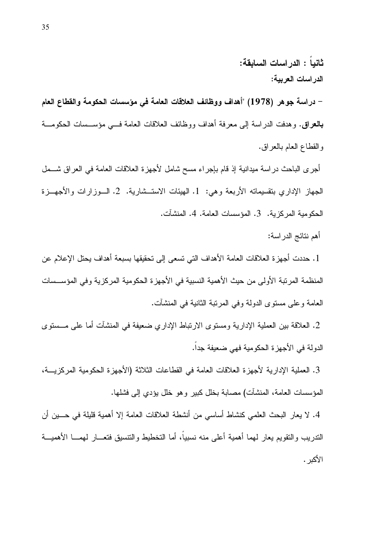ثانباً : الدر اسات السابقة: الدر اسات العربية: – دراسة جوهر (1978) "أهداف ووظائف العلاقات العامة في مؤسسات الحكومة والقطاع العام **بالعراق.** وهدفت الدراسة إلى معرفة أهداف ووظائف العلاقات العامة فـــى مؤســـسات الحكومـــة والقطاع العام بالعراق.

أجرى الباحث دراسة ميدانية إذ قام بإجراء مسح شامل لأجهزة العلاقات العامة في العراق شـــمل الجهاز الإداري بنقسيماته الأربعة وهي: 1. الهيئات الاستــشارية. 2. الــوزارات والأجهــزة الحكومية المركزية. 3. المؤسسات العامة. 4. المنشآت.

أهم نتائج الدراسة:

1. حددت أجهز ة العلاقات العامة الأهداف التي تسعى إلى تحقيقها بسبعة أهداف بحتل الإعلام عن المنظمة المرتبة الأولى من حيث الأهمية النسبية في الأجهزة الحكومية المركزية وفي المؤســسات العامة و على مستوى الدولة وفي المرتبة الثانية في المنشآت.

2. العلاقة بين العملية الإدارية ومستوى الارتباط الإداري ضعيفة في المنشآت أما على مـــستوى الدولة في الأجهز ة الحكومية فهي ضعيفة جداً.

3. العملية الإدارية لأجهزة العلاقات العامة في القطاعات الثلاثة (الأجهزة الحكومية المركزيـــة، المؤسسات العامة، المنشآت) مصابة بخلل كبير وهو خلل بؤدي إلى فشلها.

4. لا يعار البحث العلمي كنشاط أساسي من أنشطة العلاقات العامة إلا أهمية قليلة في حـــين أن الندريب والنقويم يعار لمهما أهمية أعلى منه نسبياً، أما التخطيط والنتسيق فتعـــار لمهمــــا الأهميـــة الأكىر .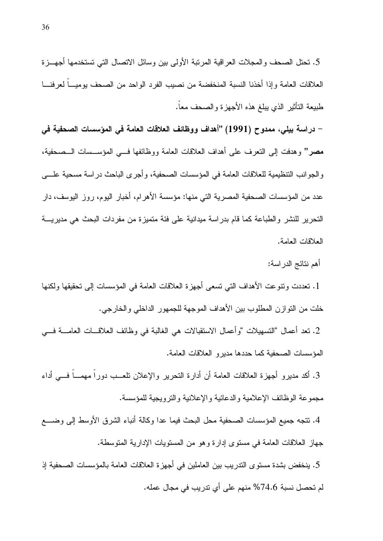5. نحتل الصحف والمجلات العراقية المرتبة الأولى بين وسائل الاتصال التي تستخدمها أجهـــزة العلاقات العامة وإذا أخذنا النسبة المنخفضة من نصيب الفرد الواحد من الصحف بوميــا لعرفنـــا طبيعة النأثير الذى يبلغ هذه الأجهزة والصحف معاً.

– دراسة بيلي، ممدوح (1991) "أهداف ووظائف العلاقات العامة في المؤسسات الصحفية في مصر" وهدفت إلى النعرف على أهداف العلاقات العامة ووظائفها فـــي المؤســـسات الـــصـحفية، والجوانب التنظيمية للعلاقات العامة في المؤسسات الصحفية، وأجرى الباحث دراسة مسحية علـــي عدد من المؤسسات الصحفية المصرية التي منها: مؤسسة الأهرام، أخبار اليوم، روز اليوسف، دار التحرير للنشر والطباعة كما قام بدراسة ميدانية على فئة متميزة من مفردات البحث هي مديريـــة العلاقات العامة.

أهم نتائج الدر اسة:

1. تعددت وتنوعت الأهداف التي تسعى أجهزة العلاقات العامة في المؤسسات إلى تحقيقها ولكنها خلت من النوازن المطلوب بين الأهداف الموجهة للجمهور الداخلي والخارجي.

2. نعد أعمال "النسهيلات "وأعمال الاستقبالات هي الغالبة في وظائف العلاقـــات العامــــة فــــي المؤسسات الصحفية كما حددها مديرو العلاقات العامة.

3. أكد مديرو أجهزة العلاقات العامة أن أدارة النحرير والإعلان نلعـــب دورا مهمـــا فـــي أداء مجموعة الوظائف الإعلامية والدعائية والإعلانية والترويجية للمؤسسة.

4. نتجه جميع المؤسسات الصحفية محل البحث فيما عدا وكالة أنباء الشرق الأوسط إلى وضــــع جهاز العلاقات العامة في مستوى إدارة وهو من المستويات الإدارية المتوسطة.

5. ينخفض بشدة مستوى التدريب بين العاملين في أجهزة العلاقات العامة بالمؤسسات الصحفية إذ لم تحصل نسبة 74.6% منهم على أي ندريب في مجال عمله.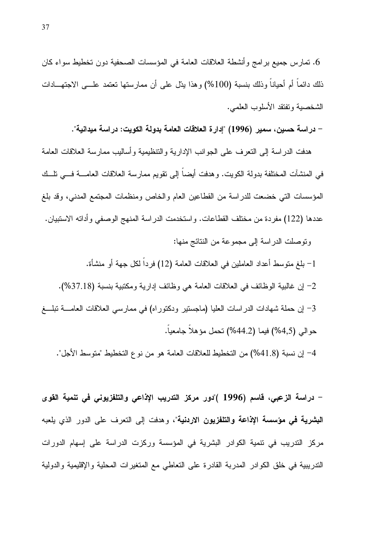6. تمارس جميع برامج وأنشطة العلاقات العامة في المؤسسات الصحفية دون تخطيط سواء كان ذلك دائما أم أحيانا وذلك بنسبة (100%) وهذا يدّل على أن ممارستها نعتمد علـــي الاجتهـــادات الشخصية وتفتقد الأسلوب العلمي.

– دراسة حسين، سمير (1996) "إدارة العلاقات العامة بدولة الكويت: دراسة ميدانية".

هدفت الدر اسة إلى النعر ف على الجو انب الإدار بة و الننظيمية و أساليب ممار سة العلاقات العامة في المنشآت المختلفة بدولة الكويت. وهدفت أيضاً إلى تقويم ممارسة العلاقات العامــــة فــــى نلـــك المؤسسات التي خضعت للدراسة من القطاعين العام والخاص ومنظمات المجتمع المدنى، وقد بلغ عددها (122) مفردة من مختلف القطاعات. واستخدمت الدراسة المنهج الوصفى وأداته الاستبيان. وتوصلت الدراسة إلى مجموعة من النتائج منها:

1– بلغ متوسط أعداد العاملين في العلاقات العامة (12) فرداً لكل جهة أو منشأة. 2- إن غالبية الوظائف في العلاقات العامة هي وظائف إدارية ومكتبية بنسبة (37.18%). 3– إن حملة شهادات الدراسات العليا (ماجستير ودكتوراه) في ممارسي العلاقات العامــــة تبلــــغ حوالي (4,5%) فيما (44.2%) نحمل مؤهلا جامعيا. 4– إن نسبة (41.8%) من التخطيط للعلاقات العامة هو من نوع التخطيط "متوسط الأجل".

– دراسة الزعبي، فاسم (1996 )"دور مركز الندريب الإذاعي والتلفزيوني في تنمية القوى **البشرية في مؤسسة الإذاعة والتلفزيون الاردنية**"، وهدفت إلى التعرف على الدور الذي يلعبه مركز التدريب في نتمية الكوادر البشرية في المؤسسة وركزت الدراسة على إسهام الدورات الندريبية في خلق الكوادر المدربة القادرة على التعاطي مع المتغيرات المحلية والإقليمية والدولية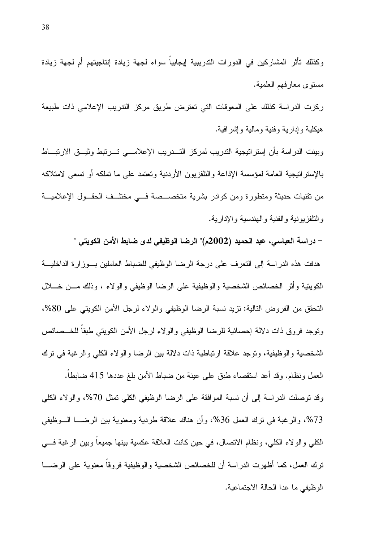ركزت الدراسة كذلك على المعوقات التي تعترض طريق مركز التدريب الإعلامي ذات طبيعة هيكلية وإدارية وفنية ومالية وإشرافية.

مستوى معارفهم العلمية.

وبينت الدراسة بأن إستراتيجية التدريب لمركز التسدريب الإعلامسي تسرتبط وثيسق الارتبساط بالإستر انبجية العامة لمؤسسة الإذاعة والتلفزيون الأردنية وتعتمد على ما تملكه أو تسعى لامتلاكه من نقنيات حديثة ومتطورة ومن كوادر بشرية متخصــصة فـــى مختلــف الحقــول الإعلاميـــة والتلفزيونية والفنية والهندسية والإدارية.

– دراسة العباسي، عبد الحميد (2002م)" الرضا الوظيفي لدى ضابط الأمن الكويتي " هدفت هذه الدراسة إلى النعرف على درجة الرضا الوظيفي للضباط العاملين بوزارة الداخليــة الكويتية وأثر الخصائص الشخصية والوظيفية على الرضا الوظيفي والولاء ، وذلك مـــن خـــلال النحقق من الفروض التالية: نزيد نسبة الرضا الوظيفي والولاء لرجل الأمن الكويتي على 80%، ونوجد فروق ذات دلالة إحصائية للرضا الوظيفي والولاء لرجل الأمن الكويتي طبقا للخــصائص الشخصية والوظيفية، وتوجد علاقة ارتباطية ذات دلالة بين الرضا والولاء الكلي والرغبة في ترك العمل ونظام. وقد أعد استقصاء طبق على عينة من ضباط الأمن بلغ عددها 415 ضابطا. وقد نوصلت الدراسة إلى أن نسبة الموافقة على الرضا الوظيفي الكلي نمثل 70%، والولاء الكلي 73%، والرغبة في نزك العمل 36%، وأن هناك علاقة طردية ومعنوية بين الرضـــا الـــوظيفي الكلَّى والولاء الكلِّي، ونظام الاتصال، في حين كانت العلاقة عكسية بينها جميعا وبين الرغبة فـــي ترك العمل، كما أظهرت الدراسة أن للخصائص الشخصية والوظيفية فروقاً معنوية على الرضــــا الوظيفي ما عدا الحالة الاجتماعية.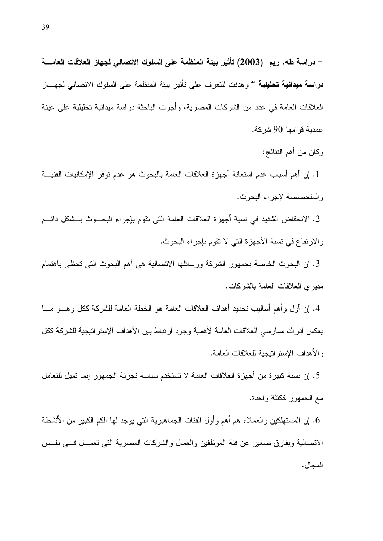– دراسة طه، ريم (2003) تأثير بيئة المنظمة على السلوك الاتصالي لجهاز العلاقات العامــــة **دراسة ميدانية تحليلية "** وهدفت للتعرف على تأثير ببئة المنظمة على السلوك الاتصالى لجهـــاز العلاقات العامة في عدد من الشركات المصرية، وأُجرت الباحثة در اسة ميدانية تحليلية على عينة عمدية قو امـها 90 شر كـة.

وكان من أهم النتائج:

1. إن أهم أسباب عدم استعانة أجهزة العلاقات العامة بالبحوث هو عدم توفر الإمكانيات الفنيـــة والمتخصصة لإجراء البحوث.

2. الانخفاض الشديد في نسبة أجهزة العلاقات العامة التي تقوم بإجراء البحـــوث بـــشكل دائـــم والارتفاع في نسبة الأجهزة التي لا تقوم بإجراء البحوث.

3. إن البحوث الخاصة بجمهور الشركة ورسائلها الاتصالية هي أهم البحوث التي تحظى باهتمام مدير ي العلاقات العامة بالشر كات.

4. إن أول وأهم أساليب تحديد أهداف العلاقات العامة هو الخطة العامة للشركة ككل وهـــو مـــا يعكس إدراك ممارسي العلاقات العامة لأهمية وجود ارتباط بين الأهداف الإستراتيجية للشركة ككل والأهداف الإستراتيجية للعلاقات العامة.

5. إن نسبة كبيرة من أجهزة العلاقات العامة لا تستخدم سياسة تجزئة الجمهور إنما تميل للتعامل مع الجمهور ككتلة واحدة.

6. إن المستهلكين والعملاء هم أهم وأول الفئات الجماهيرية التي يوجد لمها الكم الكبير من الأنشطة الانصالية وبفارق صغير عن فئة الموظفين والعمال والشركات المصرية التي نعمـــل فـــي نفـــس المجال .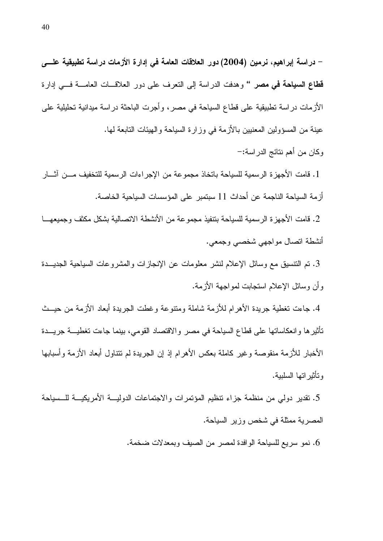– دراسة إبراهيم، نرمين (2004) دور العلاقات العامة في إدارة الأزمات دراسة تطبيقية علـــي **قطاع السياحة في مصر "** وهدفت الدراسة إلى النعرف على دور العلاقـــات العامــــة فـــي إدارة الأزمات در اسة تطبيقية على قطاع السياحة في مصر ، و أجرت الباحثة در اسة ميدانية تحليلية على عينة من المسؤولين المعنيين بالأزمة في وزارة السياحة والهيئات التابعة لها. وكان من أهم نتائج الدر اسة:–

1. قامت الأجهزة الرسمية للسياحة باتخاذ مجموعة من الإجراءات الرسمية للتخفيف مـــن آشــار أزمة السياحة الناجمة عن أحداث 11 سبتمبر على المؤسسات السياحية الخاصة.

2. فامت الأجهزة الرسمية للسياحة بتنفيذ مجموعة من الأنشطة الاتصالية بشكل مكثف وجميعهـــا أنشطة اتصال مواجهي شخصي وجمعي.

3. تم التنسيق مع وسائل الإعلام لنشر معلومات عن الإنجاز ات والمشروعات السياحية الجديـــدة وأن وسائل الإعلام استجابت لمواجهة الأزمة.

4. جاءت نغطية جريدة الأهرام للأزمة شاملة ومنتوعة وغطت الجريدة أبعاد الأزمة من حيــث تَأْثِيرِها وانعكاساتها على قطاع السياحة في مصر والاقتصاد القومي، بينما جاءت تغطيـــة جريـــدة الأخبار للأزمة منقوصة وغير كاملة بعكس الأهرام إذ إن الجريدة لم تتتاول أبعاد الأزمة وأسبابها و تأثير اتها السلبية.

5. تقدير دولي من منظمة جزاء نتظيم المؤتمرات والاجتماعات الدوليـــة الأمريكيـــة للـــسياحة المصرية ممثلة في شخص وزير السياحة.

6. نمو سريع للسياحة الوافدة لمصر من الصيف وبمعدلات ضخمة.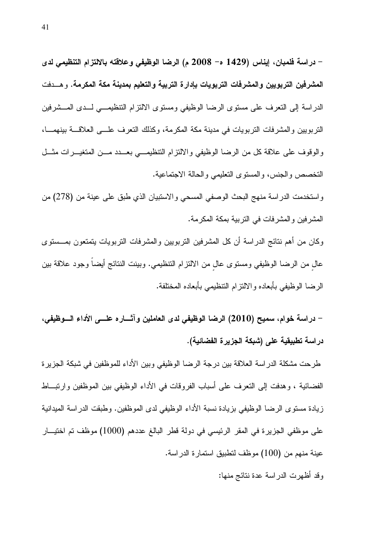– دراسة فلمبان، إيناس (1429 ه– 2008 م) الرضا الوظيفي وعلاقته بالالتزام التنظيمي لدى المشرفين التربويين والمشرفات التربويات بإدارة التربية والتعليم بمدينة مكة المكرمة. وهسدفت الدراسة إلى النعرف على مستوى الرضا الوظيفي ومستوى الالتزام التنظيمـــي لـــدى المـــشرفين التربويين والمشرفات التربويات في مدينة مكة المكرمة، وكذلك التعرف علمي العلاقة بينهما، والوقوف على علاقة كل من الرضا الوظيفي والالتزام التنظيمي بعبدد مسن المتغيــرات مثـــل التخصص والجنس، والمسنوى التعليمي والحالة الاجتماعية.

واستخدمت الدراسة منهج البحث الوصفي المسحي والاستبيان الذي طبق على عينة من (278) من المشرفين والمشرفات في النربية بمكة المكرمة.

وكان من أهم نتائج الدراسة أن كل المشرفين التربويين والمشرفات التربويات يتمتعون بمـــستوى عال من الرضا الوظيفي ومستوى عال من الالتزام التنظيمي. وبينت النتائج أيضا وجود علاقة بين الرضا الوظيفي بأبعاده والالتزام التنظيمي بأبعاده المختلفة.

– دراسة خوام، سميح (2010) الرضا الوظيفي لدى العاملين وآثــــاره علــــي الأداء الــــوظيفي، دراسة تطبيقية على (شبكة الجزيرة الفضائية).

طرحت مشكلة الدراسة العلاقة بين درجة الرضا الوظيفي وبين الأداء للموظفين في شبكة الجزيرة الفضائية ، وهدفت إلى النعرف على أسباب الفروقات في الأداء الوظيفي بين الموظفين وارتبــاط زيادة مستوى الرضا الوظيفي بزيادة نسبة الأداء الوظيفي لدى الموظفين. وطبقت الدراسة الميدانية على موظفى الجزيرة في المقر الرئيسي في دولة قطر البالغ عددهم (1000) موظف تم اختيــار عينة منهم من (100) موظف لتطبيق استمارة الدراسة.

وقد أظهرت الدراسة عدة نتائج منها: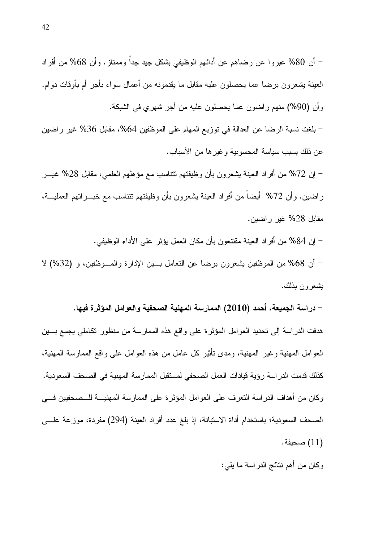– أن 80% عبروا عن رضاهم عن أدائهم الوظيفي بشكل جيد جداً وممتاز . وأن 68% من أفراد العينة بشعرون برضا عما يحصلون عليه مقابل ما يقدمونه من أعمال سواء بأجر أم بأوقات دوام. وأن (90%) منهم راضون عما يحصلون عليه من أجر شهري في الشبكة.

– بلغت نسبة الرضا عن العدالة في توزيع المهام على الموظفين 64%، مقابل 36% غير راضين عن ذلك بسبب سياسة المحسو بية و غير ها من الأسباب.

– إن 72% من أفراد العينة بشعرون بأن وظيفتهم نتناسب مع مؤهلهم العلمي، مقابل 28% غيـــر راضين. وأن 72% أيضـاً من أفراد العينة يشعرون بأن وظيفتهم نتتاسب مـع خبــــراتهم العمليـــة، مقابل 28% غير راضين.

– إن 84% من أفراد العينة مقتنعون بأن مكان العمل يؤثر على الأداء الوظيفي. – أن 68% من الموظفين بشعرون برضا عن التعامل بـــين الإدارة والمـــوظفين، و (32%) لا بشعرون بذلك.

– دراسة الجميعة، أحمد (2010) الممارسة المهنية الصحفية والعوامل المؤثرة فيها.

هدفت الدراسة إلى تحديد العوامل المؤثرة على واقع هذه الممارسة من منظور نكاملي يجمع بـــين العو امل المـهنيـة وغير المـهنيـة، ومدى نـأنثير كل عـامل من هذه الـعوامل علـى واقـع الممـارسة المـهنيـة، كذلك قدمت الدراسة رؤية قيادات العمل الصحفي لمستقبل الممارسة المهنية في الصحف السعودية. وكان من أهداف الدراسة التعرف على العوامل المؤثرة على الممارسة المهنيـــة للـــصـحفيين فــــي الصحف السعودية؛ باستخدام أداة الاستبانة، إذ بلغ عدد أفراد العينة (294) مفردة، موزعة علـــي (11) صحيفة.

وكان من أهم نتائج الدراسة ما يلي: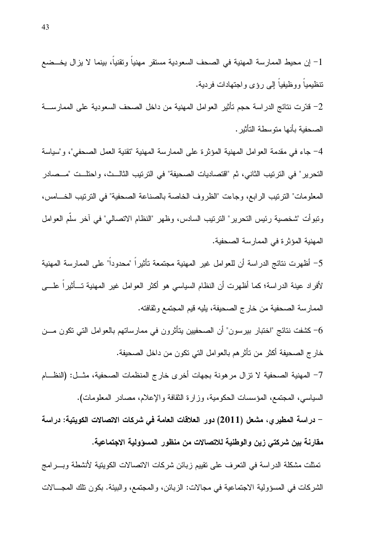4– جاء في مقدمة العوامل المهنية المؤثر ة على الممار سة المهنية "تقنية العمل الصحفي"، و"سياسة النحرير " في الترتيب الثاني، ثم "اقتصاديات الصحيفة" في الترتيب الثالــث، و احتلــت "مــصـادر المعلومات" النرنيب الرابع، وجاءت "الظروف الخاصة بالصناعة الصحفية" في النرنيب الخــامس، ونبوأت "شخصية رئيس التحرير" الترتيب السادس، وظهر "النظام الاتصالي" في آخر سلَّم العوامل المهنية المؤثرة في الممارسة الصحفية.

5– أظهرت نتائج الدراسة أن للعوامل غير المهنية مجتمعة تأثيراً "محدوداً" على الممارسة المهنية لأفراد عينة الدراسة؛ كما أظهرت أن النظام السياسي هو أكثر العوامل غير المهنية تــأثيراً علـــي الممارسة الصحفية من خارج الصحيفة، يليه قيم المجتمع وثقافته.

6– كشفت نتائج "لختبار بيرسون" أن الصحفيين يتأثرون في ممارساتهم بالعوامل التي تكون مـــن خار ج الصحيفة أكثر من نأثر هم بالعوامل التي نكون من داخل الصحيفة. 7– المهنية الصحفية لا نزال مرهونة بجهات أخرى خارج المنظمات الصحفية، مثـــل: (النظـــام السياسي، المجتمع، المؤسسات الحكومية، وزارة الثقافة والإعلام، مصادر المعلومات). – دراسة المطيرى، مشعل (2011) دور العلاقات العامة في شركات الاتصالات الكويتية: دراسة مقارنة بين شركتي زين والوطنية للاتصالات من منظور المسؤولية الاجتماعية. تمثَّلت مشكلة الدراسة في النعرف على نقييم زبائن شركات الاتصالات الكويتية لأنشطة وبــــرامج الشركات في المسؤولية الاجتماعية في مجالات: الزبائن، والمجتمع، والبيئة. بكون تلك المجـــالات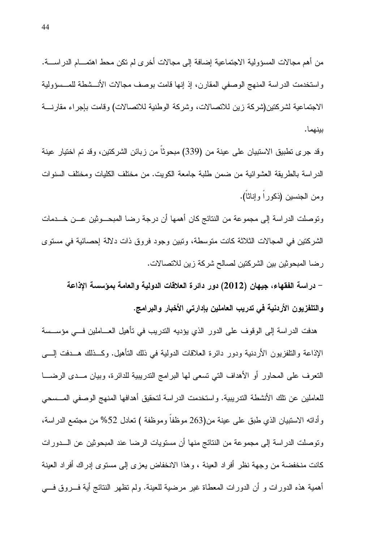من أهم مجالات المسؤولية الاجتماعية إضافة إلى مجالات أخرى لم نكن محط اهتمـــام الدراســـة. واستخدمت الدراسة المنهج الوصفي المقارن، إذ إنها قامت بوصف مجالات الأنـــشطة للمـــسؤولية الاجتماعية لشركتين(شركة زين للاتصالات، وشركة الوطنية للاتصالات) وقامت بإجراء مقارنسة ببنهما.

وقد جرى نطبيق الاستبيان على عينة من (339) مبحوثًا من زبائن الشركتين، وقد تم اختيار عينة الدراسة بالطريقة العشوائية من ضمن طلبة جامعة الكويت. من مختلف الكليات ومختلف السنوات ومن الجنسين (ذكوراً وإناثاً).

وتوصلت الدراسة إلى مجموعة من النتائج كان أهمها أن درجة رضا المبحـــوثين عـــن خـــدمات الشركتين في المجالات الثلاثة كانت متوسطة، وتبين وجود فروق ذات دلالة إحصائية في مستوى رضا المبحوثين بين الشركتين لصالح شركة زين للاتصالات.

– دراسة الفقهاء، جيهان (2012) دور دائرة العلاقات الدولية والعامة بمؤسسة الإذاعة والتلفزيون الأردنية في تدريب العاملين بإدارتي الأخبار والبرامج.

هدفت الدر اسة إلى الوقوف على الدور الذي يؤديه الندريب في تأهيل العـــاملين فـــي مؤســـسة الإذاعة والتلفزيون الأردنية ودور دائرة العلاقات الدولية في ذلك التأهيل. وكــذلك هــدفت إلـــي النعرف على المحاور أو الأهداف التي نسعى لها البرامج الندريبية للدائرة، وبيان مـــدى الرضــــا للعاملين عن تلك الأنشطة التدريبية. واستخدمت الدراسة لتحقيق أهدافها المنهج الوصفى المـــسحى وأداته الاستبيان الذي طبق على عينة من(263 موظفا وموظفة ) تعادل 52% من مجتمع الدراسة، وتوصلت الدراسة إلى مجموعة من النتائج منها أن مستويات الرضا عند المبحوثين عن الـــدورات كانت منخفضة من وجهة نظر أفراد العينة ، وهذا الانخفاض يعزى إلى مستوى إدراك أفراد العينة أهمية هذه الدورات و أن الدورات المعطاة غير مرضية للعينة. ولم تظهر النتائج أية فـــروق فــــي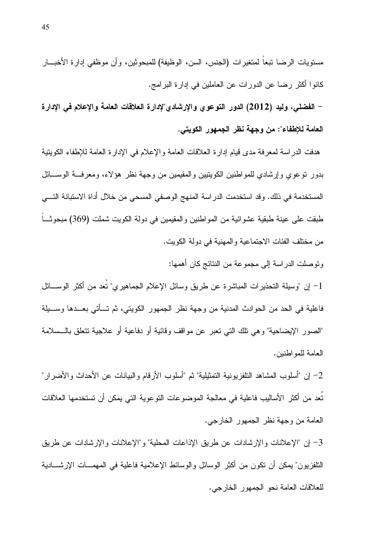مستويات الرضا نبعاً لمتغيرات (الجنس، السن، الوظيفة) للمبحوثين، وأن موظفي إدارة الأخبـــار كانوا أكثر رضا عن الدورات عن العاملين في إدارة البرامج.

– الفضلي، وليد (2012) الدور التوعوي والإرشادي"لإدارة العلاقات العامة والإعلام في الإدارة العامة للإطفاء": من وجهة نظر الجمهور الكويتي.

هدفت الدر اسة لمعرفة مدى قبام إدار ة العلاقات العامة و الإعلام في الإدار ة العامة للإطفاء الكوبنبة بدور نوعوي وإرشادي للمواطنين الكويتيين والمقيمين من وجهة نظر هؤلاء، ومعرفة الوســائل المستخدمة في ذلك. وقد استخدمت الدراسة المنهج الوصفي المسحى من خلال أداة الاستبانة التـــي طبقت على عينة طبقية عشوائية من المواطنين والمقيمين في دولة الكويت شملت (369) مبحوثـــا من مختلف الفئات الاجتماعية والمهنية في دولة الكويت.

ونوصلت الدر اسة إلى مجموعة من النتائج كان أهمها:

1– إن "وسيلة التحذيرات المباشرة عن طريق وسائل الإعلام الجماهيري" نُعد من أكثر الوســـائل فاعلية في الحد من الحوادث المدنية من وجهة نظر الجمهور الكويتي، ثم تـــأتي بعـــدها وســـبلة "الصور الإيضاحية" وهي نلك التي نعبر عن مواقف وقائية أو دفاعية أو علاجية نتعلق بالـــسلامة العامة للمو اطنين.

2– إن "أسلوب المشاهد النلفزيونية التمثيلية" ثم "أسلوب الأرقام والببيانات عن الأحداث والأضرار" تُعد من أكثر الأساليب فاعلية في معالجة الموضوعات النوعوية التي يمكن أن تستخدمها العلاقات العامة من وجهة نظر الجمهور الخارجي.

3– إن "الإعلانات والإرشادات عن طريق الإذاعات المحلية" و"الإعلانات والإرشادات عن طريق النلفزيون" يمكن أن تكون من أكثر الوسائل والوسائط الإعلامية فاعلية في المهمـــات الإرشــــادية للعلاقات العامة نحو الجمهور الخارجي.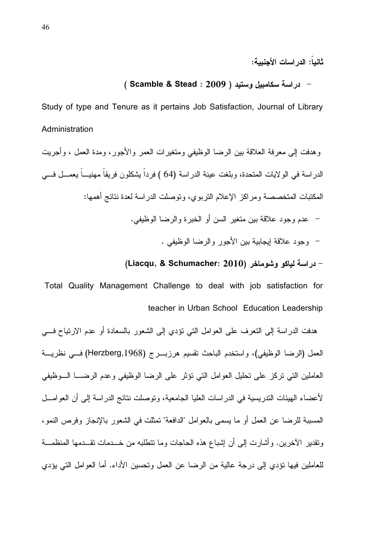ثانياً: الدر اسات الأحنيية:

### - دراسة سكامبيل وستيد ( Scamble & Stead : 2009 )

Study of type and Tenure as it pertains Job Satisfaction, Journal of Library Administration

### (Liacqu, & Schumacher: 2010) - دراسة لباكو وشوماخر

Total Quality Management Challenge to deal with job satisfaction for teacher in Urban School Education Leadership

هدفت الدراسة إلى التعرف على العوامل التي تؤدي إلى الشعور بالسعادة أو عدم الارتياح فسي العمل (الرضا الوظيفي)، واستخدم الباحث نقسيم هرزبــرج (Herzberg,1968) فـــي نظريـــة العاملين التي نركز على نحليل العوامل التي نؤثر على الرضا الوظيفي وعدم الرضـــا الـــوظيفي لأعضاء الهيئات الندريسية في الدر اسات العليا الجامعية، وتوصلت نتائج الدر اسة إلى أن العوامـــل المسببة للرضا عن العمل أو ما يسمى بالعوامل "الدافعة" تمثلت في الشعور بالإنجاز وفرص النمو، ونقدير الأخرين. وأشارت إلى أن إشباع هذه الحاجات وما نتطلبه من خـــدمات نقـــدمها المنظمـــة للعاملين فيها نؤدي إلى درجة عالية من الرضا عن العمل وتحسين الأداء. أما العوامل التي يؤدي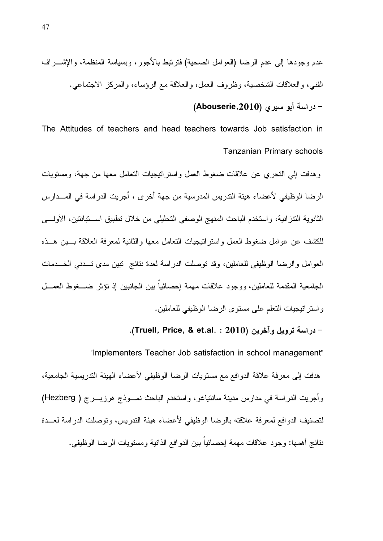."4Y:E"- eGC`TC\*" G)0')>- e4-AS0> 1>,4,F ( G'K?\*" JC"-(\*") 0c4\*" 2!# H\*\$ 0R!-A- 2!# . @#0C,AN" [O4C\*"- eh0)]4\*" qC G3D(\*"- eJC(\*" .-4`- eG'?l:\*" L03D(\*"- e@TB\*"

### – دراسة أبو سيرى (Abouserie,2010)

The Attitudes of teachers and head teachers towards Job satisfaction in Tanzanian Primary schools

وهدفت إلي التحري عن علاقات ضغوط العمل واسترانيجيات النعامل معها من جهة، ومستويات الرضا الوظيفي لأعضاء هيئة الندريس المدرسية من جهة أخرى ، أجريت الدراسة في المـــدارس الثانوية النتزانية، واستخدم الباحث المنهج الوصفي التحليلي من خلال تطبيق اســتبانتين، الأولـــي للكشف عن عوامل ضغوط العمل واستراتيجيات النعامل معها والثانية لمعرفة العلاقة بسين هسذه العوامل والرضا الوظيفي للعاملين، وقد توصلت الدر اسة لعدة نتائج تبين مدى تــدني الخـــدمات الجامعية المقدمة للعاملين، ووجود علاقات مهمة إحصائياً بين الجانبين إذ نؤثر ضـــغوط العمـــل و استر اتيجيات التعلم على مستوى الرضا الوظيفي للعاملين.

### - دراسة ترويل وآخرين (Truell, Price, & et.al. : 2010).

 "Implementers Teacher Job satisfaction in school management" هدفت إلى معرفة علاقة الدوافع مع مستويات الرضا الوظيفي لأعضاء الهيئة التدريسية الجامعية، وأجريت الدراسة في مدارس مدينة سانتياغو، واستخدم الباحث نمــوذج هرزبـــرج ( Hezberg) لتصنيف الدوافع لمعرفة علاقته بالرضا الوظيفي لأعضاء هيئة التدريس، وتوصلت الدراسة لعــدة نتائج أهمها: وجود علاقات مهمة إحصائياً بين الدوافع الذاتية ومستويات الرضا الوظيفي.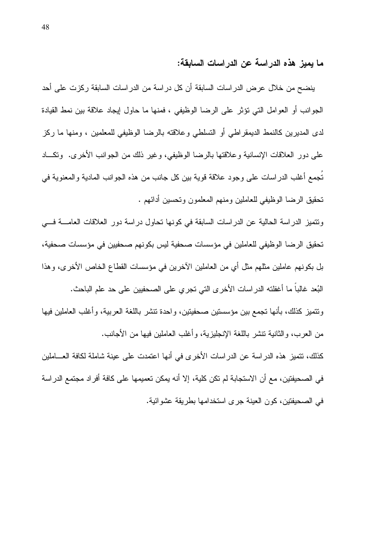ما يميز هذه الدر اسة عن الدر اسات السابقة:

ينضح من خلال عرض الدر اسات السابقة أن كل در اسة من الدر اسات السابقة ركزت على أحد الجوانب أو العوامل التي نؤثر على الرضا الوظيفي ، فمنها ما حاول إيجاد علاقة بين نمط القيادة لدى المديرين كالنمط الديمقراطي أو التسلطي وعلاقته بالرضا الوظيفي للمعلمين ، ومنها ما ركز على دور العلاقات الإنسانية وعلاقتها بالرضا الوظيفي، وغير ذلك من الجوانب الأخرى. وتكـــاد تجمع أغلب الدراسات على وجود علاقة قوية بين كل جانب من هذه الجوانب المادية والمعنوية في تحقيق الرضا الوظيفي للعاملين ومنهم المعلمون وتحسين أدائهم .

ونتميز الدراسة الحالية عن الدراسات السابقة في كونها تحاول دراسة دور العلاقات العامسة فسي تحقيق الرضا الوظيفي للعاملين في مؤسسات صحفية ليس بكونهم صحفيين في مؤسسات صحفية، بل بكونهم عاملين مثلهم مثل أي من العاملين الآخرين في مؤسسات القطاع الخاص الأخرى، وهذا البُعد غالباً ما أغفلته الدراسات الأخرى التي تجري على الصحفيين على حد علم الباحث. ونتميز كذلك، بأنها تجمع بين مؤسستين صحفيتين، واحدة تتشر باللغة العربية، وأغلب العاملين فيها من العرب، والثانية تتشر باللغة الإنجليزية، وأغلب العاملين فيها من الأجانب.

كذلك، نتميز هذه الدراسة عن الدراسات الأخرى في أنها اعتمدت على عينة شاملة لكافة العـــاملين في الصحيفتين، مع أن الاستجابة لم تكن كلية، إلا أنه يمكن تعميمها على كافة أفراد مجتمع الدراسة في الصحيفتين، كون العينة جرى استخدامها بطريقة عشوائية.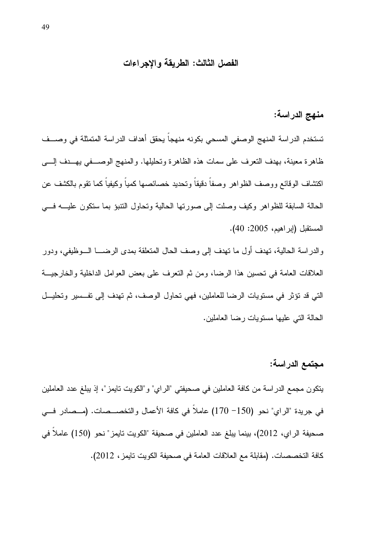### الفصل الثالث: الطريقة والاجراءات

## منهج الدراسة:

تستخدم الدراسة المنهج الوصفى المسحى بكونه منهجاً يحقق أهداف الدراسة المتمثلة في وصــف ظاهرة معينة، بهدف النعرف على سمات هذه الظاهرة وتحليلها. والمنهج الوصـــفي بهـــدف إلــــي اكتشاف الوقائع ووصف الظواهر وصفاً دقيقاً وتحديد خصائصها كمياً وكيفياً كما نقوم بالكشف عن الحالة السابقة للظواهر وكيف وصلت إلى صورتها الحالية وتحاول النتبؤ بما ستكون عليـــه فـــي المستقبل (إبر اهيم، 2005: 40).

والدراسة الحالية، نهدف أول ما نهدف إلى وصف الحال المتعلقة بمدى الرضــــا الــــوظيفي، ودور العلاقات العامة في تحسين هذا الرضا، ومن ثم النعرف على بعض العوامل الداخلية والخارجيــة التي قد تؤثِّر في مستويات الرضا للعاملين، فهي تحاول الوصف، ثم تهدف إلى تفسير وتحليــل الحالة التي عليها مستويات رضا العاملين.

### مجتمع الدراسة:

يتكون مجمع الدراسة من كافة العاملين في صحيفتي "الراي" و"الكويت تايمز"، إذ يبلغ عدد العاملين في جريدة "الراي" نحو (150– 170) عاملاً في كافة الأعمال والتخصـــصات. (مــصادر فـــي صحيفة الراي، 2012)، بينما يبلغ عدد العاملين في صحيفة "الكويت تايمز " نحو (150) عاملاً في كافة التخصصات. (مقابلة مع العلاقات العامة في صحيفة الكويت تايمز ، 2012).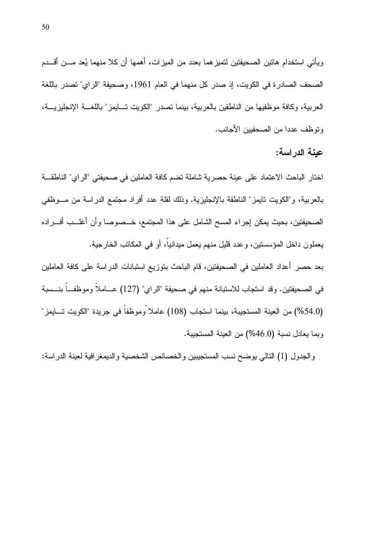ويأتي استخدام هاتين الصحيفتين لتميز هما بعدد من الميزات، أهمها أن كلا منهما يُعد مـــن أقـــدم الصحف الصادرة في الكويت، إذ صدر كل منهما في العام 1961، وصحيفة "الراي" تصدر باللغة العربية، وكافة موظفيها من الناطقين بالعربية، بينما نصدر "الكويت تـــايمز" باللغـــة الإنجليزيـــة، وتوظف عددا من الصحفيين الأجانب.

عينة الدر اسة:

اختار الباحث الاعتماد على عينة حصرية شاملة تضم كافة العاملين في صحيفتي "الراي" الناطقــة بالعربية، و"الكويت تابمز" الناطقة بالإنجليزية. وذلك لقلة عدد أفراد مجتمع الدراسة من مـــوظفي الصحيفتين، بحيث يمكن إجراء المسح الشامل على هذا المجتمع، خــصوصـا وأن أغلـــب أفـــراده يعملون داخل المؤسسنين، وعدد قليل منهم يعمل ميدانياً، أو في المكاتب الخارجية.

بعد حصر أعداد العاملين في الصحيفتين، قام الباحث بتوزيع استبانات الدراسة على كافة العاملين في الصحيفتين. وقد استجاب للاستبانة منهم في صحيفة "الراي" (127) عـــاملاً وموظفـــاً بنـــسبة (54.0%) من العينة المستجيبة، بينما استجاب (108) عاملاً وموظفاً في جريدة "الكويت تسايمز" وبما يعادل نسبة (46.0%) من العينة المستجيبة.

والجدول (1) النالي يوضح نسب المستجيبين والخصائص الشخصية والديمغر افية لعينة الدراسة: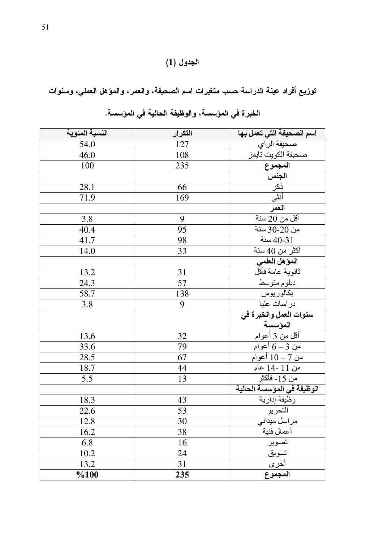# الجدول (1)

توزيع أفراد عينة الدراسة حسب متغيرات اسم الصحيفة، والعمر، والمؤهل العملي، وسنوات

| النسبة المئوية | التكرار | اسم الصحيفة التي تعمل بها                                                                  |
|----------------|---------|--------------------------------------------------------------------------------------------|
| 54.0           | 127     | صحيفة الراي                                                                                |
| 46.0           | 108     | صحيفة الكويت تايمز                                                                         |
| 100            | 235     |                                                                                            |
|                |         |                                                                                            |
| 28.1           | 66      |                                                                                            |
| 71.9           | 169     |                                                                                            |
|                |         |                                                                                            |
| 3.8            | 9       | يستس <u>وية سببة</u><br>ا <b>لمجموع</b><br>ال <b>جنس</b><br>أقل من 20 سنة<br>أقل من 20 سنة |
| 40.4           | 95      | من 20-30 سنة                                                                               |
| 41.7           | 98      | سنة $40-31$                                                                                |
| 14.0           | 33      | أكثر من 40 سنة                                                                             |
|                |         | المؤهل العلمي                                                                              |
| 13.2           | 31      | ثانوية علمة فأقل                                                                           |
| 24.3           | 57      | دبلوم متوسط                                                                                |
| 58.7           | 138     | بكالوريوس                                                                                  |
| 3.8            | 9       | در اسات علیا                                                                               |
|                |         | سنوات العمل والخبرة في                                                                     |
|                |         | المؤسسة                                                                                    |
| 13.6           | 32      | أقل من 3 أعوام                                                                             |
| 33.6           | 79      | من 3 – 6 أعوام                                                                             |
| 28.5           | 67      | من 7 – 10 أعوام                                                                            |
| 18.7           | 44      | من 11 -14 عام                                                                              |
| 5.5            | 13      | من 15- فأكثر                                                                               |
|                |         | الوظيفة في المؤسسة الحالية                                                                 |
| 18.3           | 43      | وظيفة إدارية                                                                               |
| 22.6           | 53      | آلتحرير                                                                                    |
| 12.8           | 30      |                                                                                            |
| 16.2           | 38      | مراسل ميداني<br>أعمال فنية<br>أعمال فنية<br>نسوي <u>ق</u><br>أخرى                          |
| 6.8            | 16      |                                                                                            |
| 10.2           | 24      |                                                                                            |
| 13.2           | 31      |                                                                                            |
| %100           | 235     |                                                                                            |

|  |  | الخبر ة في المؤسسة، والوظيفة الحالية في المؤسسة. |  |
|--|--|--------------------------------------------------|--|
|  |  |                                                  |  |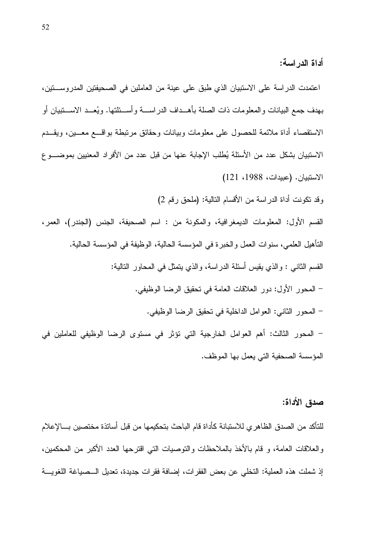أداة الدر اسة:

اعتمدت الدراسة على الاستبيان الذي طبق على عينة من العاملين في الصحيفتين المدروستين، بهدف جمع البيانات و المعلومات ذات الصلة بأهــداف الدر اســـة و أســـئلتها. و يُعـــد الاســـتبيان أو الاستقصاء أداة ملائمة للحصول على معلومات وبيانات وحقائق مرتبطة بواقـــع معـــين، ويقـــدم الاستبيان بشكل عدد من الأسئلة يُطلب الإجابة عنها من قبل عدد من الأفراد المعنيين بموضــــو ع الاستبيان. (عبيدات، 1988، 121)

وقد نكونت أداة الدر اسة من الأقسام التالية: (ملحق رقم 2)

القسم الأول: المعلومات الديمغرافية، والمكونة من : اسم الصحيفة، الجنس (الجندر)، العمر، النَّأهيل العلمي، سنوات العمل و الخبر ة في المؤسسة الحالية، الوظيفة في المؤسسة الحالية. القسم الثانبي : والذي يقيس أسئلة الدراسة، والذي يتمثَّل في المحاور النالية: – المحور الأول: دور العلاقات العامة في تحقيق الرضا الوظيفي. – المحور الثاني: العوامل الداخلية في نحقيق الرضا الوظيفي. – المحور الثالث: أهم العوامل الخارجية التي تؤثر في مستوى الرضا الوظيفي للعاملين في المؤسسة الصحفية التي يعمل بها الموظف.

### صدق الأداة:

للتأكد من الصدق الظاهري للاستبانة كأداة قام الباحث بتحكيمها من قبل أساتذة مختصين بسالإعلام والعلاقات العامة، و قام بالأخذ بالملاحظات والنوصيات التي اقترحها العدد الأكبر من المحكمين، إذ شملت هذه العملية: التخلي عن بعض الفقرات، إضافة فقرات جديدة، تعديل الــصياغة اللغويـــة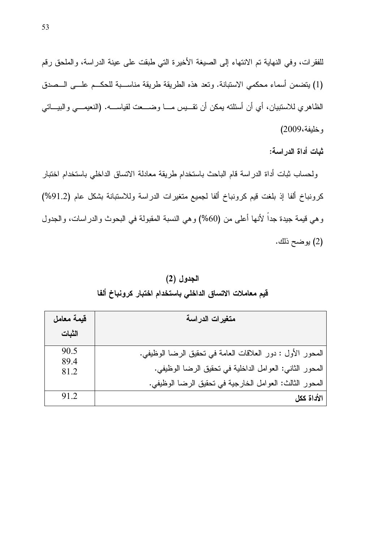للفقرات، وفي النهاية تم الانتهاء إلى الصيغة الأخيرة التي طبقت على عينة الدراسة، والملحق رقم (1) يتضمن أسماء محكمي الاستبانة. وتعد هذه الطريقة طريقة مناســبة للحكــم علـــي الـــصدق الظاهري للاستبيان، أي أن أسئلته يمكن أن نقـــيس مــــا وضـــــعت لقياســــه. (النعيمــــي والبيـــاتـي وخليفة،2009)

ثبات أداة الدر اسة:

ولحساب ثبات أداة الدراسة قام الباحث باستخدام طريقة معادلة الاتساق الداخلي باستخدام اختبار كرونباخ ألفا إذ بلغت قيم كرونباخ ألفا لجميع متغيرات الدراسة وللاستبانة بشكل عام (91.2%) وهي قيمة جيدة جداً لأنها أعلى من (60%) وهي النسبة المقبولة في البحوث والدراسات، والجدول (2) يوضح ذلك.

الجدول (2) قيم معاملات الاتساق الداخلي باستخدام اختبار كرونباخ ألفا

| قيمة معامل   | متغيرات الدراسة                                            |
|--------------|------------------------------------------------------------|
| الثبات       |                                                            |
| 90.5<br>89.4 | المحور الأول : دور العلاقات العامة في تحقيق الرضا الوظيفي. |
| 81.2         | المحور الثاني: العوامل الداخلية في نحقيق الرضا الوظيفي.    |
|              | المحور الثالث: العوامل الخارجية في تحقيق الرضا الوظيفي.    |
| 91.2         | الأداة ككل                                                 |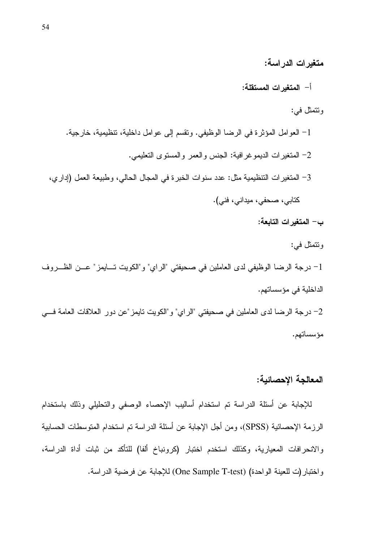متغيرات الدراسة:

أ– المتغيرات المستقلة:

### وتتمثل في:

1– العوامل المؤثرة في الرضا الوظيفي. ونقسم إلى عوامل داخلية، نتظيمية، خارجية. 2– المتغيرات الديموغرافية: الجنس والعمر والمستوى التعليمي. 3– المتغير ات التنظيمية مثل: عدد سنوات الخبرة في المجال الحالي، وطبيعة العمل (إداري، كتابي، صحفي، ميداني، فني). ب– المتغير ات التابعة:

وتتمثل في:

1– درجة الرضا الوظيفي لدى العاملين في صحيفتي "الراي" و"الكويت تسايمز" عــن الظــروف الداخلية في مؤسساتهم.

2– درجة الرضا لدى العاملين في صحيفتي "الراي" و"الكويت نايمز "عن دور العلاقات العامة فسي مؤسساتهم.

### المعالجة الإحصائية:

للإجابة عن أسئلة الدراسة تم استخدام أساليب الإحصاء الوصفي والتحليلي وذلك باستخدام الرزمة الإحصائية (SPSS)، ومن أجل الإجابة عن أسئلة الدراسة تم استخدام المتوسطات الحسابية والانحرافات المعيارية، وكذلك استخدم اختبار (كرونباخ ألفا) للتأكد من ثبات أداة الدراسة، واختبار (ت للعينة الواحدة) (One Sample T-test) للإجابة عن فرضية الدراسة.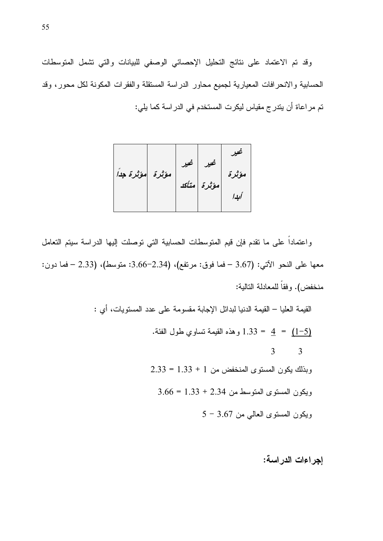وقد تم الاعتماد على نتائج التحليل الإحصائي الوصفي للبيانات والتي تشمل المتوسطات الحسابية والانحرافات المعيارية لجميع محاور الدراسة المستقلة والفقرات المكونة لكل محور، وقد تم مراعاة أن يتدرج مقياس ليكرت المستخدم في الدراسة كما يلي:

واعتماداً على ما نقدم فإن قيم المتوسطات الحسابية التي توصلت إليها الدراسة سيتم التعامل معها على النحو الآتي: (3.67 –فما فوق: مرتفع)، (2.34–3.66: متوسط)، (2.33 –فما دون: منخفض). وفقاً للمعادلة التالية:

 $\ddot{\cdot}$ 

القيمة العليا – القيمة الدنيا لبدائل الإجابة مقسومة على عدد المستويات، أي  
\n
$$
4 = \underline{1-5}
$$
  
\n
$$
3 = 3
$$
  
\n
$$
3 = 2.33 = 1.33 + 1
$$
  
\n
$$
9 = 3.66 = 1.33 + 2.34
$$
  
\n
$$
9 = 3.66 = 1.33 + 2.34
$$
  
\n
$$
9 = 3.67
$$
  
\n
$$
1 = 3.67
$$
  
\n
$$
1 = 3.67
$$
  
\n
$$
1 = 3.67
$$
  
\n
$$
1 = 3.67
$$

إجراءات الدراسة: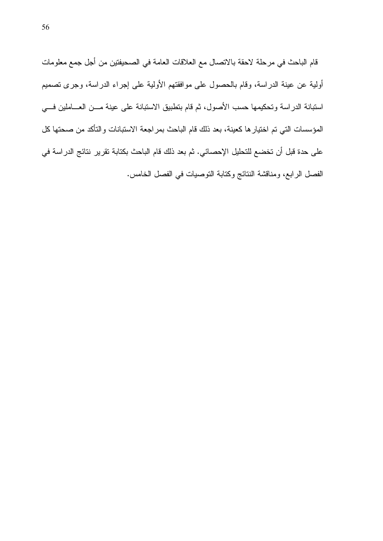قام الباحث في مرحلة لاحقة بالاتصال مع العلاقات العامة في الصحيفتين من أجل جمع معلومات أولية عن عينة الدراسة، وقام بالحصول على موافقتهم الأولية على إجراء الدراسة، وجرى تصميم استبانة الدراسة وتحكيمها حسب الأصول، ثم قام بتطبيق الاستبانة على عينة مــن العـــاملين فـــي المؤسسات التي تم اختيار ها كعينة، بعد ذلك قام الباحث بمر اجعة الاستبانات والتأكد من صحتها كل على حدة قبل أن تخضع للتحليل الإحصائي. ثم بعد ذلك قام الباحث بكتابة تقرير نتائج الدراسة في الفصل الرابع، ومناقشة النتائج وكتابة التوصيات في الفصل الخامس.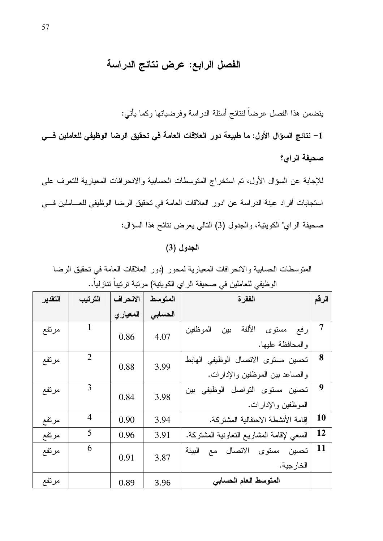# الفصل الرابع: عرض نتائج الدراسة

يتضمن هذا الفصل عرضاً لنتائج أسئلة الدراسة وفرضياتها وكما يأتي:

1– نتائج السوّال الأول: ما طبيعة دور العلاقات العامة في تحقيق الرضا الوظيفي للعاملين فـــي صحبفة الراي؟

للإجابة عن السؤال الأول، تم استخراج المتوسطات الحسابية والانحرافات المعيارية للتعرف على استجابات أفراد عينة الدراسة عن "دور العلاقات العامة في تحقيق الرضا الوظيفي للعــاملين فـــي صحيفة الراي" الكويتية، والجدول (3) النالي يعرض نتائج هذا السؤال:

### الجدول (3)

المتوسطات الحسابية والانحرافات المعيارية لمحور (دور العلاقات العامة في تحقيق الرضا الوظيفي للعاملين في صحيفة الراي الكويتية) مرتبة ترتيباً تتازلياً..

| التقدير | الترتيب        | الانحراف  | المتوسط | الفقرة                                                                | الرقم     |
|---------|----------------|-----------|---------|-----------------------------------------------------------------------|-----------|
|         |                | المعيار ي | الحسابى |                                                                       |           |
| مرتفع   | 1              | 0.86      | 4.07    | الألفة<br>رفع مستوى<br>الموظفين<br>بين<br>والمحافظة عليها.            | 7         |
| مرتفع   | $\overline{2}$ | 0.88      | 3.99    | تحسين مستوى الاتصال الوظيفى الهابط<br>والصاعد بين الموظفين والإدارات. | 8         |
| مرتفع   | 3              | 0.84      | 3.98    | تحسين مستوى التواصل الوظيفي بين<br>الموظفين والإدارات.                | 9         |
| مرتفع   | 4              | 0.90      | 3.94    | إقامة الأنشطة الاحتفالية المشتركة.                                    | <b>10</b> |
| مرتفع   | 5              | 0.96      | 3.91    | السعى لإقامة المشاريع التعاونية المشتركة.                             | <b>12</b> |
| مرتفع   | 6              | 0.91      | 3.87    | البيئة<br>الاتصال<br>مستوى<br>تحسين<br>مع<br>الخار جية.               | <b>11</b> |
| مرتفع   |                | 0.89      | 3.96    | المتوسط العام الحسابي                                                 |           |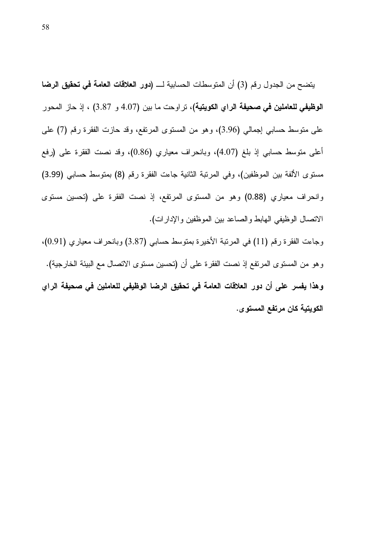يتضح من الجدول رقم (3) أن المتوسطات الحسابية لــــ (دور العلاقات العامة في تحقيق الرضا ا**لوظيفي للعاملين في صحيفة الراي الكويتية)**، تراوحت ما بين (4.07 و 3.87) ، إذ حاز المحور على منوسط حسابي إجمالي (3.96)، وهو من المستوى المرتفع، وقد حازت الفقرة رقم (7) على أعلى متوسط حسابي إذ بلغ (4.07)، وبانحراف معياري (0.86)، وقد نصت الفقرة على (رفع مستوى الألفة بين الموظفين)، وفي المرتبة الثانية جاءت الفقرة رقم (8) بمتوسط حسابي (3.99) وانحراف معياري (0.88) وهو من المستوى المرتفع، إذ نصت الفقرة على (تحسين مستوى الاتصال الوظيفي الهابط والصاعد بين الموظفين والإدارات).

وجاءت الفقرة رقم (11) في المرتبة الأخيرة بمتوسط حسابي (3.87) وبانحراف معياري (0.91)، و هو من المستو ي المر تفع إذ نصت الفقر ة على أن (تحسين مستو ي الاتصال مع البيئة الخار جية). وهذا يفسر على أن دور العلاقات العامة في تحقيق الرضا الوظيفي للعاملين في صحيفة الراي الكويتية كان مرتفع المستوى.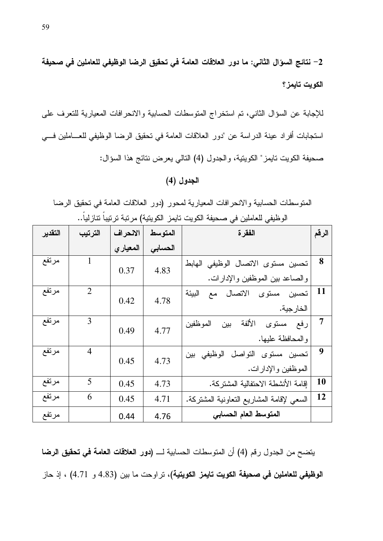2– نتائج السؤال الثاني: ما دور العلاقات العامة في تحقيق الرضا الوظيفي للعاملين في صحيفة الكويت تايمز؟

للإجابة عن السؤال الثاني، تم استخراج المتوسطات الحسابية والانحرافات المعيارية للتعرف على استجابات أفراد عينة الدراسة عن "دور العلاقات العامة في تحقيق الرضا الوظيفي للعـــاملين فـــي صحيفة الكويت تايمز" الكويتية، والجدول (4) التالي يعرض نتائج هذا السؤال:

### الجدول (4)

المتوسطات الحسابية والانحرافات المعيارية لمحور (دور العلاقات العامة في تحقيق الرضا الوظيفي للعاملين في صحيفة الكويت تايمز الكويتية) مرتبة ترتيباً تنازلياً..

| التقدير | الترتيب        | الانحراف | المتوسط | الفقرة                                    | الرقم     |
|---------|----------------|----------|---------|-------------------------------------------|-----------|
|         |                | المعياري | الحسابى |                                           |           |
| مرتفع   | 1              | 0.37     | 4.83    | تحسين مستوى الاتصال الوظيفى الهابط        | 8         |
|         |                |          |         | والصاعد بين الموظفين والإدارات.           |           |
| مرتفع   | $\overline{2}$ | 0.42     | 4.78    | تحسين<br>مستوى<br>الاتصال<br>البيئة<br>مع | <b>11</b> |
|         |                |          |         | الخارجية.                                 |           |
| مرتفع   | 3              | 0.49     | 4.77    | الألفة<br>رفع مستوى<br>المو ظفين<br>بين   | 7         |
|         |                |          |         | والمحافظة عليها.                          |           |
| مرتفع   | $\overline{4}$ | 0.45     | 4.73    | النواصل<br>الوظيفي بين<br>تحسين مستوى     | 9         |
|         |                |          |         | الموظفين والإدارات.                       |           |
| مرتفع   | 5              | 0.45     | 4.73    | إقامة الأنشطة الاحتفالية المشتركة.        | <b>10</b> |
| مرتفع   | 6              | 0.45     | 4.71    | السعى لإقامة المشاريع النعاونية المشتركة. | <b>12</b> |
| مرتفع   |                | 0.44     | 4.76    | المتوسط العام الحسابي                     |           |

يتضح من الجدول رقم (4) أن المتوسطات الحسابية لــــ (دور العلاقات العامة في تحقيق الرضا الوظيفي للعاملين في صحيفة الكويت تايمز الكويتية)، تراوحت ما بين (4.83 و 4.71) ، إذ حاز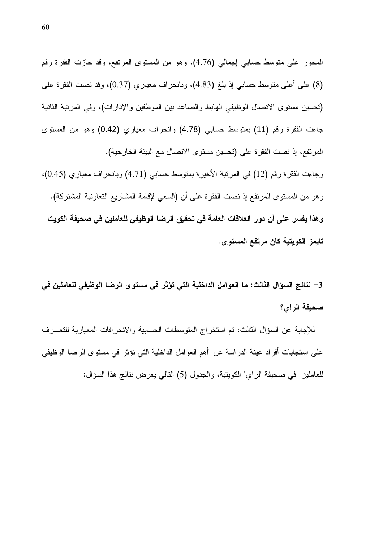المحور على متوسط حسابي إجمالي (4.76)، وهو من المستوى المرتفع، وقد حازت الفقرة رقم 8) على أعلى متوسط حسابـي إذ بلغ (4.83)، وبانـحراف معياري (0.37)، وقد نصت الفقرة علـي (تحسين مستوى الاتصال الوظيفي الهابط والصاعد بين الموظفين والإدارات)، وفي المرتبة الثانية جاءت الفقرة رقم (11) بمنوسط حسابي (4.78) وانحراف معياري (0.42) وهو من المسنوي المرتفع، إذ نصت الفقرة على (تحسين مستوى الاتصال مع البيئة الخارجية). وجاءت الفقرة رقم (12) في المرتبة الأخيرة بمتوسط حسابي (4.71) وبانحراف معياري (0.45)، وهو من المستوى المرتفع إذ نصت الفقرة على أن (السعى لإقامة المشاريع التعاونية المشتركة). وهذا يفسر على أن دور العلاقات العامة في تحقيق الرضا الوظيفي للعاملين في صحيفة الكويت تايمز الكويتية كان مرتفع المستو ى.

3– نتائج السؤال الثالث: ما العوامل الداخلية التي تؤثر في مستوى الرضا الوظيفي للعاملين في صحيفة الراي؟

للإجابة عن السؤال الثالث، تم استخراج المتوسطات الحسابية والانحرافات المعيارية للتعـــرف على استجابات أفر اد عينة الدر اسة عن "أهم العو امل الداخلية التي تؤثر في مستو ي الر ضا الوظيفي للعاملين في صحيفة الراي" الكويتية، والجدول (5) التالي يعرض نتائج هذا السؤال: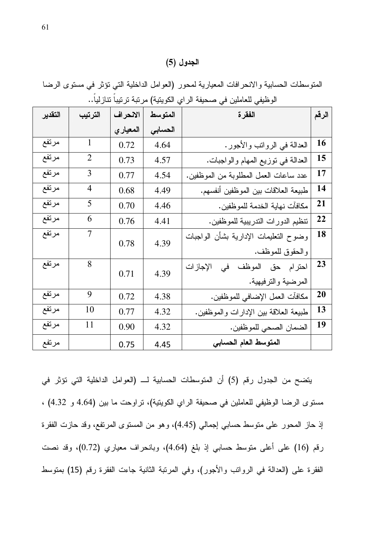### الجدول (5)

المنوسطات الحسابية والانحرافات المعيارية لمحور (العوامل الداخلية التي نؤثر في مستوى الرضا الوظيفي للعاملين في صحيفة الراي الكويتية) مرتبة ترتيباً تتازلياً..

| الرقم | الفقرة                                | المتوسط | الانحراف | الترتيب        | التقدير |
|-------|---------------------------------------|---------|----------|----------------|---------|
|       |                                       | الحسابى | المعياري |                |         |
| 16    | العدالة في الروانب والأجور.           | 4.64    | 0.72     | $\mathbf{1}$   | مرتفع   |
| 15    | العدالة في نوزيع المهام والواجبات.    | 4.57    | 0.73     | $\overline{2}$ | مرتفع   |
| 17    | عدد ساعات العمل المطلوبة من الموظفين. | 4.54    | 0.77     | 3              | مرتفع   |
| 14    | طبيعة العلاقات بين الموظفين أنفسهم.   | 4.49    | 0.68     | 4              | مرتفع   |
| 21    | مكافآت نهاية الخدمة للموظفين.         | 4.46    | 0.70     | 5              | مرتفع   |
| 22    | نتظيم الدورات الندريبية للموظفين.     | 4.41    | 0.76     | 6              | مرتفع   |
| 18    | وضوح النعليمات الإدارية بشأن الواجبات | 4.39    | 0.78     | 7              | مرتفع   |
|       | والحقوق للموظف.                       |         |          |                |         |
| 23    | احترام حق الموظف في<br>الإجازات       | 4.39    | 0.71     | 8              | مرتفع   |
|       | المرضية والترفيهية.                   |         |          |                |         |
| 20    | مكافآت العمل الإضافي للموظفين.        | 4.38    | 0.72     | 9              | مرتفع   |
| 13    | طبيعة العلاقة بين الإدارات والموظفين. | 4.32    | 0.77     | 10             | مرتفع   |
| 19    | الضمان الصحى للموظفين.                | 4.32    | 0.90     | 11             | مرتفع   |
|       | المتوسط العام الحسابي                 | 4.45    | 0.75     |                | مرتفع   |

يتضح من الجدول رقم (5) أن المتوسطات الحسابية لـــ (العوامل الداخلية التي تؤثر في مستوى الرضا الوظيفي للعاملين في صحيفة الراي الكويتية)، تراوحت ما بين (4.64 و 4.32) ، إذ حاز المحور على متوسط حسابي إجمالي (4.45)، وهو من المستوى المرتفع، وقد حازت الفقرة رقع (16) على أعلى متوسط حسابي إذ بلغ (4.64)، وبانحراف معياري (0.72)، وقد نصت الفقرة على (العدالة في الرواتب والأجور)، وفي المرتبة الثانية جاءت الفقرة رقم (15) بمتوسط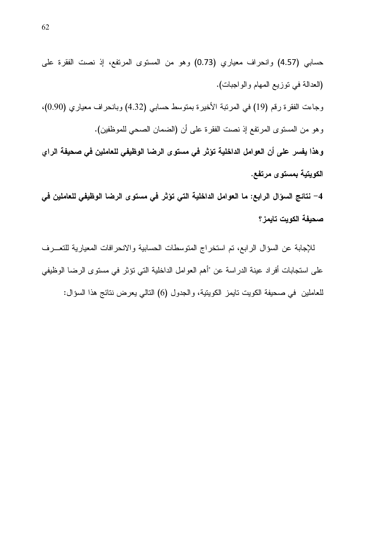حسابي (4.57) وانحراف معياري (0.73) وهو من المستوى المرتفع، إذ نصت الفقرة على (العدالة في نوزيع المهام والواجبات). وجاءت الفقرة رقم (19) في المرتبة الأخيرة بمتوسط حسابي (4.32) وبانحراف معياري (0.90). وهو من المستوى المرتفع إذ نصت الفقرة على أن (الضمان الصحى للموظفين). وهذا يفسر على أن العوامل الداخلية تؤثر في مستوى الرضا الوظيفي للعاملين في صحيفة الراي الكويتية بمستوى مرتفع. 4– نتائج السؤال الرابع: ما العوامل الداخلية التي تؤثر في مستوى الرضا الوظيفي للعاملين في صحيفة الكويت تايمز ؟

للإجابة عن السؤال الرابع، تم استخراج المتوسطات الحسابية والانحرافات المعيارية للتعـــرف على استجابات أفراد عينة الدراسة عن "أهم العوامل الداخلية التي تؤثر في مستوى الرضا الوظيفي للعاملين في صحيفة الكويت تايمز الكويتية، و الجدول (6) التالي يعرض نتائج هذا السؤال: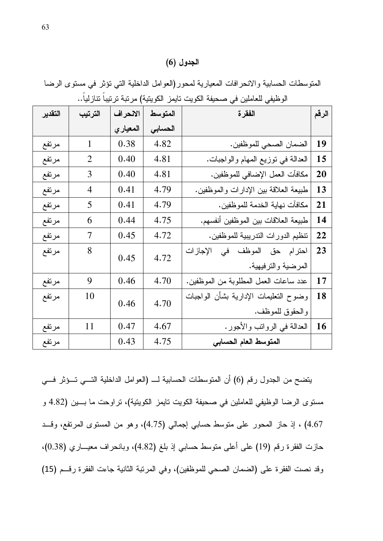### الجدول (6)

المتوسطات الحسابية والانحر افات المعيارية لمحور (العوامل الداخلية التي نؤثر في مستوى الرضا الوظيفي للعاملين في صحيفة الكويت تايمز الكويتية) مربّبة تربّيباً تتازلياً..

| التقدير | الترتيب        | الانحراف | المتوسط | الفقرة                                  | الرقم |
|---------|----------------|----------|---------|-----------------------------------------|-------|
|         |                | المعياري | الحسابى |                                         |       |
| مرتفع   | 1              | 0.38     | 4.82    | الضمان الصحى للموظفين.                  | 19    |
| مرتفع   | $\overline{2}$ | 0.40     | 4.81    | العدالة في نوزيع المهام والواجبات.      | 15    |
| مرتفع   | 3              | 0.40     | 4.81    | مكافآت العمل الإضافي للموظفين.          | 20    |
| مرتفع   | 4              | 0.41     | 4.79    | طبيعة العلاقة بين الإدارات والموظفين.   | 13    |
| مرتفع   | 5              | 0.41     | 4.79    | مكافآت نهاية الخدمة للموظفين.           | 21    |
| مرتفع   | 6              | 0.44     | 4.75    | طبيعة العلاقات بين الموظفين أنفسهم.     | 14    |
| مرتفع   | 7              | 0.45     | 4.72    | تنظيم الدورات الندريبية للموظفين.       | 22    |
| مرتفع   | 8              | 0.45     | 4.72    | احترام حق الموظف ف <i>ي</i><br>الإجازات | 23    |
|         |                |          |         | المرضية والترفيهية.                     |       |
| مرتفع   | 9              | 0.46     | 4.70    | عدد ساعات العمل المطلوبة من الموظفين.   | 17    |
| مرتفع   | 10             | 0.46     | 4.70    | وضوح النعليمات الإدارية بشأن الواجبات   | 18    |
|         |                |          |         | والحقوق للموظف.                         |       |
| مرتفع   | 11             | 0.47     | 4.67    | العدالة في الرواتب والأجور.             | 16    |
| مرتفع   |                | 0.43     | 4.75    | المتوسط العام الحسابى                   |       |

يتضح من الجدول رقم (6) أن المتوسطات الحسابية لــــ (العوامل الداخلية التـــي تـــؤثر فـــي مستوى الرضا الوظيفي للعاملين في صحيفة الكويت تايمز الكويتية)، تراوحت ما بسين (4.82 و 4.67) ، إذ حاز المحور على متوسط حسابي إجمالي (4.75)، وهو من المستوى المرتفع، وقــد حازت الفقرة رقم (19) على أعلى متوسط حسابي إذ بلغ (4.82)، وبانحراف معيـــاري (0.38)، وقد نصت الفقرة على (الضمان الصحي للموظفين)، وفي المرتبة الثانية جاءت الفقرة رقــم (15)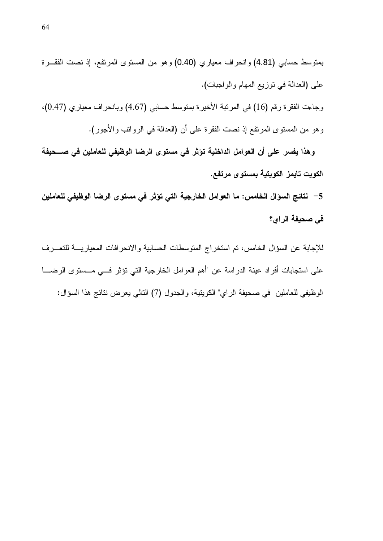i4YdB\*" L?T Q\$ eqB,4C\*" -,)C\*" <C -R- (0.40) &40'(C ."4KT"- (4.81) @>0)K 1)-,C> .(L0>A"-\*"- 20\_C\*" q'[-, @F G\*"!(\*") HI# e(0.47) &40'(C ."4KT0>- (4.67) @>0)K 1)-,C> i4'lS" G>,4C\*" @F (16) 234 i4dB\*" Lh0A- .(4-AS"- /,"-4\*" @F G\*"!(\*") <X HI# i4dB\*" L?T Q\$ qB,4C\*" -,)C\*" <C -R-

وهذا يفسر على أن العوامل الداخلية تؤثر في مستوى الرضا الوظيفي للعاملين في صــحيفة الكويت تايمز الكويتية بمستوى مرتفع.

5 – نتائج السوّال الخامس: ما العوامل الخارجية التي تؤثر في مستوى الرضا الوظيفي للعاملين فى صحيفة الراي؟

للإجابة عن السؤال الخامس، تم استخراج المتوسطات الحسابية والانحرافات المعياريـــة للتعـــرف على استجابات أفراد عينة الدراسة عن "أهم العوامل الخارجية التي تؤثر فــي مــستوى الرضــــا الوظيفي للعاملين ً في صحيفة الراي" الكويتية، والجدول (7) التالي يعرض نتائج هذا السؤال: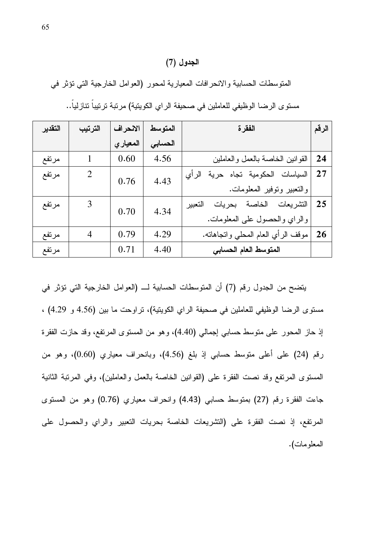#### الجدول (7*)*

المتوسطات الحسابية والانحرافات المعيارية لمحور (العوامل الخارجية التي تؤثر في

| التقدير | الترتيب | الانحراف | المتوسط | الفقرة                                | الرقم     |
|---------|---------|----------|---------|---------------------------------------|-----------|
|         |         | المعياري | الحسابى |                                       |           |
| مرتفع   | 1       | 0.60     | 4.56    | القوانين الخاصة بالعمل والعاملين      | 24        |
| مرتفع   | 2       | 0.76     | 4.43    | السياسات الحكومية تجاه حرية<br>الر أي | 27        |
|         |         |          |         | والنعبير ونوفير المعلومات.            |           |
| مرتفع   | 3       | 0.70     | 4.34    | التشريعات الخاصة بحريات<br>التعبير    | 25        |
|         |         |          |         | والراي والحصول على المعلومات.         |           |
| مرتفع   | 4       | 0.79     | 4.29    | موقف الرأي العام المحلي وانجاهانه.    | <b>26</b> |
| مرتفع   |         | 0.71     | 4.40    | المتوسط العام الحسابي                 |           |

مستوى الرضا الوظيفي للعاملين في صحيفة الراي الكويتية) مرتبة ترتيباً تتازلياً..

يتضح من الجدول رقم (7) أن المتوسطات الحسابية لــــ (العوامل الخارجية التي تؤثر في مستوى الرضا الوظيفي للعاملين في صحيفة الراي الكوينية)، تراوحت ما بين (4.56 و 4.29) ، إذ حاز المحور على متوسط حسابي إجمالي (4.40)، وهو من المستوى المرتفع، وقد حازت الفقرة رقم (24) على أعلى متوسط حسابي إذ بلغ (4.56)، وبانحراف معياري (0.60)، وهو من المستوى المرتفع وقد نصت الفقرة على (القوانين الخاصة بالعمل والعاملين)، وفي المرتبة الثانية جاءت الفقرة رقم (27) بمنوسط حسابي (4.43) وانحراف معياري (0.76) وهو من المسنوى المرتفع، إذ نصت الفقرة على (التشريعات الخاصة بحريات التعبير والراي والحصول على المعلومات).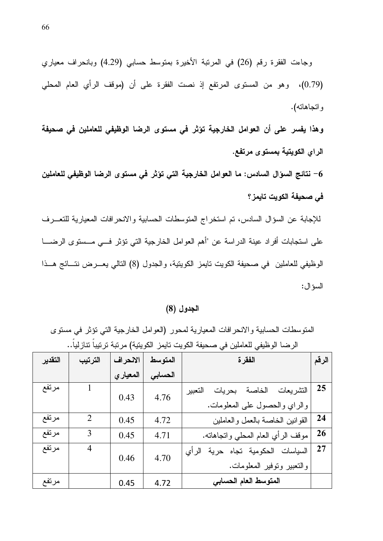وجاءت الفقرة رقم (26) في المرنبة الأخيرة بمنوسط حسابي (4.29) وبانحراف معياري (0.79)، وهو من المستوى المرتفع إذ نصت الفقرة على أن (موقف الرأي العام المحلي واتجاهاته).

وهذا يفسر على أن العوامل الخارجية تؤثر في مستوى الرضا الوظيفي للعاملين في صحيفة الراي الكويتية بمستوى مرتفع.

6– نتائج السؤال السادس: ما العوامل الخارجية التي تؤثر في مستوى الرضا الوظيفي للعاملين في صحيفة الكويت تابمز؟

للإجابة عن السؤال السادس، تم استخراج المتوسطات الحسابية والانحرافات المعيارية للتعـــرف على استجابات أفراد عينة الدراسة عن "أهم العوامل الخارجية التي تؤثر فــي مــستوى الرضـــا الوظيفي للعاملين في صحيفة الكويت تايمز الكويتية، والجدول (8) التالي يعـــرض نتـــائج هـــذا السؤال:

#### الجدول (8)

المتوسطات الحسابية والانحرافات المعيارية لمحور (العوامل الخارجية التي نؤثر في مستوى الرضا الوظيفي للعاملين في صحيفة الكويت تايمز الكويتية) مرتبة ترتيباً تنازلياً..

| التقدير | الترتيب        | الانحراف | المتوسط | الفقرة                                | الرقم |
|---------|----------------|----------|---------|---------------------------------------|-------|
|         |                | المعياري | الحسابى |                                       |       |
| مرتفع   |                | 0.43     | 4.76    | الخاصة بحريات<br>التشريعات<br>التعبير | 25    |
|         |                |          |         | والراي والحصول على المعلومات.         |       |
| مرتفع   | $\overline{2}$ | 0.45     | 4.72    | القوانين الخاصة بالعمل والعاملين      | 24    |
| مرتفع   | 3              | 0.45     | 4.71    | موقف الرأي العام المحلي وانجاهانه.    | 26    |
| مرتفع   | 4              | 0.46     | 4.70    | السياسات الحكومية تجاه حرية<br>الر أي | 27    |
|         |                |          |         | والنعبير ونوفير المعلومات.            |       |
| مرتفع   |                | 0.45     | 4.72    | المتوسط العام الحسابي                 |       |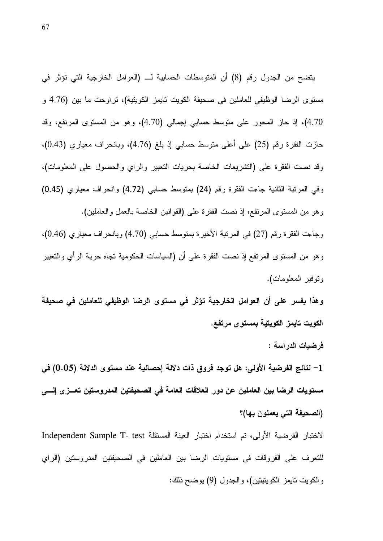يتضح من الجدول رقم (8) أن المتوسطات الحسابية لـــ (العوامل الخارجية التي تؤثر في مستوى الرضا الوظيفي للعاملين في صحيفة الكويت تايمز الكويتية)، تراوحت ما بين (4.76 و 4.70)، إذ حاز المحور على متوسط حسابي إجمالي (4.70)، وهو من المستوى المرتفع، وقد حازت الفقرة رقم (25) على أعلى متوسط حسابي إذ بلغ (4.76)، وبانحراف معياري (0.43). وقد نصت الفقرة على (التشريعات الخاصة بحريات التعبير والراي والحصول على المعلومات)، وفي المرتبة الثانية جاءت الفقرة رقم (24) بمتوسط حسابي (4.72) وانحراف معياري (0.45) وهو من المسنوى المرتفع، إذ نصت الفقرة على (القوانين الخاصة بالعمل والعاملين). وجاءت الفقرة رقم (27) في المرتبة الأخيرة بمتوسط حسابي (4.70) وبانحراف معياري (0.46)، وهو من المستوى المرتفع إذ نصت الفقرة على أن (السياسات الحكومية تجاه حرية الرأى والتعبير ونوفير المعلومات).

وهذا يفسر على أن العوامل الخارجية تؤثر في مستوى الرضا الوظيفي للعاملين في صحيفة الكويت تايمز الكويتية بمستوى مرتفع.

فرضيات الدراسة :

نتائج الفرضية الأولى: هل توجد فروق ذات دلالة إحصائية عند مستوى الدلالة (0.05) في  $-1$ مستويات الرضا بين العاملين عن دور العلاقات العامة في الصحيفتين المدروستين تعــزى إلـــي (الصحيفة التي يعملون بها)؟

لاختبار الفرضية الأولى، تم استخدام اختبار العينة المستقلة Independent Sample T- test للتعرف على الفروقات في مستويات الرضا بين العاملين في الصحيفتين المدروستين (الراي والكويت تايمز الكويتيتين)، والجدول (9) يوضح ذلك: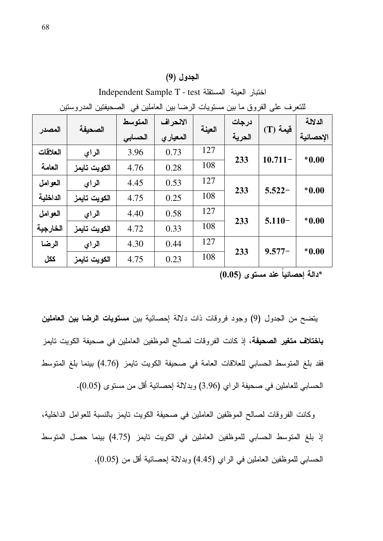### الجدول (9)

|          | ليسين المتار والمثين<br>"سەھىيں سى<br>پر سے بیں<br>سسريت<br>سترڪ جي سرون ۾ بين |         |           |        |        |                 |           |  |
|----------|--------------------------------------------------------------------------------|---------|-----------|--------|--------|-----------------|-----------|--|
|          | الصحيفة                                                                        | المتوسط | الانحراف  | العينة | درجات  | فيمة (T)        | الدلالة   |  |
| المصدر   |                                                                                | الحسابى | المعيار ي |        | الحرية |                 | الإحصائية |  |
| العلاقات | الراي                                                                          | 3.96    | 0.73      | 127    | 233    | $10.711-$       | $*0.00$   |  |
| العامة   | الكويت تايمز                                                                   | 4.76    | 0.28      | 108    |        |                 |           |  |
| العوامل  | الراي                                                                          | 4.45    | 0.53      | 127    | 233    |                 | $*0.00$   |  |
| الداخلية | الكويت تايمز                                                                   | 4.75    | 0.25      | 108    |        | $5.522 -$       |           |  |
| العوامل  | الراي                                                                          | 4.40    | 0.58      | 127    |        |                 |           |  |
| الخارجية | الكويت تايمز                                                                   | 4.72    | 0.33      | 108    | 233    | $5.110-$        | $*0.00$   |  |
| الرضا    | الراي                                                                          | 4.30    | 0.44      | 127    |        |                 |           |  |
| ككل      | الكويت تايمز                                                                   | 4.75    | 0.23      | 108    |        | 233<br>$9.577-$ | $*0.00$   |  |

Independent Sample T - test اختبار العينة المستقلة Independent Sample T للتعرف على الفروق ما بين مستويات الرضيا بين العاملين في الصحيفتين المدروستين

\*دالـة إحصائياً عند مستوى (0.05)

يتضح من الجدول (9) وجود فروقات ذات دلالة إحصائية بين مستويات الرضا بين العاملين **باختلاف متغير الصحيفة**، إذ كانت الفروقات لصـالح الموظفين العاملين في صـحيفة الكويت تايمز فقد بلغ المنوسط الحسابي للعلاقات العامة في صحيفة الكويت نايمز (4.76) بينما بلغ المنوسط الحسابي للعاملين في صحيفة الراي (3.96) وبدلالة إحصائية أقل من مستوى (0.05).

وكانت الفروقات لصالح الموظفين العاملين في صحيفة الكويت نايمز بالنسبة للعوامل الداخلية، إذ بلغ المنوسط الحسابي للموظفين العاملين في الكويت نايمز (4.75) بينما حصل المنوسط الحسابي للموظفين العاملين في الراي (4.45) وبدلالة إحصائية أقل من (0.05).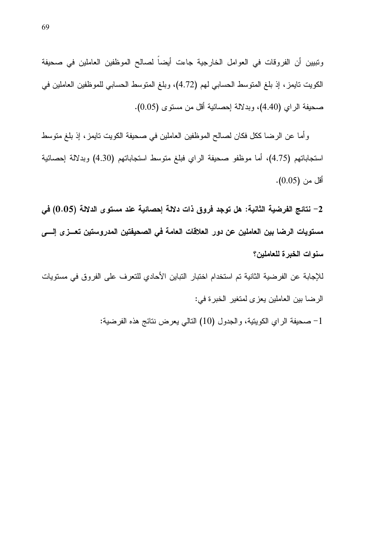ونبيين أن الفروقات في العوامل الخارجية جاءت أيضاً لصالح الموظفين العاملين في صحيفة الكويت نايمز ، إذ بلغ المنوسط الحسابي لمم (4.72)، وبلغ المنوسط الحسابي للموظفين العاملين في صحيفة الراي (4.40)، وبدلالة إحصائية أقل من مستوى (0.05).

و أما عن الرضا ككل فكان لصالح الموظفين العاملين في صحيفة الكويت نايمز ، إذ بلغ منوسط استجاباتهم (4.75)، أما موظفو صحيفة الراي فبلغ متوسط استجاباتهم (4.30) وبدلالة إحصائية أقل من (0.05).

2– نتائج الفرضية الثانية: هل توجد فروق ذات دلالة إحصائية عند مستوى الدلالة (0.05) في مستويات الرضا بين العاملين عن دور العلاقات العامة في الصحيفتين المدروستين تعــزى إلـــي سنوات الخبرة للعاملين؟

للإجابة عن الفرضية الثانية تم استخدام اختبار التباين الأحادي للتعرف على الفروق في مستويات الرضا بين العاملين يعزى لمتغير الخبرة في:

صحيفة الراي الكويتية، والجدول (10) النالي يعرض نتائج هذه الفرضية:  $-1$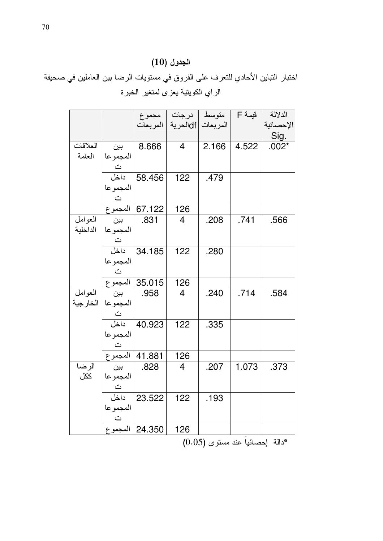## الجدول (10)

# اختبار النباين الأحادي للنعرف على الفروق في مستويات الرضا بين العاملين في صحيفة الراي الكويتية يعزى لمتغير الخبرة

|          |                      |                     |                 | متوسط   درجات   مجموع         | قيمة F | الدلالة   |
|----------|----------------------|---------------------|-----------------|-------------------------------|--------|-----------|
|          |                      |                     |                 | المربعات  df لحرية   المربعات |        | الإحصائية |
|          |                      |                     |                 |                               |        | Sig.      |
| العلاقات | ٻين                  | 8.666               | $\overline{4}$  | 2.166                         | 4.522  | $.002*$   |
| العامة   | المجموعا             |                     |                 |                               |        |           |
|          | ت<br>داخل            |                     |                 |                               |        |           |
|          |                      | 58.456              | 122             | .479                          |        |           |
|          | المجموعا             |                     |                 |                               |        |           |
|          | $\ddot{\phantom{a}}$ |                     |                 |                               |        |           |
|          |                      | _67.122 المجموع     | 126             |                               |        |           |
| العوامل  | بين                  | .831                | 4               | .208                          | .741   | .566      |
| الداخلية | المجموعا             |                     |                 |                               |        |           |
|          | ت<br>داخل            |                     |                 |                               |        |           |
|          |                      | 34.185              | 122             | .280                          |        |           |
|          | المجموعا             |                     |                 |                               |        |           |
|          |                      | ت<br>35.015 المجموع |                 |                               |        |           |
|          |                      |                     | 126             |                               |        |           |
| العوامل  | بين                  | .958                | 4               | .240                          | .714   | .584      |
| الخارجية | المجموعا             |                     |                 |                               |        |           |
|          | ت<br>داخل            |                     |                 |                               |        |           |
|          |                      | 40.923              | 122             | .335                          |        |           |
|          | المجموعا             |                     |                 |                               |        |           |
|          |                      | ت<br>11.881 المجموع |                 |                               |        |           |
|          |                      |                     | $\frac{126}{4}$ |                               |        |           |
| الرضا    | ٻين                  | .828                |                 | .207                          | 1.073  | .373      |
| ككل      | المجموعا             |                     |                 |                               |        |           |
|          | ت<br>داخل            |                     |                 |                               |        |           |
|          |                      | 23.522              | 122             | .193                          |        |           |
|          | المجموعا             |                     |                 |                               |        |           |
|          | $\tilde{\mathbf{C}}$ |                     |                 |                               |        |           |
|          |                      | 24.350   المجموع    | 126             |                               |        |           |

\*دالة إحصائياً عند مستوى (0.05)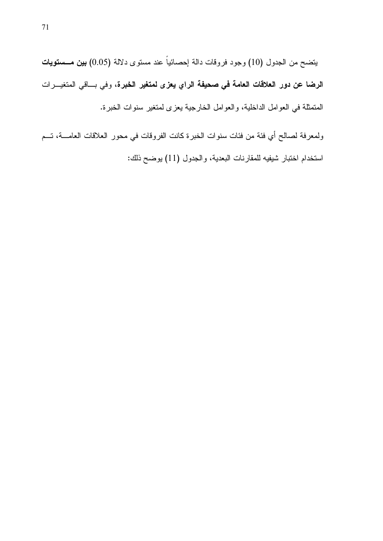يتضح من الجدول (10) وجود فروقات دالة إحصائياً عند مستوى دلالة (0.05) **بين مــــستويات** الرضا عن دور العلاقات العامة في صحيفة الراي يعزى لمتغير الخبرة، وفي بـــاقي المتغيـــرات المتمثَّلة في العوامل الداخلية، والعوامل الخارجية يعزى لمتغير سنوات الخبرة.

ولمعرفة لصالح أي فئة من فئات سنوات الخبرة كانت الفروقات في محور العلاقات العامــــة، تـــم استخدام اختبار شيفيه للمقارنات البعدية، والجدول (11) يوضح ذلك: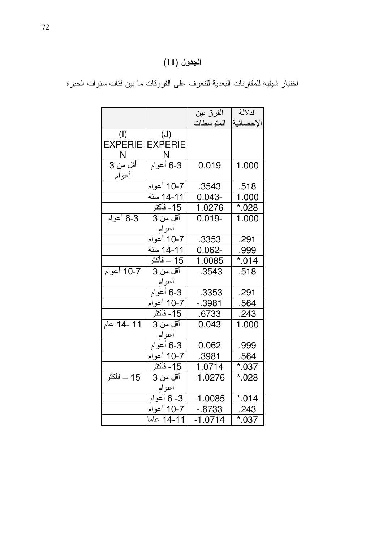# الجدول (11)

|                    |                         | الفرق بين  | الدلالة   |
|--------------------|-------------------------|------------|-----------|
|                    |                         | المتو سطات | الإحصائية |
| (I)                | (J)                     |            |           |
| <b>EXPERIE</b>     | <b>EXPERIE</b>          |            |           |
| N                  | $\overline{\mathsf{N}}$ |            |           |
| أقل من 3           | 6-3 أعوام               | 0.019      | 1.000     |
| أعوام              |                         |            |           |
|                    | 10-7 أعوام              | .3543      | .518      |
|                    | 11-14 سنة               | $0.043 -$  | 1.000     |
|                    |                         | 1.0276     | $*028$    |
| 3-6 أعوام          | أقل من 3                | $0.019 -$  | 1.000     |
|                    | أعوام                   |            |           |
|                    | 10-7 أعوام              | .3353      | .291      |
|                    | 11-14 سنة               | $0.062 -$  | .999      |
|                    | 15 – فأكثر              | 1.0085     | $*014$    |
| 10-7 أعوام         | أقل من 3                | $-0.3543$  | .518      |
|                    | أعوام                   |            |           |
|                    | 3-6 أعوام               | $-0.3353$  | .291      |
|                    | 10-7 أعوام              | $-0.3981$  | .564      |
|                    |                         | .6733      | $-243$    |
| 11 -14 عام         | أقل من 3                | 0.043      | 1.000     |
|                    | أعوام                   |            |           |
|                    | 3-6 أعوام               | 0.062      | .999      |
|                    | 7-10 أعوام              | .3981      | .564      |
|                    | 15- فأكثر               | 1.0714     | $*037$    |
| <u> 15 – فأكثر</u> | أقل من 3                | $-1.0276$  | $*028$    |
|                    | أعوام                   |            |           |
|                    | 3- 6 أعوام              | $-1.0085$  | $*014$    |
|                    | 10-7 أعوام              | $-6733$    | .243      |
|                    | 11-14 عاماً             | $-1.0714$  | $*037$    |

اختبار شيفيه للمقارنات البعدية للتعرف على الفروقات ما بين فئات سنوات الخبرة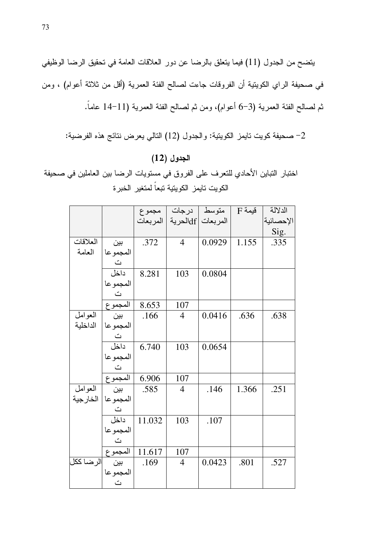يتضح من الجدول (11) فيما يتعلق بالرضا عن دور العلاقات العامة في تحقيق الرضا الوظيفي في صحيفة الراي الكويتية أن الفروقات جاءت لصـالـح الفئة الـعمريـة (أقل من ثـلاثة أعوام) ، ومن ثم لصـالـح الفئـة الـعمريـة (3–6 أعولم)، ومن ثم لصـالـح الفئـة الـعمريـة (11–14 عامـاً.

## الجدول (12)

اختبار النباين الأحادي للتعرف على الفروق في مستويات الرضا بين العاملين في صحيفة الكويت تايمز الكويتية تبعاً لمتغير الخبرة

|            |                          |        | متوسط   درجات   مجموع         |        | $F$ قيمة | الدلالة   |
|------------|--------------------------|--------|-------------------------------|--------|----------|-----------|
|            |                          |        | المربعات  df لحرية   المربعات |        |          | الإحصائية |
|            |                          |        |                               |        |          | Sig.      |
| العلاقات   | بين                      | .372   | $\overline{4}$                | 0.0929 | 1.155    | .335      |
| العامة     | المجموعا                 |        |                               |        |          |           |
|            |                          |        |                               |        |          |           |
|            | ت<br>داخل                | 8.281  | 103                           | 0.0804 |          |           |
|            |                          |        |                               |        |          |           |
|            |                          |        |                               |        |          |           |
|            | المجموعا<br>ت<br>المجموع | 8.653  | 107                           |        |          |           |
| العوامل    | بين آ                    | .166   | $\overline{4}$                | 0.0416 | .636     | .638      |
| الداخلية   | المجموعا                 |        |                               |        |          |           |
|            |                          |        |                               |        |          |           |
|            | ت<br>داخل                | 6.740  | 103                           | 0.0654 |          |           |
|            | المجموعا                 |        |                               |        |          |           |
|            |                          |        |                               |        |          |           |
|            | ت<br>المجموع             | 6.906  | 107                           |        |          |           |
| العوامل    | بين                      | .585   | $\overline{4}$                | .146   | 1.366    | .251      |
|            | المجموعا   الخارجية      |        |                               |        |          |           |
|            |                          |        |                               |        |          |           |
|            | ت<br>داخل                | 11.032 | 103                           | .107   |          |           |
|            | المجموعا                 |        |                               |        |          |           |
|            | $\vec{c}$                |        |                               |        |          |           |
|            | المجموع                  | 11.617 | 107                           |        |          |           |
| الر ضا ككل |                          | .169   | $\overline{4}$                | 0.0423 | .801     | .527      |
|            | المجموعا                 |        |                               |        |          |           |
|            | $\tilde{\omega}$         |        |                               |        |          |           |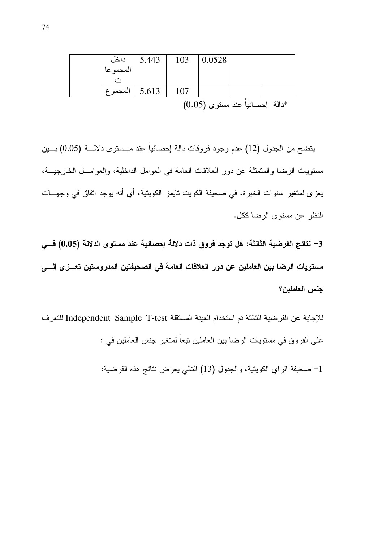|                  | 5.443 | 103 | 0.0528 |                                   |  |
|------------------|-------|-----|--------|-----------------------------------|--|
| داخل<br>المجموعا |       |     |        |                                   |  |
|                  |       |     |        |                                   |  |
| . المجموع        | 5.613 | 107 |        |                                   |  |
|                  |       |     |        | $(0.05)$ دالة احصائيا عند مستوى ( |  |

يتضح من الجدول (12) عدم وجود فروقات دالة إحصائياً عند مـــستوى دلالــــة (0.05) بــــين مستويات الرضا والمتمثلة عن دور العلاقات العامة في العوامل الداخلية، والعوامـــل الخارجيـــة، يعز ي لمنغير سنوات الخبرة، في صحيفة الكويت نايمز الكويتية، أي أنه يوجد اتفاق في وجهـــات النظر عن مستوى الرضا ككل.

3– نتائج الفرضية الثالثة: هل توجد فروق ذات دلالة إحصائية عند مستوى الدلالة (0.05) فـــى مستويات الرضا بين العاملين عن دور العلاقات العامة في الصحيفتين المدروستين تعــز ي إلـــي جنس العاملين؟

للإجابة عن الفرضية الثالثة تم استخدام العينة المستقلة Independent Sample T-test للتعرف على الفر و ق في مستويات الر ضيا بين العاملين نبعاً لمتغير جنس العاملين في :

1– صحيفة الراي الكويتية، والجدول (13) النالي يعرض نتائج هذه الفرضية: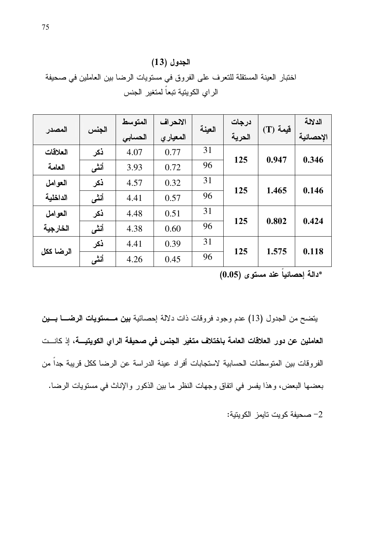| الجدول (13) |
|-------------|
|             |

اختبار العينة المستقلة للتعرف على الفروق في مستويات الرضا بين العاملين في صحيفة الراى الكويتية تبعاً لمتغير الجنس

|           |       | المتوسط | الانحراف  |        | درجات  |             | الدلالة   |
|-----------|-------|---------|-----------|--------|--------|-------------|-----------|
| المصدر    | الجنس | الحسابي | المعيار ي | العينة | الحرية | $(T)$ فَيمة | الإحصائية |
| العلاقات  | ذكر   | 4.07    | 0.77      | 31     |        | 0.947       | 0.346     |
| العامة    | أنشى  | 3.93    | 0.72      | 96     | 125    |             |           |
| العوامل   | ذكر   | 4.57    | 0.32      | 31     |        |             |           |
| الداخلية  | أنشى  | 4.41    | 0.57      | 96     | 125    | 1.465       | 0.146     |
| العوامل   | ذكر   | 4.48    | 0.51      | 31     | 125    | 0.802       | 0.424     |
| الخارجية  | أنشى  | 4.38    | 0.60      | 96     |        |             |           |
|           | ذكر   | 4.41    | 0.39      | 31     |        |             |           |
| الرضا ككل | أنشى  | 4.26    | 0.45      | 96     | 125    | 1.575       | 0.118     |

\*دالـة إحصائياً عند مستوى (0.05)

يتضح من الجدول (13) عدم وجود فروقات ذات دلالة إحصائية بين مسمتويات الرضــا بـــين العاملين عن دور العلاقات العامة باختلاف متغير الجنس في صحيفة الراي الكويتيـــة، إذ كانـــت الفروقات بين المتوسطات الحسابية لاستجابات أفراد عينة الدراسة عن الرضا ككل قريبة جداً من بعضها البعض، وهذا يفسر في اتفاق وجهات النظر ما بين الذكور والإناث في مستويات الرضا.

صحيفة كويت تايمز الكويتية:  $-2$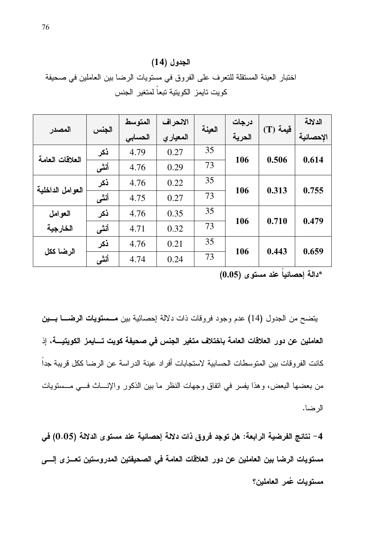|  | الجدول (14) |
|--|-------------|
|--|-------------|

اختبار العينة المستقلة للتعرف على الفروق في مستويات الرضا بين العاملين في صحيفة كويت نايمز الكويتية تبعا لمتغير الجنس

| المصدر           | الجنس | المتوسط | الانحراف | العينة | درجات  |            | الدلالة   |
|------------------|-------|---------|----------|--------|--------|------------|-----------|
|                  |       | الحسابي | المعياري |        | الحرية | $(T)$ قيمة | الإحصائية |
| العلاقات العامة  | ذكر   | 4.79    | 0.27     | 35     | 106    | 0.506      | 0.614     |
|                  | أنشى  | 4.76    | 0.29     | 73     |        |            |           |
| العوامل الداخلية | ذكر   | 4.76    | 0.22     | 35     | 106    | 0.313      | 0.755     |
|                  | أنشى  | 4.75    | 0.27     | 73     |        |            |           |
| العوامل          | ذكر   | 4.76    | 0.35     | 35     |        | 0.710      | 0.479     |
| الخارجية         | أنشى  | 4.71    | 0.32     | 73     | 106    |            |           |
| الرضا ككل        | ذكر   | 4.76    | 0.21     | 35     |        | 0.443      | 0.659     |
|                  | أنشى  | 4.74    | 0.24     | 73     | 106    |            |           |

\*دالة إحصائياً عند مستوى (0.05)

يتضح من الجدول (14) عدم وجود فروقات ذات دلالة إحصائية بين مسمعتويات الرضــا بـــين العاملين عن دور العلاقات العامة باختلاف متغير الجنس في صحيفة كويت تسايمز الكويتيـــة، إذ كانت الفروقات بين المتوسطات الحسابية لاستجابات أفراد عينة الدراسة عن الرضا ككل فريبة جداً من بعضها البعض، وهذا يفسر في اتفاق وجهات النظر ما بين الذكور والإنساث فسي مـــستويات الرضا.

4– نتائج الفرضية الرابعة: هل توجد فروق ذات دلالة إحصائية عند مستوى الدلالة (0.05) في مستويات الرضا بين العاملين عن دور العلاقات العامة في الصحيفتين المدروستين تعــز ي إلـــي مستويات عُمر العاملين؟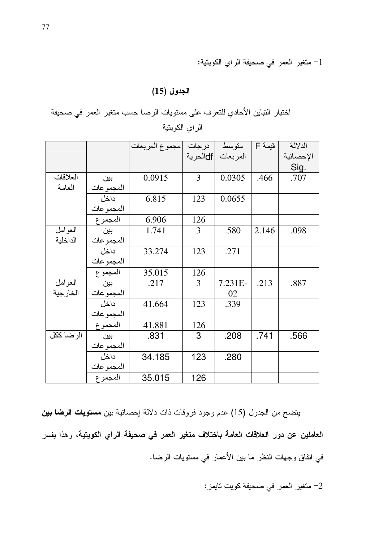1– متغير العمر في صحيفة الراي الكويتية:

### الجدول (15)

اختبار التباين الأحادي للتعرف على مستويات الرضا حسب متغير العمر في صحيفة الراي الكويتية

|           |           | درجات  مجموع المربعات |          | متوسط     | $\overline{\mathsf{F}}$ فَيمة | الدلالة   |
|-----------|-----------|-----------------------|----------|-----------|-------------------------------|-----------|
|           |           |                       | dfالحرية | المر بعات |                               | الإحصائية |
|           |           |                       |          |           |                               | Sig.      |
| العلاقات  | بين       | 0.0915                | 3        | 0.0305    | .466                          | .707      |
| العامة    | المجموعات |                       |          |           |                               |           |
|           | داخل      | 6.815                 | 123      | 0.0655    |                               |           |
|           | المجموعات |                       |          |           |                               |           |
|           | المجموع   | 6.906                 | 126      |           |                               |           |
| العوامل   | بين       | 1.741                 | 3        | .580      | 2.146                         | .098      |
| الداخلية  | المجموعات |                       |          |           |                               |           |
|           | داخل      | 33.274                | 123      | .271      |                               |           |
|           | المجموعات |                       |          |           |                               |           |
|           | المجموع   | 35.015                | 126      |           |                               |           |
| العوامل   | بين       | .217                  | 3        | $7.231E-$ | .213                          | .887      |
| الخار جية | المجموعات |                       |          | 02        |                               |           |
|           | داخل      | 41.664                | 123      | .339      |                               |           |
|           | المجموعات |                       |          |           |                               |           |
|           | المجموع   | 41.881                | 126      |           |                               |           |
| الرضا ككل | بين       | .831                  | 3        | .208      | .741                          | .566      |
|           | المجموعات |                       |          |           |                               |           |
|           | داخل      | 34.185                | 123      | .280      |                               |           |
|           | المجموعات |                       |          |           |                               |           |
|           | المجموع   | 35.015                | 126      |           |                               |           |

يتضح من الجدول (15) عدم وجود فروقات ذات دلالة إحصائية بين مستويات الرضا بين العاملين عن دور العلاقات العامة باختلاف متغير العمر في صحيفة الراي الكويتية، وهذا يفسر في اتفاق وجهات النظر ما بين الأعمار في مستويات الرضا.

2- متغير العمر في صحيفة كويت تايمز: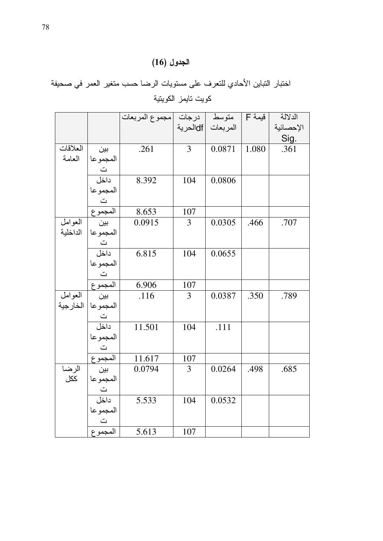## الجدول (16)

اختبار التباين الأحادي للتعرف على مستويات الرضا حسب متغير العمر في صحيفة كويت تايمز الكويتية

|          |                                        | متوسط   درجات  مجموع المربعات |     |                    | قيمة F | الدلالة           |
|----------|----------------------------------------|-------------------------------|-----|--------------------|--------|-------------------|
|          |                                        |                               |     | المربعات  dfالحرية |        | الإحصائية         |
|          |                                        |                               |     |                    |        | <u>Sig.</u>       |
| العلاقات | بين                                    | .261                          | 3   | 0.0871             | 1.080  | $\overline{.361}$ |
| العامة   | المجموعا                               |                               |     |                    |        |                   |
|          | ت<br>داخل                              |                               |     |                    |        |                   |
|          |                                        | 8.392                         | 104 | 0.0806             |        |                   |
|          | المجموعا                               |                               |     |                    |        |                   |
|          |                                        |                               |     |                    |        |                   |
|          | ت<br>المجموع                           | 8.653                         | 107 |                    |        |                   |
| العوامل  | سا<br>المجموعا<br>نا<br>داخل           | 0.0915                        | 3   | 0.0305             | .466   | .707              |
| الداخلية |                                        |                               |     |                    |        |                   |
|          |                                        |                               |     |                    |        |                   |
|          |                                        | 6.815                         | 104 | 0.0655             |        |                   |
|          |                                        |                               |     |                    |        |                   |
|          |                                        |                               |     |                    |        |                   |
|          |                                        | 6.906                         | 107 |                    |        |                   |
| العوامل  | المجموعا<br>الت<br>المجموع<br>بين      | .116                          | 3   | 0.0387             | .350   | .789              |
| الخارجية |                                        |                               |     |                    |        |                   |
|          | المجموعا<br>المجموعا<br>داخل           |                               |     |                    |        |                   |
|          |                                        | 11.501                        | 104 | .111               |        |                   |
|          |                                        |                               |     |                    |        |                   |
|          |                                        |                               |     |                    |        |                   |
|          | المجموعا<br>المجموعا<br>المجموع<br>بين | 11.617                        | 107 |                    |        |                   |
| الرضا    |                                        | 0.0794                        | 3   | 0.0264             | .498   | .685              |
| ككل      | المجموعا                               |                               |     |                    |        |                   |
|          | ت<br>داخل                              |                               |     |                    |        |                   |
|          |                                        | 5.533                         | 104 | 0.0532             |        |                   |
|          |                                        |                               |     |                    |        |                   |
|          | المجموعا<br>ت                          |                               |     |                    |        |                   |
|          | المجموع                                | 5.613                         | 107 |                    |        |                   |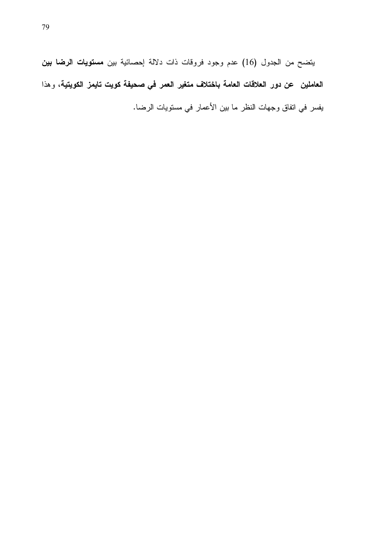يتضح من الجدول (16) عدم وجود فروقات ذات دلالة إحصائية بين مستويات الرضا بين العاملين عن دور العلاقات العامة باختلاف متغير العمر في صحيفة كويت تايمز الكويتية، وهذا يفسر في اتفاق وجهات النظر ما بين الأعمار في مستويات الرضا.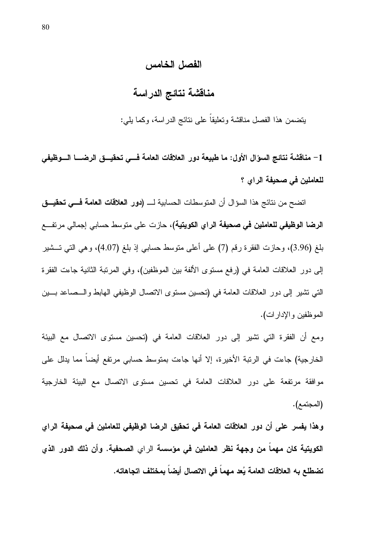### الفصل الخامس

### مناقشة نتائج الدراسة

يتضمن هذا الفصل مناقشة وتعليقاً على نتائج الدراسة، وكما بلبي:

1– مناقشة نتائج السؤال الأول: ما طبيعة دور العلاقات العامة فسي تحقيسق الرضـــا السوظيفي للعاملين في صحيفة الراي ؟

اتضح من نتائج هذا السؤال أن المتوسطات الحسابية لــــ **(دور الـعلاقات الـعامـة فــــى تـحقيـــق الرضا الوظيفي للعاملين في صحيفة الراي الكويتية)،** حازت على متوسط حسابي إجمالي مرتفـــع بلغ (3.96)، وحازت الفقرة رقم (7) على أعلى متوسط حسابـي إذ بلغ (4.07)، وهي التـي تـــشير إلى دور العلاقات العامة في (رفع مستوى الألفة بين الموظفين)، وفي المرتبة الثانية جاءت الفقرة التي تشير إلى دور العلاقات العامة في (نحسين مستوى الاتصال الوظيفي الهابط والــصاعد بـــين الموظفين و الإدار ات).

ومع أن الفقرة التي تشير إلى دور العلاقات العامة في (تحسين مستوى الاتصال مع البيئة الخارجية) جاءت في الرنبة الأخيرة، إلا أنها جاءت بمتوسط حسابي مرتفع أيضاً مما يدلل على موافقة مرتفعة على دور العلاقات العامة في تحسين مستوى الاتصال مع البيئة الخارجية (المجتمع).

وهذا يفسر على أن دور العلاقات العامة في تحقيق الرضا الوظيفي للعاملين في صحيفة الراي الكويتية كان مهماً من وجهة نظر العاملين في مؤسسة الراي الصحفية. وأن ذلك الدور الذي تضطلع به العلاقات العامة يُعد مهماً في الاتصال أيضاً بمختلف اتجاهاته.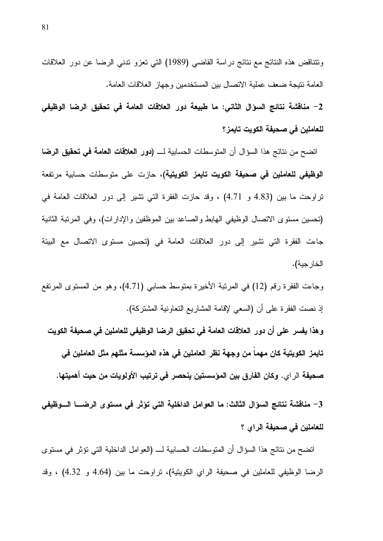ونتناقض هذه النتائج مع نتائج دراسة القاضبي (1989) التي تعزو ندنبي الرضا عن دور العلاقات العامة نتيجة ضعف عملية الاتصال بين المستخدمين وجهاز العلاقات العامة.

2– مناقشة نتائج السؤال الثانى: ما طبيعة دور العلاقات العامة في تحقيق الرضا الوظيفي للعاملين ف*ى* صحيفة الكويت تايمز؟

اتضح من نتائج هذا السؤال أن المتوسطات الحسابية لــــ **(دور العلاقات العامة في تحقيق الرضا الوظيفي للعاملين في صحيفة الكويت تايمز الكويتية)،** حازت على متوسطات حسابية مرتفعة تراوحت ما بين (4.83 و 4.71) ، وقد حازت الفقرة التي نشير إلى دور العلاقات العامة في (تحسين مستوى الاتصال الوظيفي الهابط والصاعد بين الموظفين والإدارات)، وفي المرتبة الثانية جاءت الفقرة التي تشير إلى دور العلاقات العامة في (تحسين مستوى الاتصال مع البيئة الخار جية).

وجاءت الفقرة رقم (12) في المرتبة الأخيرة بمتوسط حسابي (4.71)، وهو من المستوى المرتفع اذِ نصت الفقرة على أن (السعى لإقامة المشاريع النعاونية المشتركة).

وهذا يفسر على أن دور العلاقات العامة في تحقيق الرضا الوظيفي للعاملين في صحيفة الكويت تايمز الكويتية كان مهما من وجهة نظر العاملين في هذه المؤسسة مثلهم مثل العاملين في صحيفة الراي. وكان الفارق بين المؤسستين ينحصر في ترتيب الأولويات من حيت أهميتها.

3 – مناقشة نتائج السؤال الثالث: ما العوامل الداخلية التي تؤثر في مستوى الرضـــا الـــوظيفي للعاملين فى صحيفة الراي ؟

اتضح من نتائج هذا السؤال أن المتوسطات الحسابية لــــ (العوامل الداخلية التي تؤثر في مستوى الرضا الوظيفي للعاملين في صحيفة الراي الكويتية)، تراوحت ما بين (4.64 و 4.32) ، وقد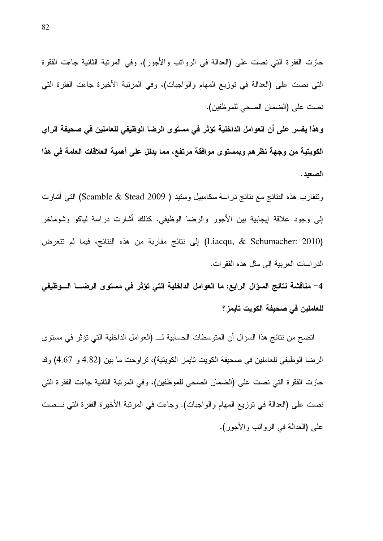حازت الفقرة التي نصت على (العدالة في الرواتب والأجور)، وفي المرتبة الثانية جاءت الفقرة التي نصت على (العدالة في توزيع المهام والواجبات)، وفي المرتبة الأخيرة جاءت الفقرة التي نصت على (الضمان الصحى للموظفين).

وهذا يفسر على أن العوامل الداخلية تؤثر في مستوى الرضا الوظيفي للعاملين في صحيفة الراي الكويتية من وجهة نظرهم ويمستوى موافقة مرتفع، مما يدلل على أهمية العلاقات العامة في هذا الصعد.

ونتقارب هذه النتائج مع نتائج در اسة سكامبيل وستيد ( Scamble & Stead 2009) التبي أشارت إلى وجود علاقة إيجابية بين الأجور والرضا الوظيفي. كذلك أشارت دراسة لياكو وشوماخر (Liacqu, & Schumacher: 2010) إلى نتائج مقاربة من هذه النتائج، فيما لم تتعرض الدر اسات العربية إلى مثل هذه الفقر ات.

4– مناقشة نتائج السؤال الرابع: ما العوامل الداخلية التي تؤثر في مستوى الرضـــا الـــوظيفي للعاملين في صحيفة الكويت تايمز ؟

اتضح من نتائج هذا السؤال أن المتوسطات الحسابية لــــ (العوامل الداخلية التي تؤثِّر في مستوى الرضا الوظيفي للعاملين في صحيفة الكويت نايمز الكويتية)، نراوحت ما بين (4.82 و 4.67) وقد حازت الفقر ة التي نصت على (الضمان الصحى للموظفين)، وفي المربِّبة الثانية جاءت الفقر ة التي نصت على (العدالة في نوزيع المهام والواجبات). وجاءت في المرتبة الأخيرة الفقرة التي نـــصت على (العدالة في الروانب والأجور).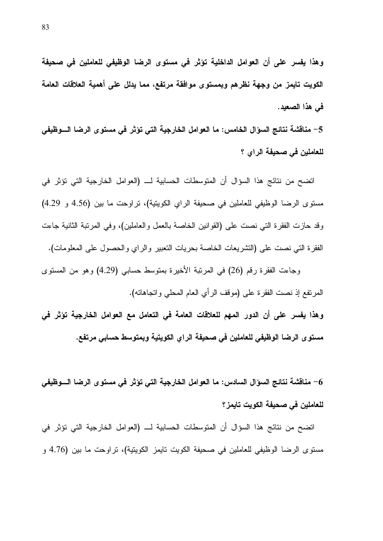وهذا يفسر على أن العوامل الداخلية تؤثر في مستوى الرضا الوظيفي للعاملين في صحيفة الكويت تايمز من وجهة نظرهم وبمستوى موافقة مرتفع، مما يدلل على أهمية العلاقات العامة في هذا الصعيد.

5– مناقشة نتائج السؤال الخامس: ما العوامل الخارجية التي تؤثر في مستوى الرضا الـــوظيفي للعاملين فى صحيفة الراي ؟

اتضح من نتائج هذا السؤال أن المتوسطات الحسابية لـــ (العوامل الخارجية التي تؤثر في مستوى الرضا الوظيفي للعاملين في صحيفة الراي الكويتية)، تراوحت ما بين (4.56 و 4.29) وقد حازت الفقرة التبي نصت على (القوانين الخاصة بالعمل والعاملين)، وفي المرتبة الثانية جاءت الفقرة التي نصت على (التشريعات الخاصة بحريات النعبير والراي والحصول على المعلومات).

وجاءت الفقرة رقم (26) في المرتبة الأخيرة بمتوسط حسابي (4.29) وهو من المستوى المرتفع إذ نصت الفقرة على (موقف الرأي العام المحلي واتجاهاته).

وهذا يفسر على أن الدور المهم للعلاقات العامة في التعامل مع العوامل الخارجية تؤثر في مستو ى الرضا الوظيفى للعاملين فى صحيفة الراي الكويتية وبمتوسط حسابى مرتفع.

6 – مناقشة نتائج السؤال السادس: ما العوامل الخارجية التي تؤثر في مستوى الرضا الـــوظيفي للعاملين ف*ى* صحيفة الكويت تايمز ؟

اتضح من نتائج هذا السؤال أن المتوسطات الحسابية لـــ (العوامل الخارجية التي تؤثر في مستوى الرضا الوظيفي للعاملين في صحيفة الكويت نايمز الكويتية)، نراوحت ما بين (4.76 و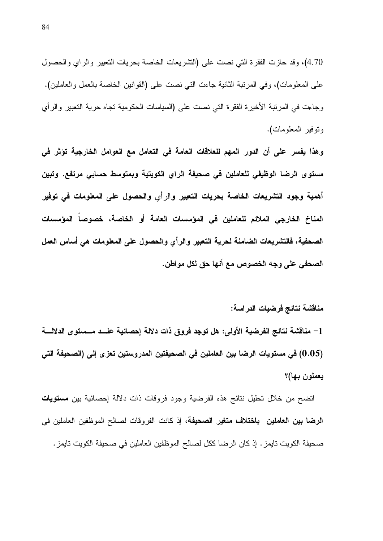4.70)، وقد حازت الفقرة التي نصت على (التشريعات الخاصة بحريات التعبير والراي والحصول على المعلومات)، وفي المرتبة الثانية جاءت التي نصت على (القوانين الخاصة بالعمل والعاملين). وجاءت في المرتبة الأخيرة الفقرة التي نصت على (السياسات الحكومية تجاه حرية التعبير والرأي ونوفير المعلومات).

وهذا يفسر على أن الدور المهم للعلاقات العامة في التعامل مع العوامل الخارجية تؤثر في مستوى الرضا الوظيفى للعاملين فى صحيفة الراي الكويتية وبمتوسط حسابى مرتفع. وتبين أهمية وجود التشريعات الخاصة بحريات التعبير والرأي والحصول على المعلومات فى توفير المناخ الخارجي الملائم للعاملين في المؤسسات العامة أو الخاصة، خصوصاً المؤسسات الصحفية، فالتشريعات الضامنة لحرية التعبير والرأى والحصول على المعلومات هي أساس العمل الصحفي على وجه الخصوص مع أنها حق لكل مواطن.

مناقشة نتائج فرضيات الدراسة:

1– مناقشة نتائج الفرضية الأولى: هل توجد فروق ذات دلالة إحصائية عنـــد مـــمىتوى الدلالــــة (0.05) في مستويات الرضا بين العاملين في الصحيفتين المدروستين تعزى إلى (الصحيفة التي يعملون بها)؟

انضح من خلال نحليل نتائج هذه الفرضية وجود فروقات ذات دلالة إحصائية بين م**ستويات الرضا بين العاملين باختلاف متغير الصحيفة،** إذ كانت الفروقات لصـالح الموظفين العاملين في صحيفة الكويت تايمز . إذ كان الرضا ككل لصالح الموظفين العاملين في صحيفة الكويت تايمز .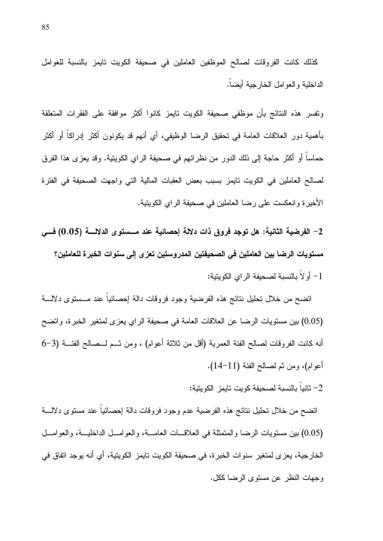كذلك كانت الفروقات لصالح الموظفين العاملين في صحيفة الكويت تايمز بالنسبة للعوامل الداخلية والعوامل الخارجية أيضا.

ونفسر هذه النتائج بأن موظفى صحيفة الكويت نايمز كانوا أكثر موافقة على الفقرات المتعلقة بأهمية دور العلاقات العامة في تحقيق الرضا الوظيفي، أي أنهم قد يكونون أكثر إدراكاً أو أكثر حماسا أو أكثر حاجة إلى ذلك الدور من نظرائهم في صحيفة الراي الكويتية. وقد يعزى هذا الفرق لصالح العاملين في الكويت تايمز بسبب بعض العقبات المالية التي واجهت الصحيفة في الفترة الأخيرة وانعكست على رضا العاملين في صحيفة الراي الكوينية.

2– الفرضية الثانية: هل توجد فروق ذات دلالة إحصائية عند مــــمىتوى الدلالــــة (0.05) فـــى مستويات الرضا بين العاملين في الصحيفتين المدروستين تعزى إلى سنوات الخبرة للعاملين؟ 1– أو لاً بالنسبة لصحيفة الراي الكويتية:

انضح من خلال نحليل نتائج هذه الفرضية وجود فروقات دالة إحصائيا عند مـــستوى دلالــــة (0.05) بين مستويات الرضا عن العلاقات العامة في صحيفة الراي يعزى لمتغير الخبرة، واتضح أنه كانت الفروقات لصالح الفئة العمرية (أقل من ثلاثة أعوام) ، ومن شـم لــصالح الفئـــة (3–6 أعوام)، ومن ثم لصالح الفئة (11–14).

أنياً بالنسبة لصحيفة كويت تايمز الكويتية:  $-2$ 

انضح من خلال نحليل نتائج هذه الفرضية عدم وجود فروقات دالة إحصائيا عند مستوى دلالــــة (0.05) بين مستويات الرضا والمتمثلة في العلاقــات العامـــة، والعوامـــل الداخليـــة، والعوامـــل الخار جية، يعز ي لمتغير ٍ سنو ات الخبر ة، في صحيفة الكويت تايمز ِ الكويتية، أي أنه يوجد اتفاق في وجهات النظر عن مستوى الرضا ككل.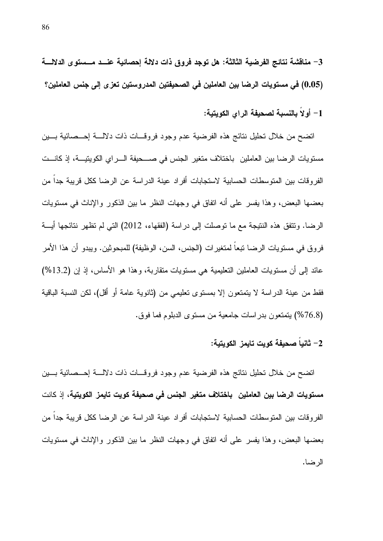1– أولاً بالنسبة لصحيفة الراى الكويتية:

اتضح من خلال تحليل نتائج هذه الفرضية عدم وجود فروقـــات ذات دلالــــة إحـــصائية بــــين مستويات الرضا بين العاملين باختلاف متغير الجنس في صـــحيفة الـــراي الكويتيـــة، إذ كانـــت الفر و قات بين المتوسطات الحسابية لاستجابات أفر اد عينة الدر اسة عن الر ضا ككل قريبة جدا من بعضها البعض، وهذا يفسر على أنه اتفاق في وجهات النظر ما بين الذكور والإناث في مستويات الرضا. وتتفق هذه النتيجة مع ما توصلت إلى دراسة (الفقهاء، 2012) التي لم تظهر نتائجها أيـــة فروق في مستويات الرضا نبعا لمتغيرات (الجنس، السن، الوظيفة) للمبحوثين. ويبدو أن هذا الأمر عائد إلى أن مستويات العاملين التعليمية هي مستويات متقاربة، وهذا هو الأساس، إذ إن (13.2%) فقط من عينة الدراسة لا يتمتعون إلا بمستوى تعليمي من (ثانوية عامة أو أقل)، لكن النسبة الباقية (76.8%) بِتَمْتَعُونَ بَدْرَ اسَاتِ جَامَعِيَةٌ مِنْ مَسْتَوَى الدِّبْلُومِ فَمَا فَوْقٍ.

#### 2– ثانياً صحيفة كوبت تابمز الكوبتية:

انضح من خلال تحليل نتائج هذه الفرضية عدم وجود فروقـــات ذات دلالــــة إحـــصائية بــــين مستويات الرضا بين العاملين باختلاف متغير الجنس في صحيفة كويت تايمز الكويتية، إذ كانت الفر و قات بين المتوسطات الحسابية لاستجابات أفراد عينة الدر اسة عن الرضا ككل قريبة جدا من بعضها البعض، وهذا يفسر على أنه اتفاق في وجهات النظر ما بين الذكور والإناث في مستويات الرضا.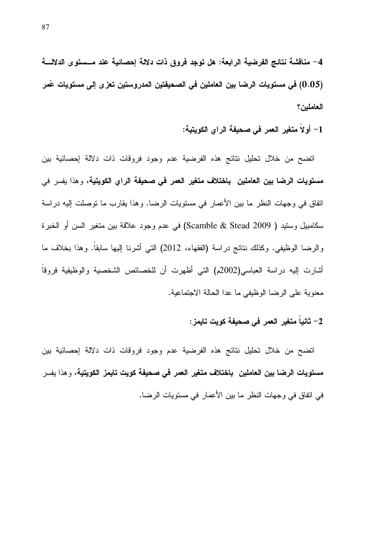4– مناقشة نتائج الفرضية الرابعة: هل توجد فروق ذات دلالة إحصائية عند مــــمىتوى الدلالــــة (0.05) في مستويات الرضا بين العاملين في الصحيفتين المدروستين تعزى إلى مستويات عُمر العاملين؟

1– أو لا متغير العمر في صحيفة الراي الكويتية:

اتضح من خلال تحليل نتائج هذه الفرضية عدم وجود فروقات ذات دلالة إحصائية بين مستويات الرضا بين العاملين باختلاف متغير العمر في صحيفة الراي الكويتية، وهذا يفسر في اتفاق في وجهات النظر ما بين الأعمار في مستويات الرضا. وهذا يقارب ما توصلت إليه دراسة سكامبيل وستيد ( Scamble & Stead 2009) في عدم وجود علاقة بين متغير السن أو الخبرة والرضا الوظيفي. وكذلك نتائج دراسة (الفقهاء، 2012) التي أشرنا إليها سابقا. وهذا بخلاف ما أشارت إليه دراسة العباسي(2002م) التي أظهرت أن للخصائص الشخصية والوظيفية فروقا معنوية على الرضا الوظيفي ما عدا الحالة الاجتماعية.

2– ثانياً متغير العمر في صحيفة كويت تايمز :

اتضح من خلال تحليل نتائج هذه الفرضية عدم وجود فروقات ذات دلالة إحصائية بين مستويات الرضا بين العاملين باختلاف متغير العمر في صحيفة كويت تايمز الكويتية، و هذا يفسر في اتفاق في وجهات النظر ما بين الأعمار في مستويات الرضا.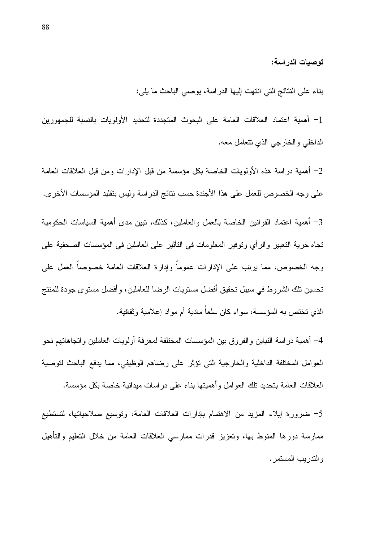توصيات الدراسة:

بناء على النتائج التي انتهت إليها الدراسة، يوصي الباحث ما يلي:

1– أهمية اعتماد العلاقات العامة على البحوث المتجددة لتحديد الأولويات بالنسبة للجمهورين الداخلي والخارجي الذي نتعامل معه.

2– أهمية دراسة هذه الأولويات الخاصة بكل مؤسسة من قبل الإدارات ومن قبل العلاقات العامة على وجه الخصوص للعمل على هذا الأجندة حسب نتائج الدراسة وليس بتقليد المؤسسات الأخرى.

3– أهمية اعتماد القوانين الخاصة بالعمل والعاملين، كذلك، نبين مدى أهمية السياسات الحكومية تجاه حرية التعبير والرأى وتوفير المعلومات في التأثير على العاملين في المؤسسات الصحفية على وجه الخصوص، مما يرتب على الإدارات عموماً وإدارة العلاقات العامة خصوصاً العمل على تحسين نلك الشروط في سبيل تحقيق أفضل مستويات الرضا للعاملين، وأفضل مستوى جودة للمنتج الذي تختص به المؤسسة، سواء كان سلعاً مادية أم مواد إعلامية وثقافية.

4– أهمية در اسة النباين و الفر و ق بين المؤسسات المختلفة لمعر فة أو لو يات العاملين و اتجاهاتهم نحو العوامل المختلفة الداخلية والخارجية التي نؤثر على رضاهم الوظيفي، مما يدفع الباحث لتوصية العلاقات العامة بتحديد نلك العوامل وأهميتها بناء على دراسات ميدانية خاصة بكل مؤسسة.

5– ضرورة إيلاء المزيد من الاهتمام بإدارات العلاقات العامة، وتوسيع صلاحياتها، لتستطيع ممارسة دورها المنوط بها، وتعزيز قدرات ممارسي العلاقات العامة من خلال التعليم والتأهيل و الندر بب المستمر .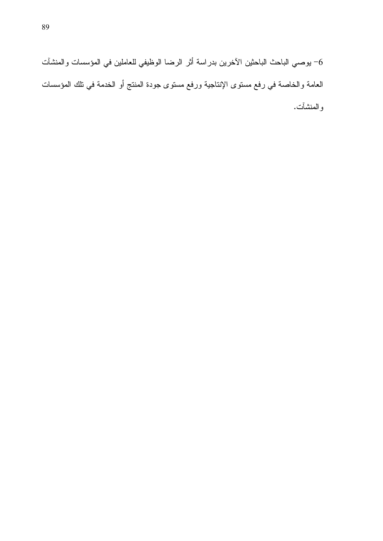6– يوصىي الباحث الباحثين الآخرين بدراسة أثر الرضا الوظيفي للعاملين في المؤسسات والمنشآت العامة والخاصة في رفع مستوى الإنتاجية ورفع مستوى جودة المنتج أو الخدمة في تلك المؤسسات والمنشأت.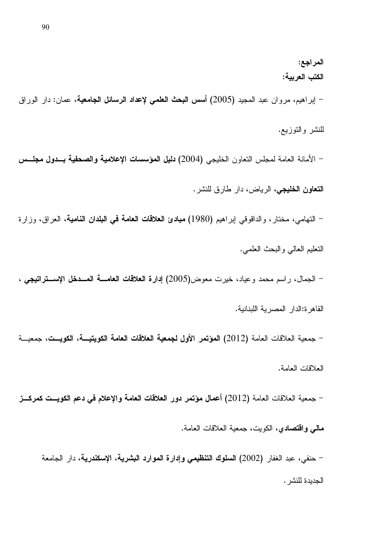المراجع: الكتب العربية: – إبراهيم، مروان عبد المجيد (2005) أ**سس البحث العلمي لإعداد الرسائل الجامعية**، عمان: دار الوراق للنشر والتوزيع. – الأمانة العامة لمجلس النعاون الخليجي (2004) دليل المؤسسات الإعلامية والصحفية بـدول مجلـس

التعاون الخليجي، الرياض، دار طارق للنشر.

– النهامي، مختار، والداقوقي إبراهيم (1980) **مبادئ العلاقات العامة في البلدان النامية**، العراق، وزارة التعليم العالمي و البحث العلمي.

– الجمال، راسم محمد وعياد، خيرت معوض(2005) إدارة العلاقات العامسة المسدخل الإسستراتيجي ،

القاهرة:الدار المصرية اللبنانية.

– جمعية العلاقات العامة (2012) المؤتمر الأول لجمعية العلاقات العامة الكويتيـــة، الكويــت، جمعيـــة العلاقات العامة.

– جمعية العلاقات العامة (2012) أعمال مؤتمر دور العلاقات العامة والإعلام في دعم الكويــت كمركـــز مالي واقتصادي، الكويت، جمعية العلاقات العامة.

– حنفي، عبد الغفار (2002) السلوك التنظيمي وإدارة الموارد البشرية، الإسكندرية، دار الجامعة الجديدة للنشر .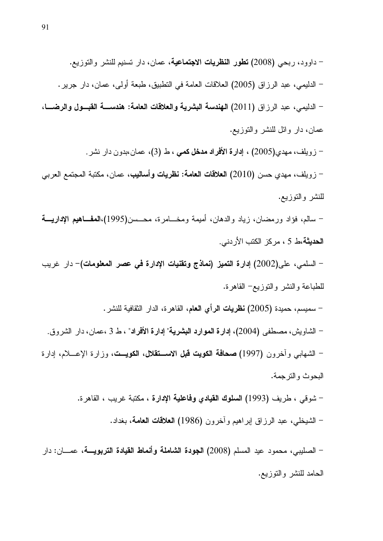– سالم، فؤاد ورمضان، زياد والدهان، أميمة ومخــــامرة، محــــسن(1995)،المعفـــاهيم الإداريــــة ا**لحديثة**،ط 5 ، مركز الكتب الأردني.

– السلمي، على(2002) إدارة التميز (نماذج وتقنيات الإدارة في عصر المعلومات)– دار غريب للطباعة والنشر والنوزيع<sup>\_</sup> القاهرة.

– سميسم، حميدة (2005) **نظريات الر**أى **العام**، القاهرة، الدار الثقافية للنشر . – الشاويش، مصطفى (2004)، إ**دارة الموارد البشرية**" إ**دارة الأفراد**" ، ط 3 ،عمان، دار الشروق. – الشهابي وأخرون (1997**) صحافة الكويت قبل الاســتقلال، الكويــت**، وزارة الإعـــلام، إدارة البحوث والنر جمة.

> – شوقي ، طريف (1993) ال**سلوك القيادي وفاعلية الإدارة** ، مكتبة غريب ، القاهرة. – الشيخلي، عبد الرز اق ابر اهيم وأخرون (1986) **العلاقات الـعامـة**، بـغداد.

– الصليبي، محمود عيد المسلم (2008) ا**لجودة الشاملة وأنماط القيادة التربويــــة**، عمــــان: دار الحامد للنشر والنوزيع.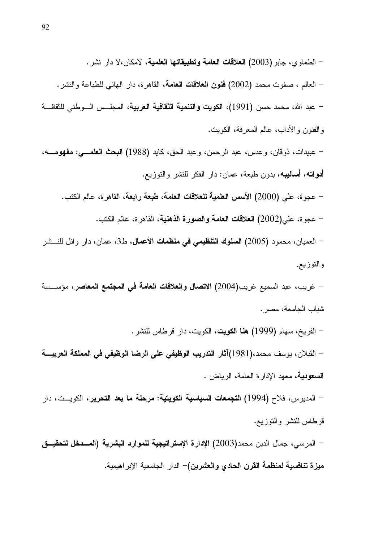– الطماوى، جابر (2003) ا**لعلاقات العامة وتطبيقاتها العلمية**، لامكان،لا دار نشر . – العالم ، صفوت محمد (2002) **فنون الـعلاقات الـعامـة**، القاهرة، دار الـهانـي للطباعة والنشر . – عبد الله، محمد حسن (1991)، ا**لكويت والتنمية الثقافية العربية**، المجلـــس الـــوطني للثقافـــة و الفنو ن و الآداب، عالم المعر فة، الكويت.

– عبيدات، ذوقان، وعدس، عبد الرحمن، وعبد الحق، كايد (1988) البحث العلمـــي: مفهومــــه، **أدواته، أساليبه،** بدون طبعة، عمان: دار الفكر للنشر والتوزيع.

– عجوة، على (2000) الأسس العلمية للعلاقات العامة، طبعة رابعة، القاهرة، عالم الكتب.

– عجوة، على(2002) العلاقات العامة والصورة الذهنية، القاهرة، عالم الكتب.

– العميان، محمود (2005) ا**لسلوك التنظيمي في منظمات الأعمال،** ط3، عمان، دار وائل للنـــشر والتوزيع.

– غريب، عبد السميع غريب(2004) الاتصال والعلاقات العامة في المجتمع المعاصر، مؤســسة شباب الجامعة، مصر .

– الفريخ، سهام (1999) **هنا الكويت**، الكويت، دار قرطاس للنشر .

– القبلان، يوسف محمد،(1981)أثار التدريب الوظيفي على الرضا الوظيفي في المملكة العربيـــة **السعودية**، معهد الإدارة العامة، الرياض .

– المديرس، فلاح (1994) ا**لتجمعات السياسية الكويتية: مرحلة ما بعد التحرير**، الكويـــت، دار قرطاس للنشر والنوزيع.

– المرسى، جمال الدين محمد(2003) الإدارة الإستراتيجية للموارد البشرية (المسدخل لتحقيــق ميزة تنافسية لمنظمة القرن الحادي والعشرين)– الدار الجامعية الإبراهيمية.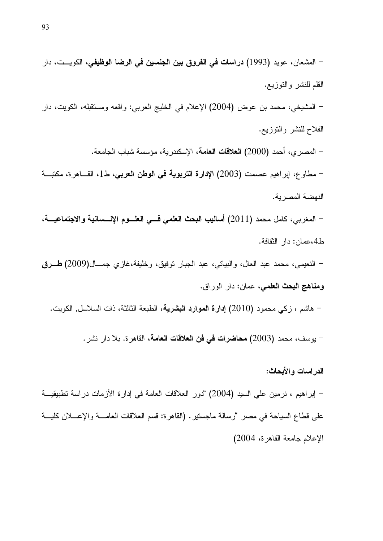الإعلام جامعة القاهرة، 2004)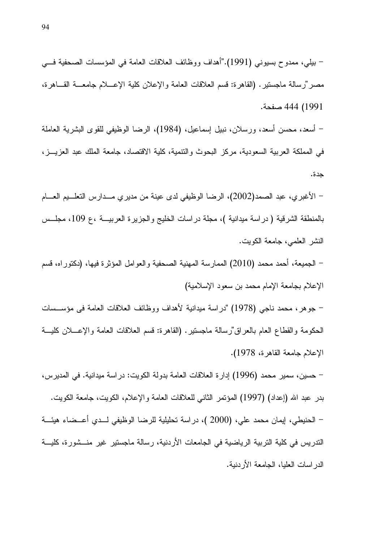– بيلي، ممدوح بسيوني (1991)."أهداف ووظائف العلاقات العامة في المؤسسات الصحفية فسي مصر "رسالة ماجستير . (القاهرة: قسم العلاقات العامة والإعلان كلية الإعسلام جامعـــة القــــاهرة، 1991) 444 صفحة.

– أسعد، محسن أسعد، ورسلان، نبيل إسماعيل، (1984)، الرضا الوظيفي للقوى البشرية العاملة في المملكة العربية السعودية، مركز البحوث والنتمية، كلية الاقتصاد، جامعة الملك عبد العزيــز ، حدة.

– الأغبري، عبد الصمد(2002)، الرضا الوظيفي لدى عينة من مديري مـــدارس النعلـــيم العــــام بالمنطقة الشرقية ( دراسة ميدانية )، مجلة دراسات الخليج والجزيرة العربيـــة ،ع 109، مجلــس النشر العلمي، جامعة الكويت.

– الجميعة، أحمد محمد (2010) الممارسة المهنية الصحفية والعوامل المؤثرة فيها، (دكتوراه، قسم الإعلام بجامعة الإمام محمد بن سعود الإسلامية)

– جوهر ، محمد ناجي (1978) "دراسة ميدانية لأهداف ووظائف العلاقات العامة في مؤســـسات الحكومة والقطاع العام بالعراق"رسالة ماجستير. (القاهرة: فسم العلاقات العامة والإعـــلان كليـــة الإعلام جامعة القاهر ة، 1978).

– حسين، سمير محمد (1996) إدار ة العلاقات العامة بدولة الكويت: در اسة ميدانية. في المدير س، بدر عبد الله (إعداد) (1997) المؤتمر الثاني للعلاقات العامة والإعلام، الكويت، جامعة الكويت. – الحنيطي، إيمان محمد علي، (2000 )، دراسة تحليلية للرضا الوظيفي لــدى أعــضاء هيئـــة الندريس في كلية النربية الرياضية في الجامعات الأردنية، رسالة ماجستير غير منــشورة، كليـــة الدر اسات العليا، الجامعة الأر دنية.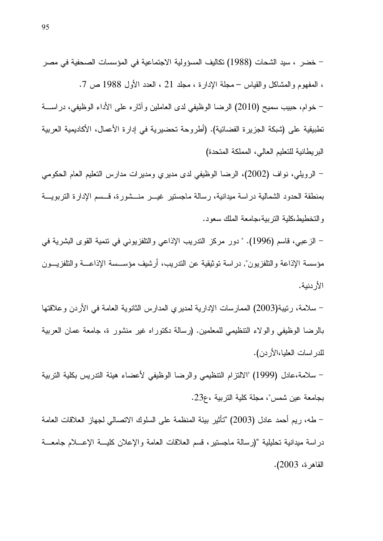– خضر ، سيد الشحات (1988) تكاليف المسؤولية الاجتماعية في المؤسسات الصحفية في مصر ، المفهوم والمشاكل والقياس – مجلة الإدارة ، مجلد 21 ، العدد الأول 1988 ص 7. – خوام، حبيب سميح (2010) الرضا الوظيفي لدى العاملين وآثاره على الأداء الوظيفي، دراســــة تطبيقية على (شبكة الجزير ة الفضائية). (أطروحة تحضيرية في إدار ة الأعمال، الأكاديمية العربية البر بطانية للتعليم العالي، المملكة المتحدة)

– الرويلي، نواف (2002)، الرضا الوظيفي لدى مديري ومديرات مدارس النعليم العام الحكومي بمنطقة الحدود الشمالية دراسة ميدانية، رسالة ماجستير غيـــر منـــشورة، قــسم الإدارة التربويـــة والتخطيط،كلية النربية،جامعة الملك سعود.

– الزعبي، قاسم (1996). " دور مركز الندريب الإذاعي والنلفزيوني في نتمية القوى البشرية في مؤسسة الإذاعة والتلفزيون", در اسة توثيقية عن الندريب، أرشيف مؤســسة الإذاعـــة والتلفزيـــون الأر دنية.

– سلامة، رتيبة(2003) الممارسات الإدارية لمديري المدارس الثانوية العامة في الأردن وعلاقتها بالرضا الوظيفي والولاء التنظيمي للمعلمين. (رسالة دكتوراه غير منشور ة، جامعة عمان العربية للدر اسات العليا،الأر دن).

– سلامة،عادل (1999) "الالنزام النتظيمي والرضا الوظيفي لأعضاء هيئة الندريس بكلية النربية بجامعة عين شمس"، مجلة كلية التربية ،ع23.

– طه، ريم أحمد عادل (2003) "تأثير بيئة المنظمة على السلوك الاتصالي لجهاز العلاقات العامة دراسة ميدانية تحليلية "(رسالة ماجستير، قسم العلاقات العامة والإعلان كليسة الإعسلام جامعسة القاهر ة، 2003).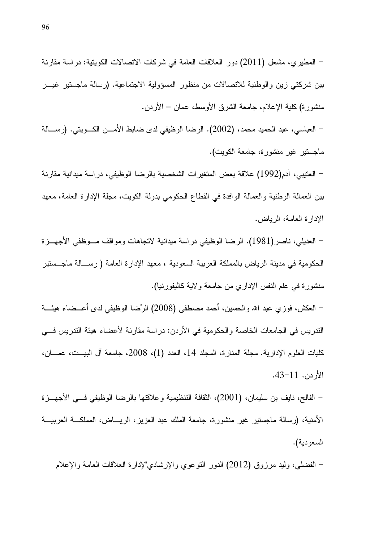– المطيري، مشعل (2011) دور العلاقات العامة في شركات الاتصالات الكويتية: دراسة مقارنة بين شركتي زين والوطنية للاتصالات من منظور المسؤولية الاجتماعية. (رسالة ماجستير غيـــر منشورة) كلية الإعلام، جامعة الشرق الأوسط، عمان – الأردن.

– العباسي، عبد الحميد محمد، (2002). الرضا الوظيفي لدى ضابط الأمـــن الكـــويتي. (رســــالـة ماجستير غير منشورة، جامعة الكويت).

– العتيبي، آدم(1992) علاقة بعض المتغير ات الشخصية بالرضا الوظيفي، در اسة ميدانية مقارنة بين العمالة الوطنية والعمالة الوافدة في القطاع الحكومي بدولة الكويت، مجلة الإدارة العامة، معهد الإدار ة العامة، الرباض.

– العديلي، ناصر (1981). الرضا الوظيفي دراسة ميدانية لاتجاهات ومواقف مـــوظفي الأجهـــزة الحكومية في مدينة الرياض بالمملكة العربية السعودية ، معهد الإدارة العامة ( رســـالة ماجـــستير منشورة في علم النفس الإداري من جامعة ولاية كاليفورنيا).

– العكش، فوزي عبد الله والـحسين، أحمد مصطفى (2008) الرِّضا الوظيفي لدى أعـــضـاء هيئــــة الندريس في الجامعات الخاصة والحكومية في الأردن: دراسة مقارنة لأعضاء هيئة الندريس فـــي كليات العلوم الإدارية. مجلة المنارة، المجلد 14، العدد (1)، 2008، جامعة آل البيــت، عمـــان، الأردن. 11-43.

– الفالح، نايف بن سليمان، (2001)، الثقافة النتظيمية وعلاقتها بالرضا الوظيفي فـــي الأجهـــزة الأمنية، (رسالة ماجستير غير منشورة، جامعة الملك عبد العزيز، الريــــاض، المملكـــة العربيـــة السعو دية).

– الفضلبي، وليد مرزوق (2012) الدور النوعوي والإرشادي"لإدارة العلاقات العامة والإعلام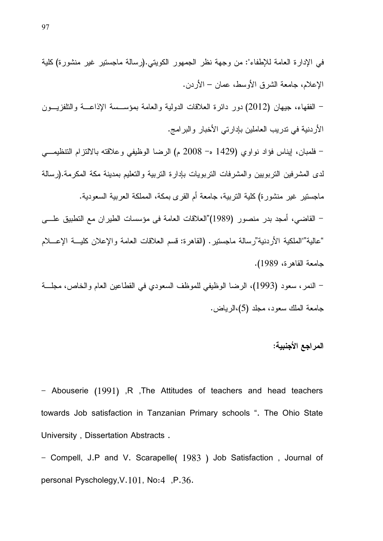النمر، سعود (1993)، الرضا الوظيفي للموظف السعودي في القطاعين العام والخاص، مجلَّـــة جامعة الملك سعود، مجلد (5)،الرياض.

# المراجع الأجنبية:

- Abouserie (1991) ,R ,The Attitudes of teachers and head teachers towards Job satisfaction in Tanzanian Primary schools ". The Ohio State University, Dissertation Abstracts.

- Compell, J.P and V. Scarapelle( 1983 ) Job Satisfaction, Journal of personal Pyscholegy, V.101, No:4, P.36.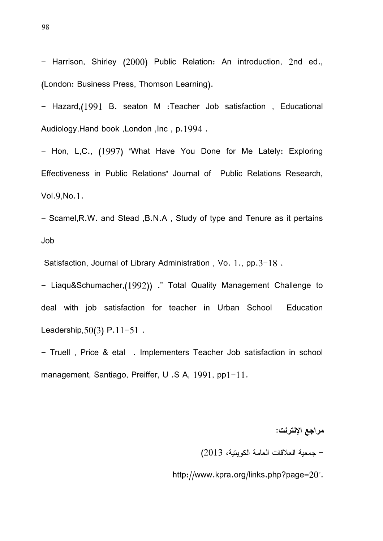- Harrison, Shirley (2000) Public Relation: An introduction, 2nd ed., (London: Business Press, Thomson Learning).

- Hazard,(1991 B. seaton M :Teacher Job satisfaction, Educational Audiology,Hand book ,London ,Inc , p.1994 .

- Hon, L,C., (1997) "What Have You Done for Me Lately: Exploring Effectiveness in Public Relations" Journal of Public Relations Research, Vol.9,No.1.

- Scamel, R.W. and Stead , B.N.A, Study of type and Tenure as it pertains Job

Satisfaction, Journal of Library Administration, Vo.  $1., pp.3-18.$ 

- Liaqu&Schumacher,(1992)) ." Total Quality Management Challenge to deal with job satisfaction for teacher in Urban School Education Leadership,  $50(3)$  P.  $11-51$ .

- Truell, Price & etal . Implementers Teacher Job satisfaction in school management, Santiago, Preiffer, U.S A, 1991, pp1-11.

مراجع الإنترنت:

– جمعية العلاقات العامة الكويتية، 2013)

http://www.kpra.org/links.php?page=20".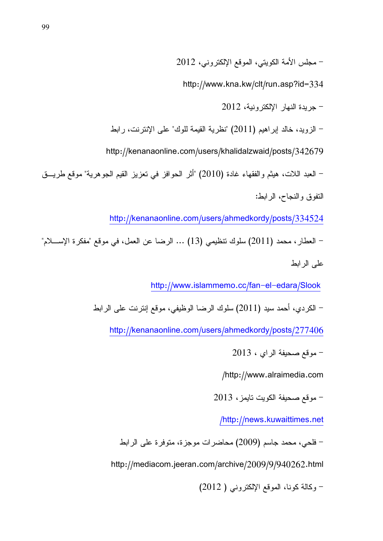$-2012$  مجلس الأمة الكويتي، الموقع الإلكتروني، 2012

http://www.kna.kw/clt/run.asp?id=334

 $-2012$  جريدة النهار الالكتر ونبة، 2012

الزويد، خالد إبراهيم (2011) "نظرية القيمة للوك" على الإنترنت، رابط "

http://kenanaonline.com/users/khalidalzwaid/posts/342679

– العبد اللات، هيثم والفقهاء غادة (2010) "أثر الحوافز في تعزيز القيم الجوهرية" موقع طريـــق النفوق والنجاح، الرابط:

http://kenanaonline.com/users/ahmedkordy/posts/334524

- العطار ، محمد (2011) سلوك نتظيمي  $(13)$  ... الرضا عن العمل، في موقع "مفكرة الإســــلام"  $\,$ علم الرابط

http://www.islammemo.cc/fan-el-edara/Slook

الكر دي، أحمد سيد (2011) سلوك الرضا الوظيفي، موقع إنتر نت علي الر ابط "

http://kenanaonline.com/users/ahmedkordy/posts/277406

 $-2013$  موقع صحيفة الراي ، 3

/ http://www.alraimedia.com

 $-$  موقع صحيفة الكويت تايمز ، 2013  $-$ 

/http://news.kuwaittimes.net

– فلحي، محمد جاسم (2009) محاضرات موجزة، متوفرة على الرابط

http://mediacom.jeeran.com/archive/2009/9/940262.html

وكالة كونا، الموقع الإلكتروني ( 2012)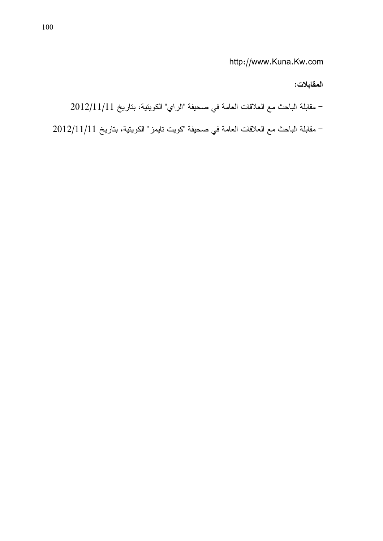http://www.Kuna.Kw.com

### المقابلات:

 $-2012/11/11$  مقابلة الباحث مع العلاقات العامة في صحيفة "الراي" الكويتية، بتاريخ 11/11/11

 $-$  مقابلة الباحث مع العلاقات العامة في صحيفة "كويت تايمز" الكويتية، بتاريخ 2012/11/11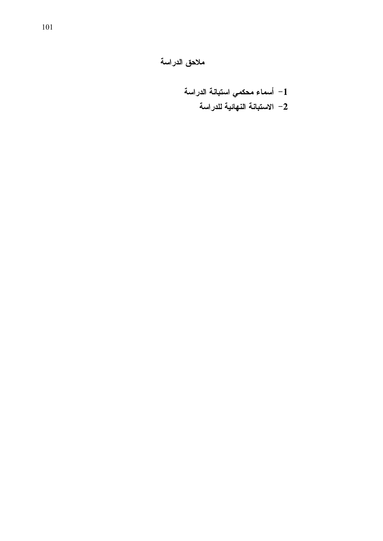ملاحق الدراسة

1– أسماء محكمي استبانة الدراسة 2– الاستبانـة النـهائيـة للدراسـة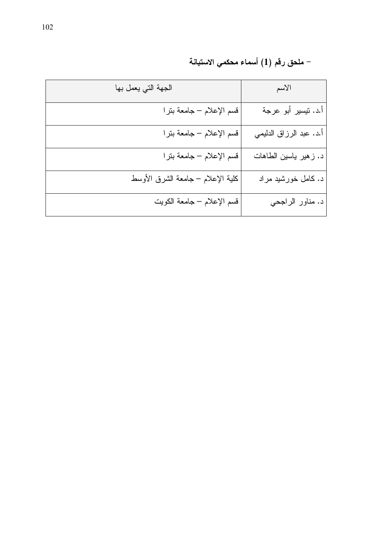| الجهة التي يعمل بها               | الأسم                   |
|-----------------------------------|-------------------------|
| قسم الإعلام – جامعة بترا          | أ.د. نيسير أبو عرجة     |
| قسم الإعلام – جامعة بنرا          | أ.د. عبد الرزاق الدليمي |
| قسم الإعلام – جامعة بنرا          | د. زهير ياسين الطاهات   |
| كلية الإعلام – جامعة الشرق الأوسط | د. کامل خورشید مراد     |
| قسم الإعلام – جامعة الكويت        | د. مناور الراجحي        |

– ملحق رقم (1) أسماء محكمي الاستبانة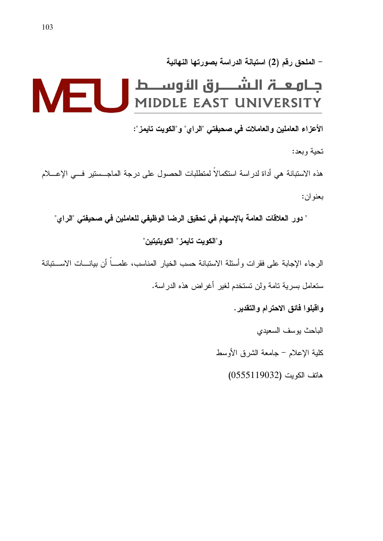### – الملحق رقم (2) استبانة الدراسة بصورتها النهائية

# جــامـعـــۃ الــشــــــرق الأوســــط<br>MIDDLE EAST UNIVERSITY **M-I**

الأعزاء العاملين والعاملات في صحيفتي "الراي" و"الكويت تايمز":

تحية وبعد:

هذه الاستبانة هي أداة لدراسة استكمالاً لمتطلبات الحصول على درجة الماجــستير فـــي الإعــــلام بعنو ان:

" دور العلاقات العامة بالإسهام في تحقيق الرضا الوظيفي للعاملين في صحيفتي "الراي" و"الكويت تايمز" الكويتيتين"

الرجاء الإجابة على فقرات وأسئلة الاستبانة حسب الخيار المناسب، علمـــاً أن بيانــــات الاســـتبانة سنعامل بسرية نامة ولن تستخدم لغير أغراض هذه الدر اسة.

واقبلوا فائق الاحترام والتقدير.

الباحث يوسف السعيدى

كلية الإعلام – جامعة الشرق الأوسط

هاتف الكويت (0555119032)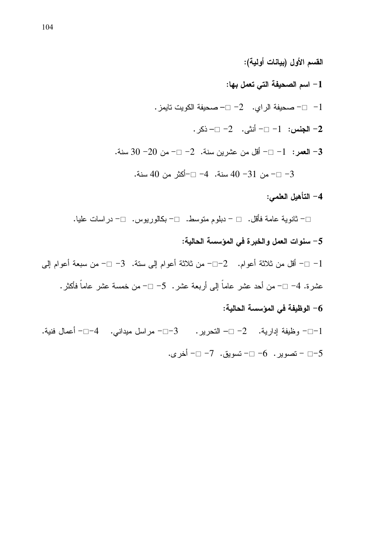القسم الأول (بيانات أولية): 1– اسم الصحيفة التي تعمل بها: - صحيفة الراي.  $-2$  صحيفة الكويت تايمز $-1$ 2− الجنس: 1− □− أنثي. 2− □− ذكر . - العصر: 1-  $-$  أقل من عشرين سنة.  $-2$   $-$  من 20 $0$  سنة. 3-  $-$ 3− □− من 31− 40 سنة. 4− □−أكثر من 40 سنة.

#### 4– التأهيل العلمي:

□− ثانوية عامة فأقل. □ − دبلوم متوسط. □− بكالوريوس. □− دراسات عليا. 5– سنوات العمل والخبرة في المؤسسة الحالية:

1− □− أقل من ثلاثة أعوام. 2−□− من ثلاثة أعوام إلى ستة. 3− □− من سبعة أعوام إلى عشرة. 4– □– من أحد عشر عاماً إلى أربعة عشر . 5– □– من خمسة عشر عاماً فأكثر .

## 6– الوظيفة في المؤسسة الحالية:

1−□− وظيفة إدارية. 2− □− النحرير. 3−□− مراسل ميداني. 4−□− أعمال فنية. 5−□ - تصوير. 6− □- تسويق. 7- □- أخرى.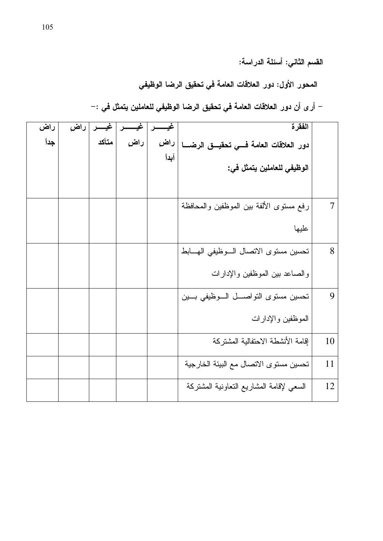القسم الثاني: أسئلة الدراسة:

المحور الأول: دور العلاقات العامة في تحقيق الرضا الوظيفي

– أر ى أن دور العلاقات العامة في تحقيق الرضا الوظيفي للعاملين يتمثل في :–

| راض  | راض | غسسر  | غي  | غیـــ        | الفقرة                                   |    |
|------|-----|-------|-----|--------------|------------------------------------------|----|
| جداً |     | متأكد | راض | راض<br>أبداً | دور العلاقات العامة فسى تحقيسق الرضسا    |    |
|      |     |       |     |              | الوظيفي للعاملين يتمثل في:               |    |
|      |     |       |     |              |                                          |    |
|      |     |       |     |              | رفع مستوى الألفة ببن الموظفين والمحافظة  | 7  |
|      |     |       |     |              | عليها                                    |    |
|      |     |       |     |              | تحسين مستوى الاتصال السوظيفي الهسابط     | 8  |
|      |     |       |     |              | والصاعد ببين الموظفين والإدارات          |    |
|      |     |       |     |              | تحسين مستوى التواصـــل الـــوظيفي بـــين | 9  |
|      |     |       |     |              | الموظفين والإدارات                       |    |
|      |     |       |     |              | إقامة الأنشطة الاحتفالية المشتركة        | 10 |
|      |     |       |     |              | تحسين مستوى الاتصال مع البيئة الخارجية   | 11 |
|      |     |       |     |              | السعي لإقامة المشاريع النعاونية المشتركة | 12 |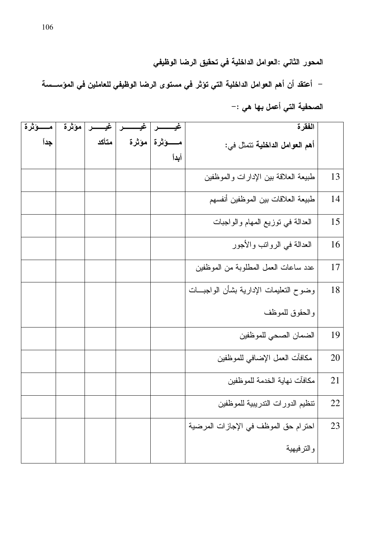المحور الثاني :العوامل الداخلية في تحقيق الرضا الوظيفي

– أعتقد أن أهم العوامل الداخلية التي تؤثر في مستوى الرضا الوظيفي للعاملين في المؤســسة الصحفية التي أعمل بها هي :-

| مـــــــوْثْرة | مؤثرة | غيــــــر | غد                  | الفقرة                                   |    |
|----------------|-------|-----------|---------------------|------------------------------------------|----|
| جداً           |       | متأكد     | مــــــوْثرة موْثرة | أهم العوامل الداخلية نتمثل في:           |    |
|                |       |           | أبداً               |                                          |    |
|                |       |           |                     | طبيعة العلاقة بين الإدارات والموظفين     | 13 |
|                |       |           |                     | طبيعة العلاقات بين الموظفين أنفسهم       | 14 |
|                |       |           |                     | العدالة في توزيع المهام والواجبات        | 15 |
|                |       |           |                     | العدالة في الروانب والأجور               | 16 |
|                |       |           |                     | عدد ساعات العمل المطلوبة من الموظفين     | 17 |
|                |       |           |                     | وضوح النعليمات الإدارية بشأن الواجبـــات | 18 |
|                |       |           |                     | والحقوق للموظف                           |    |
|                |       |           |                     | الضمان الصحى للموظفين                    | 19 |
|                |       |           |                     | مكافأت العمل الإضافي للموظفين            | 20 |
|                |       |           |                     | مكافآت نهاية الخدمة للموظفين             | 21 |
|                |       |           |                     | تنظيم الدورات الندريبية للموظفين         | 22 |
|                |       |           |                     | احترام حق الموظف في الإجازات المرضية     | 23 |
|                |       |           |                     | والترفيهية                               |    |